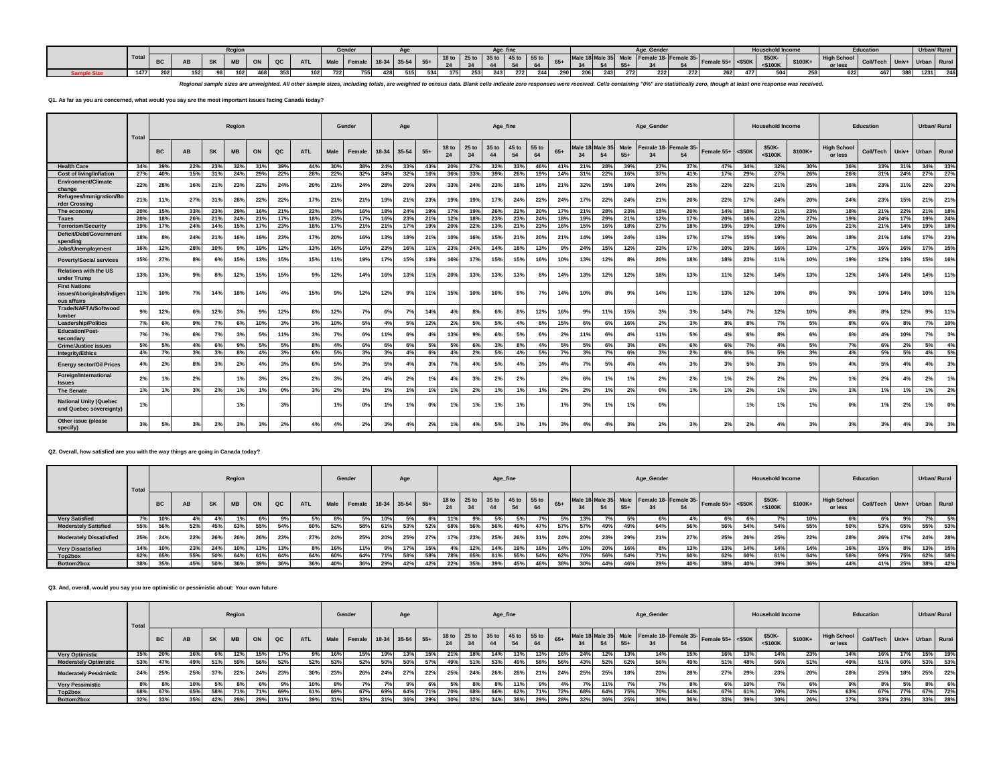|        |     |                  | Reaio      |     |     |     |     | Gender                  |     |     |     |     | Age f                                           |           |     |       |            |                |       |     |     |                                                                                 |     | <b>Household Incom</b>  |          |                                         | <b>Education</b> |                    |      | Urban/ Rural |
|--------|-----|------------------|------------|-----|-----|-----|-----|-------------------------|-----|-----|-----|-----|-------------------------------------------------|-----------|-----|-------|------------|----------------|-------|-----|-----|---------------------------------------------------------------------------------|-----|-------------------------|----------|-----------------------------------------|------------------|--------------------|------|--------------|
| I Tota |     |                  | <b>ARD</b> | ON  |     |     |     | Male Female 18-34 35-54 |     |     |     | 24  | 18 to 25 to 35 to 45 to 55 to<br>$\overline{A}$ | <b>EA</b> | 64  | $65+$ | $\vert$ 34 | E <sub>4</sub> | $55+$ |     |     | Male 18 Male 35 Male   Female 18- Female 35- Female 55+ $\left  \right $ <\$50K |     | \$50K-<br>$<$ \$100 $k$ | $$100K+$ | High School Coll/Tech Univ+ Urban Runa. |                  |                    |      |              |
| 1477   | 202 | 152 <sub>1</sub> |            | 468 | 353 | 102 | 722 | 755                     | 515 | 534 | 175 | 253 | 243                                             | 272       | 244 | 290   | 206        |                | 272   | 222 | 272 | 262                                                                             | 477 | 504                     |          | 622                                     | 467              | ,,,,<br><b>JUU</b> | 1231 | 246          |

Regional sample sizes are unweighted. All other sample sizes, including totals, are weighted to census data. Blank cells indicate zero responses were received. Cells containing "0%" are statistically zero, though at least

## **Q1. As far as you are concerned, what would you say are the most important issues facing Canada today?**

|                                                                   | Total |           |           |           | Region          |           |     |            |             | Gender |       | Age        |       |                        |               | Age fine    |             |             |       |                         |              |                      | Age_Gender       |                  |            |           | <b>Household Income</b> |          |                               | <b>Education</b> |       | Urban/ Rural |       |
|-------------------------------------------------------------------|-------|-----------|-----------|-----------|-----------------|-----------|-----|------------|-------------|--------|-------|------------|-------|------------------------|---------------|-------------|-------------|-------------|-------|-------------------------|--------------|----------------------|------------------|------------------|------------|-----------|-------------------------|----------|-------------------------------|------------------|-------|--------------|-------|
|                                                                   |       | <b>BC</b> | <b>AB</b> | <b>SK</b> | <b>MB</b>       | ON        | QC  | <b>ATL</b> | <b>Male</b> | Female | 18-34 | 35-54      | $55+$ | 18 <sub>to</sub><br>24 | $25$ to<br>34 | 35 to<br>44 | 45 to<br>54 | 55 to<br>64 | $65+$ | Male <sup>-</sup><br>34 | Male 3<br>54 | <b>Male</b><br>$55+$ | Female 18-<br>34 | Female 35-<br>54 | Female 55+ | $<$ \$50K | \$50K-<br>$<$ \$100 $K$ | $$100K+$ | <b>High School</b><br>or less | <b>Coll/Tech</b> | Univ+ | <b>Urban</b> | Rural |
| <b>Health Care</b>                                                | 34%   | 39%       | 22%       | 23%       | $32^{\circ}$    | 31%       | 39% | 44%        | 30%         | 38%    | 24%   | 33%        | 43%   | 20%                    | 27%           | 32%         | 339         | 46%         | 41%   | 21%                     | 28%          | 39%                  | 27%              | 37%              | 47%        | 34%       | 32%                     | 30%      | 36%                           | 33%              | 31%   | 34%          | 33%   |
| <b>Cost of living/Inflation</b>                                   | 27%   | 40%       | 15%       | 31%       | 24%             | 29%       | 22% | 28%        | 22%         | 32%    | 34%   | 32%        | 16%   | 36%                    | 33%           | 39%         | 26%         | 19%         | 14%   | 31%                     | 22%          | 16%                  | 37%              | 41%              | 17%        | 29%       | 27%                     | 26%      | 26%                           | 31%              | 24%   | 27%          | 27%   |
| <b>Environment/Climate</b><br>change                              | 22%   | 28%       | 16%       | 21%       | 23%             | 22%       | 24% | 20%        | 21%         | 24%    | 28%   | <b>20%</b> | 20%   | 33%                    | 24%           | 23%         | 18%         | 18%         | 21%   | 32%                     | 15%          | 18 <sup>°</sup>      | 24%              | 25%              | 22%        | 22%       | 21%                     | 25%      | 16%                           | 23%              | 31%   | 22%          | 23%   |
| Refugees/Immigration/Bo<br>rder Crossin                           | 21%   | 11%       | 27%       | 31%       | 28%             | 22%       | 22% | 17%        | 21%         | 21%    | 19%   | 21%        | 23%   | 19%                    | 19%           | 17%         | 24%         | 22%         | 24%   | 17%                     | 22%          | 24%                  | 21%              | 20%              | 22%        | 17%       | 24%                     | 20%      | 24%                           | 23%              | 15%   | 21%          | 21%   |
| The economy                                                       | 20%   | 15%       | 33%       | 23%       | 29%             | 16%       | 21% | 22%        | 24%         | 16%    | 18%   | 24%        | 19%   | 17%                    | 19%           | 26%         | 22%         | 20%         | 17%   | 21%                     | 28%          | 23%                  | 15%              | 20%              | 14%        | 18%       | 21%                     | 23%      | 18%                           | 21%              | 22%   | 21%          | 18%   |
| <b>Taxes</b>                                                      | 20%   | 18%       | 26%       | 21%       | $24^{\circ}$    | 21%       | 17% | 18%        | 23%         | 17%    | 16%   | 23%        | 21%   | 12%                    | 18%           | 23%         | 23%         | 24%         | 18%   | 19%                     | 29%          | 21%                  | 12%              | 17%              | 20%        | 16%       | 22%                     | 27%      | 19%                           | 24%              | 17%   | 19%          | 24%   |
| <b>Terrorism/Security</b>                                         | 19%   | 17%       | 24%       | 14%       | 15 <sup>°</sup> | 17%       | 23% | 18%        | 17%         | 21%    | 21%   | 17%        | 19%   | 20%                    | 22%           | 13%         | 21%         | 23%         | 16%   | 15%                     | 16%          | 18%                  | 27%              | 18%              | 19%        | 19%       | 19%                     | 16%      | 21%                           | 21%              | 14%   | 19%          | 18%   |
| Deficit/Debt/Government<br>spendina                               | 18%   | 8%        | 24%       | 21%       | 16%             | 16%       | 23% | 17%        | 20%         | 16%    | 13%   | 18%        | 21%   | 10%                    | 16%           | 15%         | 21%         | <b>20%</b>  | 21%   | 14%                     | 19%          | 24%                  | 13%              | 17%              | 17%        | 15%       | 19%                     | 26%      | 18%                           | 21%              | 14%   | 17%          | 23%   |
| Jobs/Unemployment                                                 | 16%   | 12%       | 28%       | 10%       | 9%              | 19%       | 12% | 13%        | 16%         | 16%    | 23%   | 16%        | 11%   | 23%                    | 24%           | 14%         | 18%         | 13%         | 9%    | 24%                     | 15%          | 12%                  | 23%              | 17%              | 10%        | 19%       | 16%                     | 13%      | 17%                           | 16%              | 16%   | 17%          | 15%   |
| <b>Poverty/Social services</b>                                    | 15%   | 27%       | 8%        | 6%        | 15%             | 13%       | 15% | 15%        | 11%         | 19%    | 17%   | 15%        | 13%   | 16%                    | 17%           | 15%         | 15%         | 16%         | 10%   | 13%                     | 12%          | 89                   | 20%              | 18%              | 18%        | 23%       | 11%                     | 10%      | 19%                           | 12%              | 13%   | 15%          | 16%   |
| <b>Relations with the US</b><br>under Trump                       | 13%   | 13%       | 9%        | 8%        | 12%             | 15%       | 15% | 9%         | 12%         | 14%    | 16%   | 13%        | 11%   | 20%                    | 13%           | 13%         | 13%         | 8%          | 14%   | 13%                     | 12%          | 12%                  | 18%              | 13%              | 11%        | 12%       | 14%                     | 13%      | 12%                           | 14%              | 14%   | 14%          | 11%   |
| <b>First Nations</b><br>issues/Aboriginals/Indiger<br>ous affairs | 11%   | 10%       | 7%        | 14%       | 18%             | 14%       | 4%  | 15%        | 9%          | 12%    | 12%   | 9%         | 11%   | 15%                    | 10%           | 10%         | 9%          | 7%          | 14%   | 10%                     | 8%           | 99                   | 14%              | 11%              | 13%        | 12%       | 10%                     | 8%       | 9%                            | 10%              | 14%   | 10%          | 11%   |
| Trade/NAFTA/Softwood<br>lumber                                    | 9°    | 12%       | 6%        | 12%       | -3%             | 9%        | 12% | 8%         | 12%         | 7%     | 6%    | 7%         | 14%   | 4%                     | 8%            | 6%          | 8%          | 12%         | 16%   | 9%                      | 11%          | 15%                  | 3%               | 3%               | 14%        | 7%        | 12%                     | 10%      | 8%                            | 8%               | 12%   | 9%           | 11%   |
| Leadership/Politics                                               | 7%    | 6%        | 9%        | 7%        | 6%              | 10%       | 3%  | 3%         | 10%         | 5%     | 4%    | 5%         | 12%   | 2%                     | 5%            | 5%          | 4%          | 8%          | 15%   | 6%                      | 6%           | 16%                  | 2%               | 3%               | 8%         | 8%        | 7%                      | 5%       | 8%                            | 6%               | 8%    | 7%           | 10%   |
| <b>Education/Post-</b><br>secondary                               | 7%    | 7%        | 6%        | 7%        | 3%              | 5%        | 11% | 3%         | 7%          | 6%     | 11%   | 6%         | 4%    | 13%                    | 9%            | 6%          | 5%          | 6%          | 2%    | 11%                     | 6%           | 4 <sup>c</sup>       | 11%              | 5%               | 4%         | 6%        | 8%                      | 6%       | 6%                            | 4%               | 10%   | 7%           | 3%    |
| <b>Crime/Justice issues</b>                                       | 5%    | 5%        | 4%        |           |                 | 5%        | 5%  |            | $4^{\circ}$ | 6%     |       |            | 5%    | 5%                     | 6%            | 3%          |             | 4%          | 5%    | 5%                      | 6%           | 3%                   | 6%               | 6%               | 6%         | 7%        | 4%                      | 5%       | 7%                            | 6%               | 2%    | 5%           | 4%    |
| <b>Integrity/Ethics</b>                                           | 4%    | 7%        | 3%        | 3%        | 8%              | 4%        | 3%  | 6%         | 5%          | 3%     | 3%    | 4%         | 6%    | 4%                     | 2%            | 5%          | 4%          | 5%          | 7%    | 3%                      | 7%           | 6%                   | 3%               | 2%               | 6%         | 5%        | 5%                      | 3%       | 4%                            | 5%               | 5%    | 4%           | 5%    |
| <b>Energy sector/Oil Prices</b>                                   |       | 2%        | 8%        | 3%        | 2%              | $4^\circ$ | 3%  | 6%         | 5%          | 3%     | 5%    | 4%         | 3%    | 7%                     | 4%            | 5%          | 4%          | 3%          | 4%    | 7%                      | 5%           | 4                    | 4%               | 3%               | 3%         | 5%        | 3%                      | 5%       | 4%                            | 5%               | 4%    |              | 3%    |
| Foreign/International<br><b>Issues</b>                            | 2%    | 1%        | 2%        |           |                 | 3%        | 2%  | 2%         | 3%          | 2%     |       | 2%         | 1%    | $4^\circ$              | 3%            | 2%          | 2%          |             | 2%    | 6%                      | 1%           |                      | 2%               | 2%               |            | 2%        | 2%                      | 2%       | 1%                            | 2%               | 4%    | 2%           | 1%    |
| The Senate                                                        | 1%    | 1%        | 3%        | 2%        |                 | 1%        | 0%  | 3%         | 2%          | 1%     | 1%    | 1%         | 1%    | 1%                     | 2%            | 1%          | 1%          | 1%          | 2%    | 2%                      | 1%           | 2%                   | 0%               | 1%               | 1%         | 2%        | 1%                      | 1%       | 1%                            | 1%               | $1\%$ | 1%           | 2%    |
| <b>National Unity (Quebec</b><br>and Quebec sovereignty)          |       |           |           |           |                 |           | 3%  |            | 1%          | 0%     |       | 1%         | 0%    | 1%                     | 1%            | 1%          | 1%          |             | 1%    | 3%                      | 1%           | 1 <sup>c</sup>       | 0%               |                  |            | 1%        | 1%                      | 1%       | 0%                            | 1%               | 2%    |              | 0%    |
| Other issue (please<br>specify)                                   | 3%    | 5%        | 3%        | 2%        | 3%              | 3%        | 2%  | 4%         | 4%          | 2%     | 3%    | 4%         | 2%    | 1%                     | 4%            | 5%          | 3%          | 1%          | 3%    | 4%                      | 4%           | 3%                   | 2%               | 3%               | 2%         | 2%        | 4%                      | 3%       | 3%                            | 3%               | 4%    | 3%           | 3%    |

## **Q2. Overall, how satisfied are you with the way things are going in Canada today?**

|                                | Total |           |           |           | Region      |     |     |            |     | Gender                      |     | Age |     |                                     |     | Age_fine |     |     |       |     |     |       | Age_Gender |     |                                                            |     | <b>Household Income</b> |         |                               | Education                   |     | Urban/ Rural |     |
|--------------------------------|-------|-----------|-----------|-----------|-------------|-----|-----|------------|-----|-----------------------------|-----|-----|-----|-------------------------------------|-----|----------|-----|-----|-------|-----|-----|-------|------------|-----|------------------------------------------------------------|-----|-------------------------|---------|-------------------------------|-----------------------------|-----|--------------|-----|
|                                |       | <b>BC</b> | <b>AB</b> | <b>SK</b> | <b>MB</b>   | ON  | QC  | <b>ATL</b> |     | Male Female 18-34 35-54 55+ |     |     |     | 18 to 25 to 35 to 45 to 55 to<br>24 | 34  | 44       |     |     | $65+$ | 34  |     | $55+$ |            | 54  | Male 18 Male 35 Male Female 18 Female 35 Female 55+ <\$50K |     | \$50K-<br>$<$ \$100K    | \$100K+ | <b>High School</b><br>or less | Coll/Tech Univ+ Urban Rural |     |              |     |
| <b>Very Satisfied</b>          |       | 10%       | 4%        |           |             |     |     | 5%         |     |                             |     |     | 6%  | 11%                                 |     |          |     |     |       | 13% |     |       | 6%         |     |                                                            |     | 7%                      | 10%     | 6%                            |                             | 9%  |              | 5%  |
| <b>Moderately Satisfied</b>    | 55%   | 56%       | 52%       | 45%       | 63%         | 55% | 54% | 60%        | 52% | 58%                         | 61% | 53% | 52% | 68%                                 | 56% | 56%      | 49% | 47% |       | 57% | 49% | 49%   | 64%        | 56% | 56%                                                        | 54% | 54%                     | 55%     | 50%                           | 53%                         | 65% | 55%          | 53% |
| <b>Moderately Dissatisfied</b> | 25%   | 24%       | 22%       | 26%       | 200<br>-40. | 26% | 23% | <b>27%</b> | 497 | 25%                         |     | 25% | 27% | 17%                                 | 23% | 25%      | 26% | 31% | 24%   | 20% | 23% | 29%   | 21%        | 27% | 25%                                                        | 26% | 25%                     | 22%     | 28%                           | 26%                         | 17% | 24%          | 28% |
| <b>Very Dissatisfied</b>       | 14%   | 10%       | 23%       | 24%       |             | 13% | 13% | 8%         | 16% | 11%                         |     | 17% | 15% |                                     | 12% | 14%      |     | 16% | 14%   | 10% | 20% | 16%   | 8%         | 13% | 13%                                                        | 14% | 14%                     | 14%     | 16%                           | 15%                         |     | 13%          | 15% |
| Top2box                        | 62%   | 65%       | 55%       | 50%       | 64%         | 61% | 64% | 64%        | 60% | 64%                         |     | 58% | 58% |                                     | 65% | 61%      | 55% | 54% | 62%   |     | 56% | 54%   | 71%        | 60% | 62%                                                        | 60% | 61%                     | 64%     | 56%                           | 59%                         | 75% | 62%          | 58% |
| Bottom2box                     | 38%   | 35%       | 45%       | 50%       | 369         | 39% | 36% | 36%        |     | 36%                         | 29% | 42% | 42% | 22%                                 | 35% | 39%      | 45% | 46% |       | 30% | 44% | 46%   | 29%        | 40% | 38%                                                        | 40% | 39%                     | 36%     | 44%                           | 41%                         | 25% | 38%          | 42% |

#### **Q3. And, overall, would you say you are optimistic or pessimistic about: Your own future**

|                               | Total |           |     |           | Region    |     |     |            |     | Gender                      |     | Age        |     |     |     | Age_fine |                               |     |     |     |     |       | Age_Gender |                                                  |                      |     | <b>Household Income</b> |          |                               | Education                   |     |     | Urban/ Rural |
|-------------------------------|-------|-----------|-----|-----------|-----------|-----|-----|------------|-----|-----------------------------|-----|------------|-----|-----|-----|----------|-------------------------------|-----|-----|-----|-----|-------|------------|--------------------------------------------------|----------------------|-----|-------------------------|----------|-------------------------------|-----------------------------|-----|-----|--------------|
|                               |       | <b>BC</b> | AB  | <b>SK</b> | <b>MB</b> | ON  | QC  | <b>ATL</b> |     | Male Female 18-34 35-54 55+ |     |            |     | 24  | 34  | 44       | 18 to 25 to 35 to 45 to 55 to | 64  |     | 34  | 54  | $55+$ |            | Male 18 Male 35 Male Female 18- Female 35-<br>54 | Female $55+ <$ \$50K |     | \$50K-<br>$<$ \$100K    | $$100K+$ | <b>High School</b><br>or less | Coll/Tech Univ+ Urban Rural |     |     |              |
| <b>Very Optimistic</b>        | 15%   | 20%       | 16% |           | 12%       | 15% | 17% | 9%         |     | 15%                         | 19% | 13%        | 15% | 21% | 18% |          | 13%                           | 13% | 16% | 24% | 12% | 13%   | 14%        | 15%                                              | 16%                  | 13% | 14%                     | 23%      | 14%                           | 16%                         | 17% | 15% | 19%          |
| <b>Moderately Optimistic</b>  | 53%   | 47%       | 49% | 51%       | 59%       | 56% | 52% | 52%        | 53% | 52%                         | 50% | 50%        | 57% | 49% | 51% | 53%      | 49%                           | 58% | 56% | 43% | 52% | 62%   | 56%        | 49%                                              | 51%                  | 48% | 56%                     | 51%      | 49%                           | 51%                         | 60% | 53% | 53%          |
| <b>Moderately Pessimistic</b> | 24%   | 25%       | 25% | 270/      | 22%       | 24% | 23% | 30%        | 23% | 26%                         | 24% | $27^\circ$ | 22% | 25% | 24% | 26%      | 28%                           | 21% | 24% | 25% | 25% | 18%   | 23%        | 28%                                              | 27%                  | 29% | 23%                     | 20%      | 28%                           | 25%                         | 18% | 25% | 22%          |
| <b>Very Pessimistic</b>       | 8%    |           | 10% |           |           |     | 9%  | 10%        |     |                             |     |            |     |     |     |          |                               |     |     |     | 11% |       |            |                                                  | 6% L                 | 10% |                         |          |                               |                             | 50  |     | 6%           |
| Top2box                       | 68%   | 67%       | 65% | 58%       | 71%       | 71% | 69% | 61%        | 69% | 67%                         | 69% | 64%        | 71% | 70% | 68% | 66%      | 62%                           | 71% | 72% | 68% | 64% | 75%   | 70%        | 64%                                              | 67%                  | 61% | 70%                     | 74%      | 63%                           | 67%                         | 77% | 67% | 72%          |
| Bottom2box                    | 32%   | 33%       | 35% | 42%       | 29%       | 29% | 31% | 39%        |     | 33%                         | 31% | 36%        | 29% | 30% | 32% | 34%      | 38%                           | 29% | 28% |     | 36% | 25%   | 30%        | 36%                                              | 33%                  | 39% | 30%                     | 26%      | 37%                           | 33%                         | 23% | 33% | 28%          |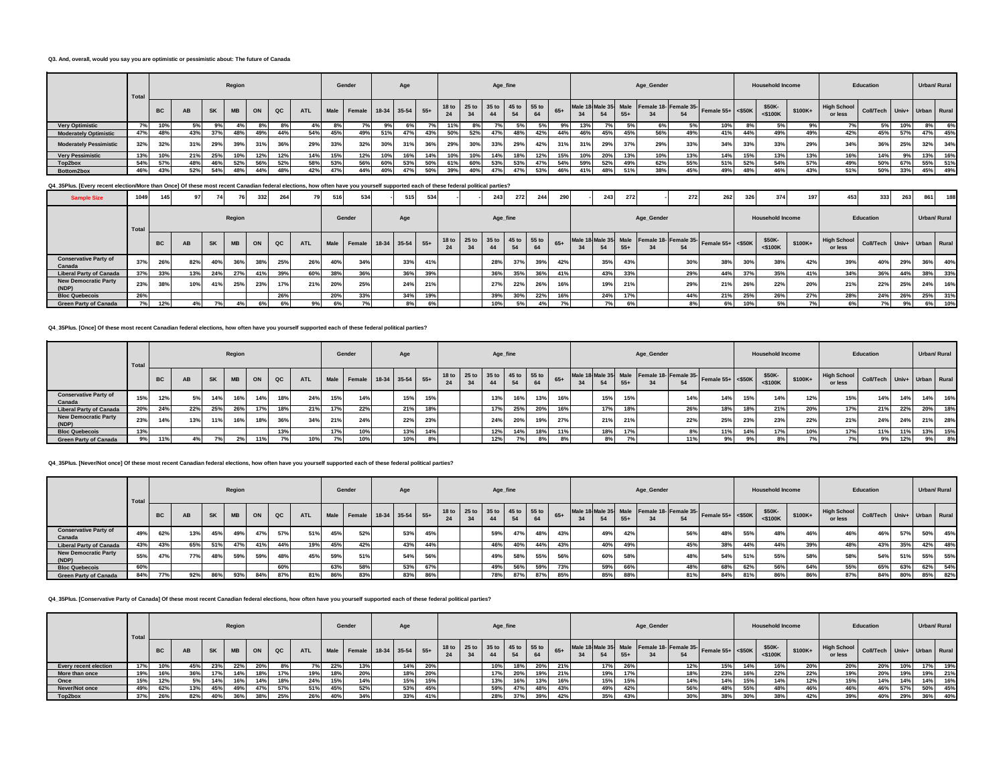#### **Q3. And, overall, would you say you are optimistic or pessimistic about: The future of Canada**

|                               | Total |           |     |           | Region    |     |     |            |      | Gender                 |     | Age       |     |     |     |     | Age_fine                      |     |       |     |     |     | Age_Gender |     |                                                                                                |     | <b>Household Income</b> |         |                               | Education                   |     |     | Urban/ Rural |
|-------------------------------|-------|-----------|-----|-----------|-----------|-----|-----|------------|------|------------------------|-----|-----------|-----|-----|-----|-----|-------------------------------|-----|-------|-----|-----|-----|------------|-----|------------------------------------------------------------------------------------------------|-----|-------------------------|---------|-------------------------------|-----------------------------|-----|-----|--------------|
|                               |       | <b>BC</b> | AB  | <b>SK</b> | <b>MB</b> | ON  | QC  | <b>ATL</b> | Male | Female 18-34 35-54 55+ |     |           |     | 24  | 34  |     | 18 to 25 to 35 to 45 to 55 to | 64  | $65+$ |     |     | 55. |            | 54  | Male 18 Male 35 Male Female 18- Female 35- Female 55+ $\left  \right $ <\$50K $\left  \right $ |     | \$50K-<br>$<$ \$100K    | \$100K+ | <b>High School</b><br>or less | Coll/Tech Univ+ Urban Rural |     |     |              |
| <b>Very Optimistic</b>        |       | 10%       | 5%  |           |           |     | 8%  | 4%         |      |                        | 9%  |           |     | 11% | 8%  |     |                               |     |       | 13% |     |     |            | 5%  | 10%                                                                                            |     | 5%                      |         |                               |                             | 10% | 8%  | 6%           |
| <b>Moderately Optimistic</b>  | 47%   | 48%       | 43% | 270/      | 48%       | 49% | 44% | 54%        | 45%  | 49%                    | 51% | 47%       | 43% | 50% | 52% |     | 48%                           | 42% | 44%   | 46% | 45% | 45% | 56%        | 49% | 41%                                                                                            | 44% | 49%                     | 49%     | 42%                           | 45%                         | 57% | 47% | 45%          |
| <b>Moderately Pessimistic</b> | 32%   | 32%       | 31% | 29%       | 39%       | 31% | 36% | 29%        | 33%  | 32%                    |     | 240<br>JІ | 36% | 29% | 30% | 33% | 29%                           | 42% | 31%   | 31% | 29% | 37% | 29%        | 33% | 34%                                                                                            | 33% | 33%                     | 29%     | 34%                           | 36%                         | 25% | 32% | 34%          |
| <b>Very Pessimistic</b>       | 13%   | 10%       | 21% | 25%       |           | 12% | 12% | 14%        |      | 12%                    | 10% | 16%       | 14% | 10% | 10% |     |                               | 12% | 15%   |     | 20% | 13% | 10%        | 13% | 14%                                                                                            | 15% | 13%                     | 13%     | 16%                           | 14%                         |     | 13% | 16%          |
| Top2box                       | 54%   | 57%       | 48% |           | 52%       | 56% | 52% | 58%        | 53%  | 56%                    | 60% | 53%       | 50% | 61% | 60% | 53% | 53%                           |     | 54%   | 59% | 52% | 49% | 62%        | 55% | 51%                                                                                            | 52% | 54%                     | 57%     | 49%                           | 50%                         | 67% | 55% | 51%          |
| Bottom2box                    | 46%   | 43%       | 52% | EAO       | 48%       | 44% | 48% | 42%        |      | 44%                    | 40% | 47°       | 50% | 39% | 40% |     | 47%                           | 53% | 46%   |     | 48% | 51% | 38%        | 45% | 49%                                                                                            | 48% | 46%                     | 43%     | 51%                           | 50%                         | 33% | 45% | 49%          |

## **Q4\_35Plus. [Every recent election/More than Once] Of these most recent Canadian federal elections, how often have you yourself supported each of these federal political parties?**

| <b>Sample Size</b>                     | 1049  | 145       |     | 74        |           | 332 | 264         |            | 516 | 534                         | 515 | 534 |    |    | 243                                 | 272 | 244 | 290   |    | 243 | 272   |            | 272 | 262                                                          | 326 | 374                     | 197     | 453                           | 333                         | 263 | 861 | 188          |
|----------------------------------------|-------|-----------|-----|-----------|-----------|-----|-------------|------------|-----|-----------------------------|-----|-----|----|----|-------------------------------------|-----|-----|-------|----|-----|-------|------------|-----|--------------------------------------------------------------|-----|-------------------------|---------|-------------------------------|-----------------------------|-----|-----|--------------|
|                                        | Total |           |     |           | Region    |     |             |            |     | Gender                      | Age |     |    |    | Age_fine                            |     |     |       |    |     |       | Age_Gender |     |                                                              |     | <b>Household Income</b> |         |                               | Education                   |     |     | Urban/ Rural |
|                                        |       | <b>BC</b> | AB  | <b>SK</b> | <b>MB</b> | ON  | $_{\rm QC}$ | <b>ATL</b> |     | Male Female 18-34 35-54 55+ |     |     | 24 | 34 | 18 to 25 to 35 to 45 to 55 to<br>44 | 54  | 64  | $65+$ | 34 | 54  | $55+$ |            | 54  | Male 18 Male 35 Male Female 18- Female 35- Female 55+ <\$50K |     | \$50K-<br>$<$ \$100K    | \$100K+ | <b>High School</b><br>or less | Coll/Tech Univ+ Urban Rural |     |     |              |
| <b>Conservative Party of</b><br>Canada | 37%   | 26%       | 82% | 40%       | 36%       | 38% | 25%         | 26%        | 40% | 34%                         | 33% | 41% |    |    | 28%                                 | 37% | 39% | 42%   |    | 35% | 43%   |            | 30% | 38%                                                          | 30% | 38%                     | 42%     | 39%                           | 40%                         | 29% | 36% | 40%          |
| <b>Liberal Party of Canada</b>         | 37%   | 33%       | 13% | 24%       | 27%       | 41% | 39%         | 60%        | 38% | 36%                         | 36% | 39% |    |    | 36%                                 | 35% | 36% | 41%   |    | 43% | 33%   |            | 29% | 44%                                                          | 37% | 35%                     | 41%     | 34%                           | 36%                         | 44% | 38% | 33%          |
| <b>New Democratic Party</b><br>(NDP)   | 23%   | 38%       | 10% | 41%       | 25%       | 23% | 17%         | 21%        | 20% | 25%                         | 24% | 21% |    |    | 27%                                 | 22% | 26% | 16%   |    | 19% | 21%   |            | 29% | 21%                                                          | 26% | 22%                     | 20%     | 21%                           | 22%                         | 25% | 24% | 16%          |
| <b>Bloc Quebecois</b>                  | 26%   |           |     |           |           |     | 26%         |            | 20% | 33%                         | 34% | 19% |    |    | 39%                                 | 30% | 22% | 16%   |    | 24% |       |            | 44% | 21%                                                          | 25% | 26%                     | 27%     | 28%                           | 24%                         | 26% | 25% | 31%          |
| <b>Green Party of Canada</b>           | 7%    | 12%       |     |           | 4%        | 6%  |             | 9%         |     |                             |     |     |    |    | 10%                                 | 5%  |     |       |    | 7%  |       |            |     | 6%                                                           |     | 5%                      |         | 6%                            |                             |     | 6%  | 10%          |

**Q4\_35Plus. [Once] Of these most recent Canadian federal elections, how often have you yourself supported each of these federal political parties?**

|                                        | Total |           |           |           | Region          |     |               |            |     | Gender                      | Age |     |    | Age_fine                            |     |     |     |    |     |       | Age_Gender |                                                  |                      |     | <b>Household Income</b> |            |                                             | Education |     |     | Urban/ Rural |
|----------------------------------------|-------|-----------|-----------|-----------|-----------------|-----|---------------|------------|-----|-----------------------------|-----|-----|----|-------------------------------------|-----|-----|-----|----|-----|-------|------------|--------------------------------------------------|----------------------|-----|-------------------------|------------|---------------------------------------------|-----------|-----|-----|--------------|
|                                        |       | <b>BC</b> | <b>AB</b> | <b>SK</b> | <b>MB</b>       | ON  | $_{\alpha c}$ | <b>ATL</b> |     | Male Female 18-34 35-54 55+ |     |     | 34 | 18 to 25 to 35 to 45 to 55 to<br>44 |     |     |     | 34 |     | $55+$ |            | Male 18 Male 35 Male Female 18- Female 35-<br>54 | Female $55+ <$ \$50K |     | \$50K-<br>$<$ \$100K    | \$100K+    | uK+ High School Coll/Tech Univ+ Urban Rural |           |     |     |              |
| <b>Conservative Party of</b><br>Canada | 15%   | 12%       | 5%        |           | 16%             | 14% | 18%           | 24%        | 15% | 14%                         | 15% | 15% |    | 13%                                 |     | 13% | 16% |    | 15% | 15%   |            | 14%                                              | 14%                  | 15% | 14%                     | 12%        | 15%                                         | 14%       | 14% | 14% | 16%          |
| <b>Liberal Party of Canada</b>         | 20%   | 24%       | 22%       | 25%       | 26%             | 17% | 18%           | 21%        |     | 22%                         | 21% | 18% |    | 17%                                 | 25% | 20% | 16% |    | 17% | 18%   |            | 26%                                              | 18%                  | 18% | 21%                     | <b>20%</b> | 17%                                         | 21%       | 22% | 20% | 18%          |
| <b>New Democratic Party</b><br>(NDP)   | 23%   | 14%       | 13%       | 11%       | 16%             | 18% | 36%           | 34%        | 21% | 24%                         | 22% | 23% |    | 24%                                 | 20% | 19% | 27% |    | 21% | 21%   |            | 22%                                              | 25%                  | 23% | 23%                     | 22%        | 21%                                         | 24%       | 24% | 21% | 28%          |
| <b>Bloc Quebecois</b>                  | 13%   |           |           |           |                 |     | 13%           |            |     | 10%                         | 13% | 14% |    | 12%                                 |     | 18% | 11% |    | 18% | 17%   |            |                                                  | 11%                  | 14% | 17%                     |            | 7%                                          | 11%       | 11% | 13% | 15%          |
| <b>Green Party of Canada</b>           | $Q_0$ | 110/      | 4%        |           | 20 <sub>1</sub> | 11% |               | 10%        |     | 10%                         | 10% |     |    | 12%                                 |     | 00  |     |    | 8%  |       |            | 11%                                              | $Q_0$                |     |                         |            |                                             | 9%        |     | 9%  | 8%           |

#### **Q4\_35Plus. [Never/Not once] Of these most recent Canadian federal elections, how often have you yourself supported each of these federal political parties?**

|                                        | Total |           |     |           | Region    |     |     |            |     | Gender                      | Age        |     |    |                                     |     | Age_fine |     |       |     |       | Age_Gender |     |                                                            |     | <b>Household Income</b> |         |                               | Education                   |     |     | Urban/ Rural |
|----------------------------------------|-------|-----------|-----|-----------|-----------|-----|-----|------------|-----|-----------------------------|------------|-----|----|-------------------------------------|-----|----------|-----|-------|-----|-------|------------|-----|------------------------------------------------------------|-----|-------------------------|---------|-------------------------------|-----------------------------|-----|-----|--------------|
|                                        |       | <b>BC</b> | AB  | <b>SK</b> | <b>MB</b> | ON  | QC  | <b>ATL</b> |     | Male Female 18-34 35-54 55+ |            |     | 24 | 18 to 25 to 35 to 45 to 55 to<br>34 | 44  |          | 64  | $65+$ |     | $55+$ |            | 54  | Male 18 Male 35 Male Female 18 Female 35 Female 55+ <\$50K |     | \$50K-<br>$<$ \$100K    | \$100K+ | <b>High School</b><br>or less | Coll/Tech Univ+ Urban Rural |     |     |              |
| <b>Conservative Party of</b><br>Canada | 49%   | 62%       | 13% | 45%       | 49%       | 47% | 57% | 51%        | 45% | 52%                         | 53%        | 45% |    |                                     | 59% | 47%      | 48% | 43%   | 49% | 42%   |            | 56% | 48%                                                        | 55% | 48%                     | 46%     | 46%                           | 46%                         | 57% | 50% | 45%          |
| <b>Liberal Party of Canada</b>         | 43%   | 43%       | 65% | 51%       | 47%       | 41% | 44% | 19%        | 45% | 42%                         | 43%        | 44% |    |                                     | 46% | 40%      | 44% | 43%   | 40% | 49%   |            | 45% | 38%                                                        | 44% | 44%                     | 39%     | 48%                           | 43%                         | 35% | 42% | 48%          |
| <b>New Democratic Party</b><br>(NDP)   | 55%   | 47%       | 77% | 48%       | 59%       | 59% | 48% | 45%        | 59% | 51%                         | 54%        | 56% |    |                                     | 49% | 58%      | 55% | 56%   | 60% | 58%   |            | 48% | 54%                                                        | 51% | 55%                     | 58%     | 58%                           | 54%                         | 51% | 55% | 55%          |
| <b>Bloc Quebecois</b>                  | 60%   |           |     |           |           |     |     |            | 63% | 58%                         | <b>53%</b> | 67% |    |                                     | 49% | 56%      | 59% | 73%   | 59% | 66%   |            | 48% | 68%                                                        | 62% | 56%                     | 64%     | 55%                           | 65%                         | 63% | 62% | 54%          |
| <b>Green Party of Canada</b>           | 84%   | 77%       | 92% | 86%       | 93%       | 84% | 87% | 81%        | 86% | 83%                         | 83%        | 86% |    |                                     | 78% | 87%      | 87% | 85%   | 85% | 88%   |            | 81% | 84%                                                        | 81% | 86%                     | 86%     | 87%                           | 84%                         | 80% | 85% | 82%          |

**Q4\_35Plus. [Conservative Party of Canada] Of these most recent Canadian federal elections, how often have you yourself supported each of these federal political parties?**

|                              | Total |           |     |           | Region    |     |               |            |     | Gender                      | Age |     |                               |    | Age_fine |     |     |     |    |     |       | Age_Gender |                    |                                                             |     | <b>Household Income</b> |          |                               | Education                   |     |     | Urban/ Rural |
|------------------------------|-------|-----------|-----|-----------|-----------|-----|---------------|------------|-----|-----------------------------|-----|-----|-------------------------------|----|----------|-----|-----|-----|----|-----|-------|------------|--------------------|-------------------------------------------------------------|-----|-------------------------|----------|-------------------------------|-----------------------------|-----|-----|--------------|
|                              |       | <b>BC</b> | AB  | <b>SK</b> | <b>MB</b> | ON  | $_{\alpha c}$ | <b>ATL</b> |     | Male Female 18-34 35-54 55+ |     |     | 18 to 25 to 35 to 45 to 55 to | 34 | 44       |     |     |     | 34 |     | $55+$ |            | 54                 | Male 18 Male 35 Male Female 18 Female 35- Female 55+ <\$50K |     | \$50K-<br>$<$ \$100 $K$ | $$100K+$ | <b>High School</b><br>or less | Coll/Tech Univ+ Urban Rural |     |     |              |
| <b>Every recent election</b> | 17%   | 10%       | 45% | 23%       | 22%       | 20% |               | 7%         | 22% | 13%                         | 14% | 20% |                               |    | 10%      |     | 20% | 21% |    | 17% | 26%   |            | 12%                | 15%                                                         | 14% | 16%                     | 20%      | 20%                           | 20%                         | 10% | 17% | 19%          |
| More than once               | 19%   | 16%       | 36% | 17%       |           | 18% | 17%           | 19%        | 18% | 20%                         | 18% | 20% |                               |    | 17%      | 20% | 19% | 21% |    | 19% | 17%   |            | 18%                | 23%                                                         | 16% | 22%                     | 22%      | 19%                           | 20%                         | 19% | 19% | 21%          |
| Once                         | 15%   | 12%       | 5%  | 14%       |           | 14% | 18%           | 24%        | 15% | 14%                         | 15% | 15% |                               |    | 13%      |     | 13% | 16% |    | 15% | 15%   |            | 14%                | 14%                                                         | 15% | 14%                     | 12%      | 15%                           | 14%                         | 14% | 14% | 16%          |
| Never/Not once               | 49%   | 62%       | 13% |           | 49%       | 47% | 57%           | 51%        | 45% | 52%                         | 53% | 45% |                               |    | 59%      |     | 48% | 43% |    | 49% | 42%   |            | 56%                | 48%                                                         | 55% | 48%                     | 46%      | 46%                           | 46%                         | 57% | 50% | 45%          |
| Top2box                      | 37%   | 26%       | 82% | 40%       | 200       | 38% | 25%           | 26%        |     | 34%                         | 33% |     |                               |    | 28%      | 37% | 39% |     |    | 35% | 43%   |            | 200/<br><b>30%</b> | 38%                                                         | 30% | 38%                     | 42%      | 39%                           | 40%                         | 29% | 36% | 40%          |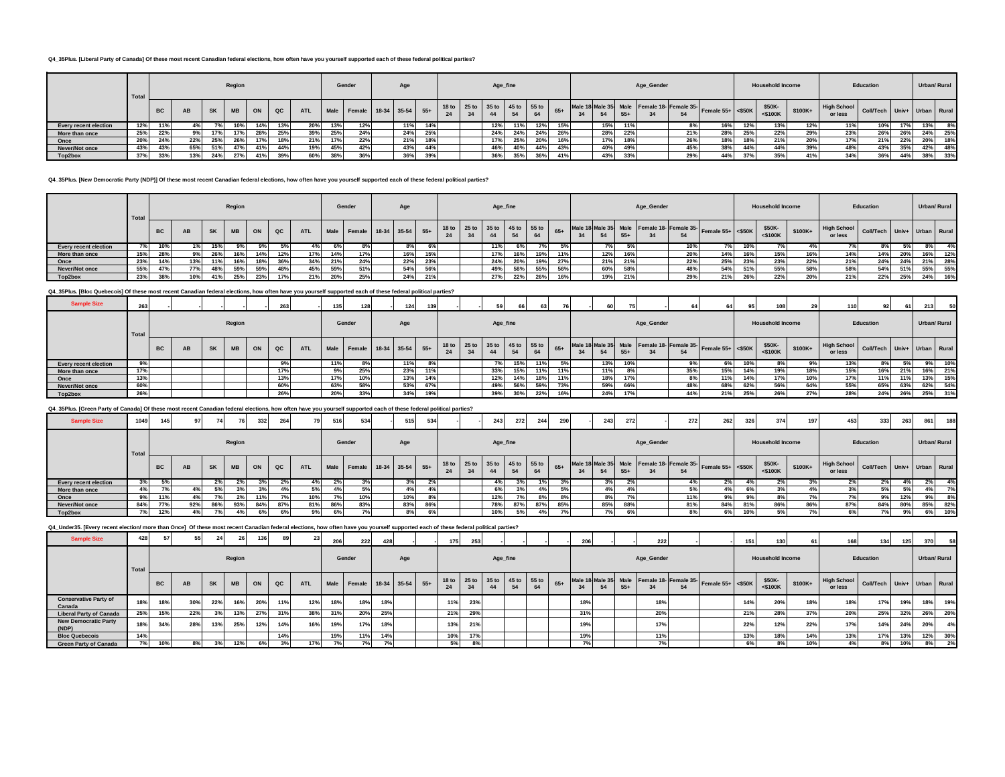#### **Q4\_35Plus. [Liberal Party of Canada] Of these most recent Canadian federal elections, how often have you yourself supported each of these federal political parties?**

|                       | Total |           |     |           | Region |     |     |     |     | Gender                          | Age        |     |    |                                     | Age_fine |     |     |     |       | Age_Gender |     |                                                                  |     | <b>Household Income</b> |          |                               | Education                   |     |     | Urban/ Rural |
|-----------------------|-------|-----------|-----|-----------|--------|-----|-----|-----|-----|---------------------------------|------------|-----|----|-------------------------------------|----------|-----|-----|-----|-------|------------|-----|------------------------------------------------------------------|-----|-------------------------|----------|-------------------------------|-----------------------------|-----|-----|--------------|
|                       |       | <b>BC</b> | AB  | <b>SK</b> | MB     | ON  | QC  |     |     | ATL Male Female 18-34 35-54 55+ |            |     | 34 | 18 to 25 to 35 to 45 to 55 to<br>44 |          | 64  |     |     | $55+$ |            | 54  | Male 18 Male 35 Male Female 18- Female 35- Female 55+ <\$50K 55" |     | \$50K-<br>$<$ \$100K    | $$100K+$ | <b>High School</b><br>or less | Coll/Tech Univ+ Urban Rural |     |     |              |
| Every recent election | 12%   |           |     |           |        | 14% | 13% | 20% | 13% | 12%                             | 440        | 14% |    | 12%                                 | 11%      | 12% | 15% | 15% | 4494  |            |     | 16%                                                              | 12% | 13%                     | 12%      | 11%                           | 10%                         | 17% | 13% | 8%           |
| More than once        | 25%   | 22%       |     |           | 17%    | 28% | 25% | 39% | 25% | 24%                             | <b>24%</b> | 25% |    | 24%                                 | 24%      | 24% | 26% | 28% | 22%   |            | 21% | 28%                                                              | 25% | 22%                     | 29%      | 23%                           | 26%                         | 26% | 24% | 25%          |
| Once                  | 20%   | 24%       | 22% | 25%       | 26%    | 17% | 18% | 21% | 17% | 22%                             | 21%        | 18% |    |                                     | 25%      | 20% | 16% | 17% | 18%   |            | 26% | 18%                                                              | 18% | 21%                     | 20%      | 17%                           | 21%                         | 22% | 20% | 18%          |
| Never/Not once        | 43%   | 43%       | 65% | 51%       | 47%    | 41% | 44% | 19% | 45% |                                 | 43%        | 44% |    | 46%                                 | 40%      | 44% | 43% | 40% |       |            | 45% | 38%                                                              | 44% | 44%                     | 39%      | 48%                           | 43%                         | 35% | 42% | 48%          |
| Top2box               | 37%   | 33%       | 13% | 24%       | 27%    | 41% | 39% | 60% | 38% | 36%                             | 36%        | 39% |    | 36%                                 | 35%      | 36% | 41% | 43% | 33%   |            | 29% | 44%                                                              | 37% | 35%                     | 41%      | 34%                           | 36%                         | 44% | 38% | 33%          |

#### **Q4\_35Plus. [New Democratic Party (NDP)] Of these most recent Canadian federal elections, how often have you yourself supported each of these federal political parties?**

|                       | Total |           |     |           | Region |     |     |                    |     | Gender                           | Age |     |                               |    |             | Age_fine |     |       |     |       | Age_Gender |     |                                                            |     | <b>Household Income</b> |         |                               | Education                   |     |     | Urban/ Rural |
|-----------------------|-------|-----------|-----|-----------|--------|-----|-----|--------------------|-----|----------------------------------|-----|-----|-------------------------------|----|-------------|----------|-----|-------|-----|-------|------------|-----|------------------------------------------------------------|-----|-------------------------|---------|-------------------------------|-----------------------------|-----|-----|--------------|
|                       |       | <b>BC</b> | AB  | <b>SK</b> | MB     | ON  | QC  | <b>ATL</b>         |     | Male Female 18-34 35-54 55+      |     |     | 18 to 25 to 35 to 45 to 55 to | 34 |             |          | 64  | $65+$ |     | $55+$ |            | 54  | Male 18 Male 35 Male Female 18 Female 35 Female 55+ <\$50K |     | \$50K-<br>$<$ \$100 $K$ | \$100K+ | <b>High School</b><br>or less | Coll/Tech Univ+ Urban Rural |     |     |              |
| Every recent election | 7%    | 10%       |     | 15%       |        |     | 5%  |                    |     |                                  |     |     |                               |    |             |          |     | 5%    |     |       |            |     | 7%                                                         | 10% | 7%                      |         |                               |                             |     |     | 4%           |
| More than once        | 15%   | 28%       | 9%  | 26%       | 16%    | 14% | 12% |                    | 14% |                                  | 16% | 15% |                               |    |             |          | 19% | 11%   | 12% | 16%   |            | 20% | 14%                                                        | 16% | 15%                     | 16%     | 14%                           | 14%                         | 20% | 16% | 12%          |
| Once                  | 23%   | 14%       | 13% |           | 16%    | 18% | 36% | 34%                | 21% | 24%                              | 22% | 23% |                               |    | 24%         | 20%      | 19% | 27%   | 21% | 21%   |            | 22% | 25%                                                        | 23% | 23%                     | 22%     | 21%                           | 24%                         | 24% | 21% | 28%          |
| Never/Not once        | 55%   | 47%       | 77% |           |        | 59% | 48% | 45%                | 59% | E <sub>10</sub> /<br><b>JI70</b> | 54% | 56% |                               |    |             | 58%      | 55% | 56%   | 60% | 58%   |            |     | 54%                                                        | 51% | 55%                     | 58%     | 58%                           | 54%                         | 51% | 55% | 55%          |
| Top2box               | 23%   | 38%       | 10% |           | 25%    | 23% | 17% | 240<br><b>4170</b> | 20% | 25%                              | 24% | 21% |                               |    | 270/<br>27% | 22%      | 26% | 16%   | 19% | 21%   |            | 29% | 21%                                                        | 26% | 22%                     | 20%     | 21%                           | 22%                         | 25% | 24% | 16%          |

**Q4\_35Plus. [Bloc Quebecois] Of these most recent Canadian federal elections, how often have you yourself supported each of these federal political parties?**

| <b>Sample Size</b>           | 263   |           |    |           |           |    |     |            | 1351 | 128                         | 124 |     |    | 50                                  | 66  |     |       |    | 60  | 75    |            | 64  | 64                                                                              |     | 108                     |         | 11 U                          | 92 .                        | -61 | 213 | 50           |
|------------------------------|-------|-----------|----|-----------|-----------|----|-----|------------|------|-----------------------------|-----|-----|----|-------------------------------------|-----|-----|-------|----|-----|-------|------------|-----|---------------------------------------------------------------------------------|-----|-------------------------|---------|-------------------------------|-----------------------------|-----|-----|--------------|
|                              | Total |           |    |           | Region    |    |     |            |      | Gender                      | Age |     |    | Age_fine                            |     |     |       |    |     |       | Age_Gender |     |                                                                                 |     | <b>Household Income</b> |         |                               | Education                   |     |     | Urban/ Rural |
|                              |       | <b>BC</b> | AB | <b>SK</b> | <b>MB</b> | ON | QC  | <b>ATL</b> |      | Male Female 18-34 35-54 55+ |     |     | 24 | 18 to 25 to 35 to 45 to 55 to<br>44 |     | 64  | $65+$ | 34 |     | $55+$ |            | 54  | Male 18 Male 35 Male Female 18- Female 35- Female 55+ <\$50K $\frac{5^{5}}{25}$ |     | \$50K-<br>$<$ \$100K    | \$100K+ | <b>High School</b><br>or less | Coll/Tech Univ+ Urban Rural |     |     |              |
| <b>Every recent election</b> | 9%    |           |    |           |           |    |     |            | 11%  | 8%                          | 11% |     |    |                                     | 15% | 11% |       |    | 13% | 10%   |            | 9%  | 6%                                                                              | 10% | 8%                      |         | 13%                           | $8\%$                       |     | 9%  | 10%          |
| More than once               | 17%   |           |    |           |           |    |     |            | 9%   | 25%                         | 23% | 11% |    | 33%                                 | 15% | 11% | 11%   |    | 11% | 8%    |            | 35% | 15%                                                                             | 14% | 19%                     | 18%     | 15%                           | 16%                         | 21% | 16% | 21%          |
| Once                         | 13%   |           |    |           |           |    | 13% |            | 17%  | 10%                         | 13% | 14% |    | 12%                                 | 14% | 18% | 11%   |    | 18% | 17%   |            | 8%  | 11%                                                                             | 14% |                         | 10%     | 17%                           | 11%                         | 11% | 13% | 15%          |
| Never/Not once               | 60%   |           |    |           |           |    | 60% |            | 63%  | 58%                         | 53% | 67% |    | 49%                                 | 56% | 59% | 73%   |    | 59% | 66%   |            | 48% | 68%                                                                             | 62% | 56%                     | 64%     | 55%                           | 65%                         | 63% | 62% | 54%          |
| Top2box                      | 26%   |           |    |           |           |    | 26% |            | 20%  | 33%                         | 34% | 19% |    | 39%                                 | 30% | 22% | 16%   |    | 24% | 17%   |            | 44% | 21%                                                                             | 25% | 26%                     |         | 28%                           | 24%                         | 26% | 25% | 31%          |

### **Q4\_35Plus. [Green Party of Canada] Of these most recent Canadian federal elections, how often have you yourself supported each of these federal political parties?**

| <b>Sample Size</b>           | 1049  | 145       | 971 | 74  |           | 332 | 264 | 79         | 516 | 534                         | 515 | 534 |    |                               | 243 | 272      | 244 | 290   |    | 243 | 272   |            | 272 | 262                                                          | 3261 | 374                     | 197     | 453                           | 333                         | 263 | 861 | 188                 |
|------------------------------|-------|-----------|-----|-----|-----------|-----|-----|------------|-----|-----------------------------|-----|-----|----|-------------------------------|-----|----------|-----|-------|----|-----|-------|------------|-----|--------------------------------------------------------------|------|-------------------------|---------|-------------------------------|-----------------------------|-----|-----|---------------------|
|                              | Total |           |     |     | Region    |     |     |            |     | Gender                      | Age |     |    |                               |     | Age_fine |     |       |    |     |       | Age_Gender |     |                                                              |      | <b>Household Income</b> |         |                               | Education                   |     |     | <b>Urban/ Rural</b> |
|                              |       | <b>BC</b> | AB  | SK  | <b>MB</b> | ON  | QC  | <b>ATL</b> |     | Male Female 18-34 35-54 55+ |     |     | 24 | 18 to 25 to 35 to 45 to 55 to | 44  | 54       | 64  | $65+$ | 34 | 54  | $55+$ |            | 54  | Male 18 Male 35 Male Female 18- Female 35- Female 55+ <\$50K |      | \$50K-<br>$<$ \$100K    | \$100K+ | <b>High School</b><br>or less | Coll/Tech Univ+ Urban Rural |     |     |                     |
| <b>Every recent election</b> | 3%    |           |     |     | 2%        | 3%  |     | 4%         |     | 3%                          | 3%  |     |    |                               | 4%  |          |     |       |    | 3%  |       |            |     | $\sim$<br>2%                                                 |      |                         |         | 2%                            | 2%                          | 4%  | 2%  | 4%                  |
| More than once               | 4%1   |           |     |     | 3%        | 3%  |     | 5%         |     | 5%                          | 4%  |     |    |                               |     |          |     | 5%    |    | 4%  |       |            |     |                                                              | 6%   |                         |         | 3%                            | 5% 1                        |     |     | 7%                  |
| Once                         | 9%    | 11%       |     |     |           | 11% |     | 10%        |     | 10%                         | 10% |     |    |                               | 12% | 7۵ ا     |     |       |    | 8%  |       |            | 11% | nn/                                                          |      |                         |         | 7%                            | 9%                          | 12% | 9%  | 8%                  |
| Never/Not once               | 84%   | 77%       | 92% | 86% | 93%       | 84% | 87% | 81%        | 86% | 83%                         | 83% | 86% |    |                               | 78% | 87%      | 87% | 85%   |    | 85% | 88%   |            | 81% | 84%                                                          | 81%  | 86%                     | 86%     | 87%                           | 84%                         | 80% | 85% | 82%                 |
| Top2box                      | 7%    | 12%       |     |     | 4%        | 6%  | 6%  | 9%         |     | 7%                          | 8%  | 6%  |    |                               | 10% | 5%       |     |       |    | 7%  |       |            |     | 6%                                                           |      |                         |         | 6%                            | 7% I                        | 9%  | 6%  | 10%                 |

**Q4\_Under35. [Every recent election/ more than Once] Of these most recent Canadian federal elections, how often have you yourself supported each of these federal political parties?**

| <b>Sample Size</b>                     | 428   |           | 55        | 24        |           | 136 |     | 23 <sup>1</sup> | 206  | 222                    | 428 |     | 175 | 253 |                                     |    |    |       | 206 |       | 222        |    |                                                              | 151 | 130                     | 61       | 168                           | 134                         | 125 | 370 | 58           |
|----------------------------------------|-------|-----------|-----------|-----------|-----------|-----|-----|-----------------|------|------------------------|-----|-----|-----|-----|-------------------------------------|----|----|-------|-----|-------|------------|----|--------------------------------------------------------------|-----|-------------------------|----------|-------------------------------|-----------------------------|-----|-----|--------------|
|                                        | Total |           |           |           | Region    |     |     |                 |      | Gender                 |     | Age |     |     | Age_fine                            |    |    |       |     |       | Age_Gender |    |                                                              |     | <b>Household Income</b> |          |                               | Education                   |     |     | Urban/ Rural |
|                                        |       | <b>BC</b> | <b>AB</b> | <b>SK</b> | <b>MB</b> | ON  | QC  | <b>ATL</b>      | Male | Female 18-34 35-54 55+ |     |     |     |     | 18 to 25 to 35 to 45 to 55 to<br>44 | 54 | 64 | $65+$ | 34  | $55+$ |            | 54 | Male 18 Male 35 Male Female 18- Female 35- Female 55+ <\$50K |     | \$50K-<br>$<$ \$100 $K$ | $$100K+$ | <b>High School</b><br>or less | Coll/Tech Univ+ Urban Rural |     |     |              |
| <b>Conservative Party of</b><br>Canada |       | 18%       | 30%       | 22%       | 16%       | 20% | 11% | 12%             | 18%  |                        | 18% |     | 11% | 23% |                                     |    |    |       | 18% |       | 18%        |    |                                                              | 14% | 20%                     | 18%      | 18%                           | 17%                         | 19% | 18% | 19%          |
| <b>Liberal Party of Canada</b>         | 25%   | 15%       | 22%       | 3%        | 13%       | 27% | 31% | 38%             | 31%  | 20%                    | 25% |     | 21% | 29% |                                     |    |    |       | 31% |       | 20%        |    |                                                              | 21% | 28%                     | 37%      | 20%                           | 25%                         | 32% | 26% | 20%          |
| <b>New Democratic Party</b><br>(NDP)   | 18%   | 34%       | 28%       | 13%       | 25%       | 12% | 14% | 16%             | 19%  |                        | 18% |     | 13% | 21% |                                     |    |    |       | 19% |       | 17%        |    |                                                              | 22% | 12%                     | 22%      | 17%                           | 14%                         | 24% | 20% | 4%           |
| <b>Bloc Quebecois</b>                  | 14%   |           |           |           |           |     | 14% |                 | 19%  |                        | 14% |     | 10% | 17% |                                     |    |    |       | 19% |       | 11%        |    |                                                              | 13% | 18%                     | 14%      | 13%                           | 17%                         | 13% | 12% | 30%          |
| <b>Green Party of Canada</b>           |       | 10%       | 8%        | 3%        | 12%       | 6%  |     | 17%             | 7%   |                        | 7°  |     | 5%  | 8%  |                                     |    |    |       |     |       | 7%         |    |                                                              | 6%  |                         | 10%      | 4%                            | 8%                          | 10% | 8%  | 2%           |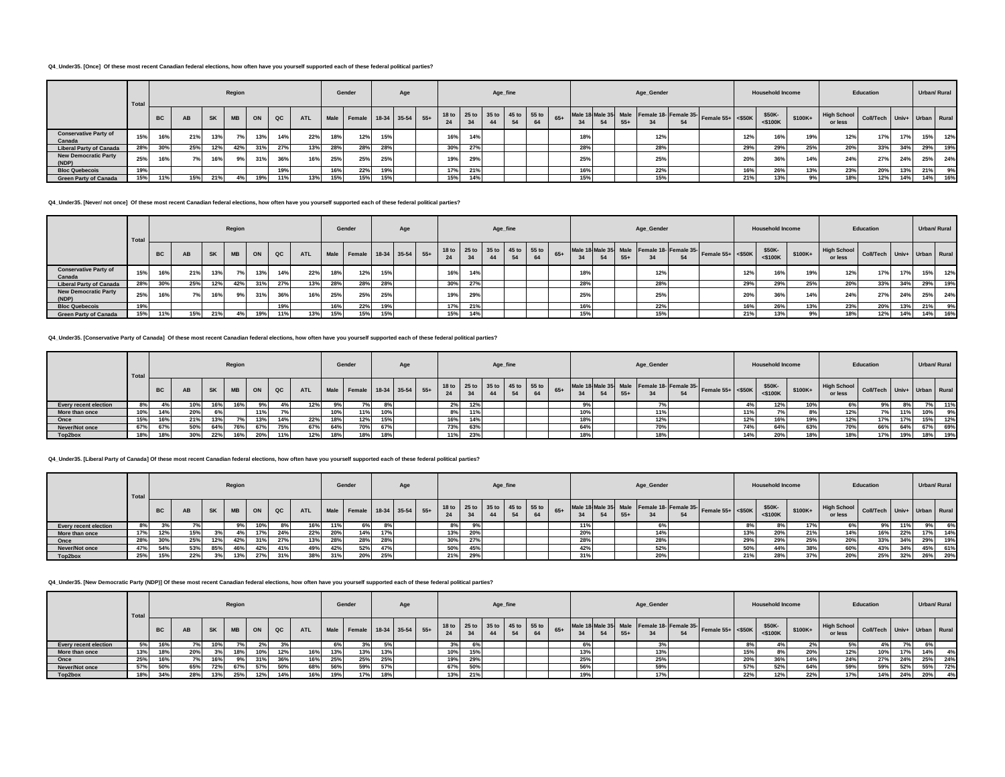#### **Q4\_Under35. [Once] Of these most recent Canadian federal elections, how often have you yourself supported each of these federal political parties?**

|                                        | Total |           |     |           | Region    |     |     |            |     | Gender                      |     | Age |     |                                     | Age_fine |    |       |     |       | Age_Gender |    |                                                              |     | <b>Household Income</b> |          |                               | Education                   |     |     | Urban/ Rural |
|----------------------------------------|-------|-----------|-----|-----------|-----------|-----|-----|------------|-----|-----------------------------|-----|-----|-----|-------------------------------------|----------|----|-------|-----|-------|------------|----|--------------------------------------------------------------|-----|-------------------------|----------|-------------------------------|-----------------------------|-----|-----|--------------|
|                                        |       | <b>BC</b> | AB  | <b>SK</b> | <b>MB</b> | ON  | QC  | <b>ATL</b> |     | Male Female 18-34 35-54 55+ |     |     |     | 18 to 25 to 35 to 45 to 55 to<br>34 |          | 64 | $65+$ |     | $55+$ |            | 54 | Male 18 Male 35 Male Female 18- Female 35- Female 55+ <\$50K |     | \$50K-<br>$<$ \$100 $K$ | $$100K+$ | <b>High School</b><br>or less | Coll/Tech Univ+ Urban Rural |     |     |              |
| <b>Conservative Party of</b><br>Canada | 15%   | 16%       | 21% | 13%       | 7°/       | 13% | 14% | 22%        | 18% | 12%                         | 15% |     | 16% | 14%                                 |          |    |       | 18% |       | 12%        |    |                                                              | 12% | 16%                     | 19%      | 12%                           | 17%                         | 17% | 15% | 12%          |
| <b>Liberal Party of Canada</b>         | 28%   | 30%       | 25% | 12%       | 42%       | 31% | 27% | 13%        | 28% | 28%                         | 28% |     | 30% | 27%                                 |          |    |       | 28% |       | 28%        |    |                                                              | 29% | 29%                     | 25%      | 20%                           | 33%                         | 34% | 29% | 19%          |
| <b>New Democratic Party</b><br>(NDP)   | 25%   | 16%       | 7%  | 16%       | 9%        | 31% | 36% | 16%        | 25% | 25%                         | 25% |     | 19% | 29%                                 |          |    |       | 25% |       | 25%        |    |                                                              | 20% | 36%                     | 14%      | 24%                           | 27%                         | 24% | 25% | 24%          |
| <b>Bloc Quebecois</b>                  | 19%   |           |     |           |           |     | 19% |            | 16% | 22%                         | 19% |     | 17% | 21%                                 |          |    |       | 16% |       | 22%        |    |                                                              | 16% | 26%                     | 13%      | 23%                           | 20%                         | 13% | 21% | 9%           |
| <b>Green Party of Canada</b>           | 15%   | 11%       | 15% | 21%       |           | 19% | 11% | 13%        | 15% | 15%                         | 15% |     | 15% | 14%                                 |          |    |       | 15% |       | 15%        |    |                                                              | 21% | 13%                     |          | 18%                           | 12%                         | 14% | 14% | 16%          |

**Q4\_Under35. [Never/ not once] Of these most recent Canadian federal elections, how often have you yourself supported each of these federal political parties?**

|                                        | Total |           |           |           | Region    |     |     |            |     | Gender                      |     | Age |     |                                     |    | Age_fine |    |       |     |    |       | Age_Gender |    |                                                            |     | <b>Household Income</b> |         |                                                    | Education |     | Urban/ Rural |     |
|----------------------------------------|-------|-----------|-----------|-----------|-----------|-----|-----|------------|-----|-----------------------------|-----|-----|-----|-------------------------------------|----|----------|----|-------|-----|----|-------|------------|----|------------------------------------------------------------|-----|-------------------------|---------|----------------------------------------------------|-----------|-----|--------------|-----|
|                                        |       | <b>BC</b> | <b>AB</b> | <b>SK</b> | <b>MB</b> | ON  | QC  | <b>ATL</b> |     | Male Female 18-34 35-54 55+ |     |     | 24  | 18 to 25 to 35 to 45 to 55 to<br>34 | 44 |          | 64 | $65+$ | 34  | 54 | $55+$ |            | 54 | Male 18 Male 35 Male Female 18 Female 35 Female 55+ <\$50K |     | \$50K-<br>$<$ \$100 $K$ | \$100K+ | High School Coll/Tech Univ+ Urban Rural<br>or less |           |     |              |     |
| <b>Conservative Party of</b><br>Canada | 15%   | 16%       | 21%       | 13%       | 70/       | 13% | 14% | 22%        | 18% | 12%                         | 15% |     | 16% | 14%                                 |    |          |    |       | 18% |    |       | 12%        |    |                                                            | 12% | 16%                     | 19%     | 12%                                                | 17%       | 17% | 15%          | 12% |
| <b>Liberal Party of Canada</b>         | 28%   | 30%       | 25%       | 12%       | 42%       | 31% | 27% | 13%        | 28% | 28%                         | 28% |     | 30% | 27%                                 |    |          |    |       | 28% |    |       | 28%        |    |                                                            | 29% | 29%                     | 25%     | 20%                                                | 33%       | 34% | 29%          | 19% |
| <b>New Democratic Party</b><br>(NDP)   | 25%   | 16%       | 7% l      | 16%       | 9%        | 31% | 36% | 16%        | 25% | 25%                         | 25% |     | 19% | 29%                                 |    |          |    |       | 25% |    |       | 25%        |    |                                                            | 20% | 200                     | 14%     | 24%                                                | 27%       | 24% | 25%          | 24% |
| <b>Bloc Quebecois</b>                  | 19%   |           |           |           |           |     | 19% |            | 16% | 22%                         | 19% |     | 17% | 21%                                 |    |          |    |       | 16% |    |       | 22%        |    |                                                            | 16% | 26%                     | 13%     | 23%                                                | 20%       | 13% | 21%          | 9%  |
| <b>Green Party of Canada</b>           | 15%   | 11%       | 15%       | 21%       |           | 19% | 11% | 13%        | 15% | 15%                         | 15% |     | 15% | 14%                                 |    |          |    |       | 15% |    |       | 15%        |    |                                                            | 21% | 13%                     |         | 18%                                                | 12%       | 14% | 14%          | 16% |

**Q4\_Under35. [Conservative Party of Canada] Of these most recent Canadian federal elections, how often have you yourself supported each of these federal political parties?**

|                              | Total |           |           |             | Region    |     |       |            |     | Gender                                                      |     | Age |       |     | Age_fine |  |       |     |       | Age_Gender |                                                                                                |     | <b>Household Income</b> |         |                               | Education                   |     | Urban/ Rural |     |
|------------------------------|-------|-----------|-----------|-------------|-----------|-----|-------|------------|-----|-------------------------------------------------------------|-----|-----|-------|-----|----------|--|-------|-----|-------|------------|------------------------------------------------------------------------------------------------|-----|-------------------------|---------|-------------------------------|-----------------------------|-----|--------------|-----|
|                              |       | <b>BC</b> | <b>AB</b> | <b>SK</b>   | <b>MB</b> | ON  | QC    | <b>ATL</b> |     | Male Female 18-34 35-54 55+ 18 to 25 to 35 to 55 to 55 to 5 |     |     |       |     |          |  | $65+$ | 34  | $55+$ |            | Male 18 Male 35 Male Female 18- Female 35- Female 55+ $\left  \right $ <\$50K $\left  \right $ |     | \$50K-<br>$<$ \$100K    | \$100K+ | <b>High School</b><br>or less | Coll/Tech Univ+ Urban Rural |     |              |     |
| <b>Every recent election</b> | 8% l  |           | 10%       |             |           |     | $4\%$ | 12%        |     |                                                             |     |     | $2\%$ | 12% |          |  |       | 9%  |       |            |                                                                                                |     | 12%                     |         |                               |                             |     |              | 11% |
| More than once               | 10%   | 14%       | 20%       |             |           | 11% |       |            |     | 11%                                                         | 10% |     | 8%    | 11% |          |  |       | 10% |       | 11%        |                                                                                                | 11% |                         |         | 12%                           |                             | 11% |              | 9%  |
| Once                         | 15%   | 16%       | 21%       |             |           | 13% | 14%   | 22%        |     | 12%                                                         | 15% |     | 16%   | 14% |          |  |       | 18% |       | 12%        |                                                                                                | 12% |                         | 19%     | 12%                           | 17%                         | 17% | 15%          | 12% |
| Never/Not once               | 67%   | 67%       | 50%       | 64%         | 76%       | 67% | 75%   | 67%        | 64% | 70%                                                         | 67% |     | 73%   | 63% |          |  |       | 64% |       | 70%        |                                                                                                | 74% | 64%                     | 63%     | 70%                           | 66%                         | 64% | 67%          | 69% |
| Top2box                      | 18%   | 18%       | 30%       | <b>2270</b> |           | 20% | 11%   | 12%        |     | 18%                                                         | 18% |     | 11%   | 23% |          |  |       | 18% |       | 18%        |                                                                                                | 14% | 20%                     |         | 18%                           | 17%                         | 19% | 18%          | 19% |

**Q4\_Under35. [Liberal Party of Canada] Of these most recent Canadian federal elections, how often have you yourself supported each of these federal political parties?**

|                              | Total |           |           |           | Region    |     |             |            |     | Gender                      |     | Age |                                     |     | Age_fine |    |                     |       | Age_Gender |    |                                                              |     | <b>Household Income</b> |         |                               | Education                   |     |     | Urban/ Rural |
|------------------------------|-------|-----------|-----------|-----------|-----------|-----|-------------|------------|-----|-----------------------------|-----|-----|-------------------------------------|-----|----------|----|---------------------|-------|------------|----|--------------------------------------------------------------|-----|-------------------------|---------|-------------------------------|-----------------------------|-----|-----|--------------|
|                              |       | <b>BC</b> | <b>AB</b> | <b>SK</b> | <b>MB</b> | ON  | $_{\rm QC}$ | <b>ATL</b> |     | Male Female 18-34 35-54 55+ |     |     | 18 to 25 to 35 to 45 to 55 to<br>24 | 34  | 44       | 64 | 34                  | $55+$ |            | 54 | Male 18 Male 35 Male Female 18- Female 35- Female 55+ <\$50K |     | \$50K-<br>$<$ \$100K    | \$100K+ | <b>High School</b><br>or less | Coll/Tech Univ+ Urban Rural |     |     |              |
| <b>Every recent election</b> | 8%    |           |           |           |           | 10% | 8%          | 16%        |     |                             |     |     | 8%                                  | 9%  |          |    | 11%                 |       |            |    |                                                              |     |                         |         |                               | 9%                          | 11% | 9%  | 6%           |
| More than once               | 17%   | 12%       | 15%       |           |           | 17% | 24%         | 22%        | 20% | 14%                         |     |     | 13%                                 | 20% |          |    | 0.00<br><b>ZU70</b> |       | 14%        |    |                                                              | 13% | 00 <sup>0</sup>         | 21%     | 14%                           | 16%                         | 22% | 17% | 14%          |
| Once                         | 28%   | 30%       | 25%       | 12%       | 42%       | 31% | 27%         | 13%        | 28% | 28%                         |     |     | 30%                                 | 27% |          |    | <b>2070</b>         |       | 28%        |    |                                                              | 29% | nner                    | 25%     | 20%                           | 33%                         | 34% | 29% | 19%          |
| Never/Not once               | 47%   | 54%       | 53%       | 85%       | 46°       | 42% | 41%         | 49%        | 42% | 52%                         | 47% |     | 50%                                 | 45% |          |    | 42%                 |       | 52%        |    |                                                              | 50% |                         |         | 60%                           | 43%                         | 34% | 45% | 61%          |
| Top2box                      | 25%   | 15%       | 22%       |           | 13%       | 27% |             | 38%        |     | 20%                         | 25% |     | 21%                                 | 29% |          |    | -31%                |       | 20%        |    |                                                              | 21% |                         |         | 20%                           | 25%                         | 32% | 26% | 20%          |

## **Q4\_Under35. [New Democratic Party (NDP)] Of these most recent Canadian federal elections, how often have you yourself supported each of these federal political parties?**

|                              | Total |           |     |           | Region |     |             |            |     | Gender |     | Age |     |     | Age_fine |    |     |     | Age_Gender |    |                                                                                                                                                                  |     | <b>Household Income</b> |         |                               | Education                   |     |     | Urban/ Rural |
|------------------------------|-------|-----------|-----|-----------|--------|-----|-------------|------------|-----|--------|-----|-----|-----|-----|----------|----|-----|-----|------------|----|------------------------------------------------------------------------------------------------------------------------------------------------------------------|-----|-------------------------|---------|-------------------------------|-----------------------------|-----|-----|--------------|
|                              |       | <b>BC</b> | AB  | <b>SK</b> |        | ON  | $_{\rm QC}$ | <b>ATL</b> |     |        |     |     | 24  |     |          | 64 | 24  | 55+ |            | 54 | Male Female 18-34 35-54 55+ 18to 25to 35to 45to 55to 65+ Male 18 Male 35 Male Female 18 Female 35 Female 35 Male 35 Male 18 Female 35 Female 35 Female 55+ <550K |     | \$50K-<br>$<$ \$100 $K$ | \$100K+ | <b>High School</b><br>or less | Coll/Tech Univ+ Urban Rural |     |     |              |
| <b>Every recent election</b> |       |           |     |           |        |     |             |            |     |        |     |     |     |     |          |    | 6%  |     |            |    |                                                                                                                                                                  |     |                         |         |                               |                             |     |     |              |
| More than once               |       |           |     |           | 18%    | 10% | 12%         | 16%        | 13% | 13%    | 13% |     | 10% | 15% |          |    | 13% |     | 13%        |    |                                                                                                                                                                  | 15% | 8%                      | 20%     | 12%                           | 10%                         | 17% | 14% | 4%           |
| Once                         | 25%   |           |     |           |        | 31% | 36%         | 16%        | 25% | 25%    | 25% |     | 19% | 29% |          |    | 25% |     | 25%        |    |                                                                                                                                                                  | 20% | 36%                     | 14%     | 24%                           | 27%                         | 24% | 25% | 24%          |
| Never/Not once               |       | 50%       | 65% | 72%       | 67%    | 57% | 50%         | 68%        | 56% | 59%    | 57% |     | 67% | 50% |          |    | 56% |     | 59%        |    |                                                                                                                                                                  | 57% | 52%                     | 64%     | 59%                           | 59%                         | 52% | 55% | 72%          |
| Top2box                      |       | 34%       |     | 13%       | 25%    | 12% | 14%         | 16%        | 19% | 17%    | 18% |     | 13% | 21% |          |    | 19% |     | 17%        |    |                                                                                                                                                                  | 22% | 12%                     | 22%     | 17%                           | 14%                         | 24% | 20% | 4%           |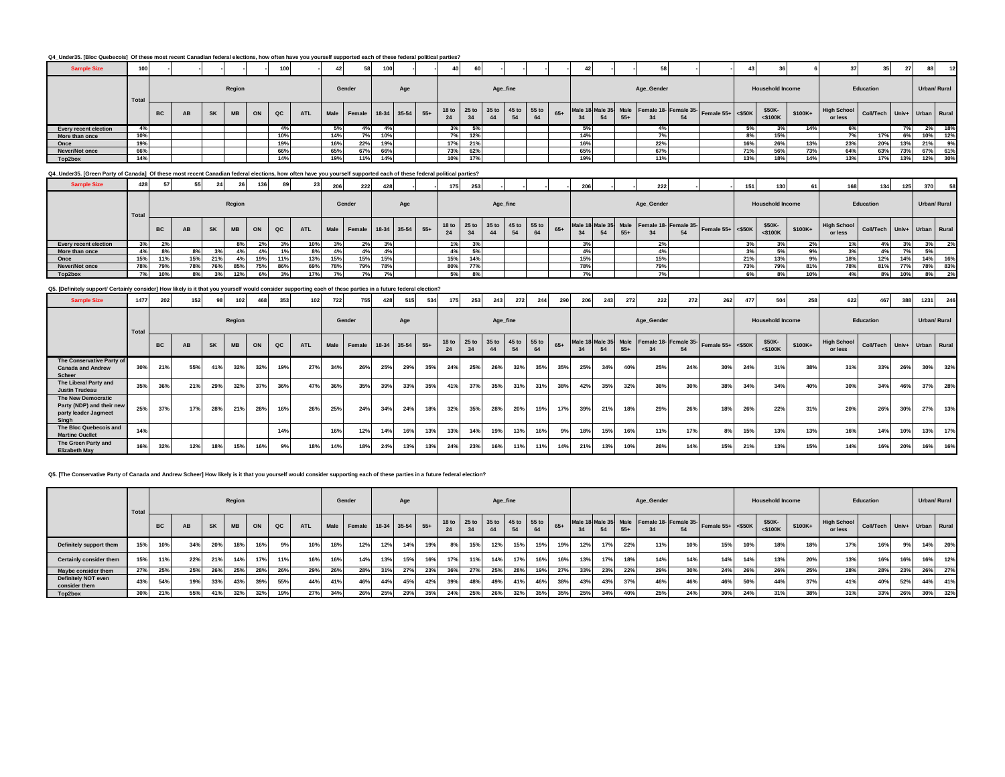|  | Q4_Under35. [Bloc Quebecois] Of these most recent Canadian federal elections, how often have you yourself supported each of these federal political parties? |  |  |
|--|--------------------------------------------------------------------------------------------------------------------------------------------------------------|--|--|
|  |                                                                                                                                                              |  |  |

| <b>Sample Size</b>                                                                                                                                                  | 100   |           |    |           |           |           | 100           |            |     |                             |     |     |                                     |     |          |    |    |       |     |    |       | 58         |    |                                                              |                 |                         |         |                                                    |           |     |     |              |
|---------------------------------------------------------------------------------------------------------------------------------------------------------------------|-------|-----------|----|-----------|-----------|-----------|---------------|------------|-----|-----------------------------|-----|-----|-------------------------------------|-----|----------|----|----|-------|-----|----|-------|------------|----|--------------------------------------------------------------|-----------------|-------------------------|---------|----------------------------------------------------|-----------|-----|-----|--------------|
|                                                                                                                                                                     | Total |           |    |           | Region    |           |               |            |     | Gender                      |     | Age |                                     |     | Age_fine |    |    |       |     |    |       | Age_Gender |    |                                                              |                 | <b>Household Income</b> |         |                                                    | Education |     |     | Urban/ Rural |
|                                                                                                                                                                     |       | <b>BC</b> | AB | <b>SK</b> | <b>MB</b> | <b>ON</b> | $_{\alpha c}$ | <b>ATL</b> |     | Male Female 18-34 35-54 55+ |     |     | 18 to 25 to 35 to 45 to 55 to<br>24 |     | 44       | 54 | 64 | $65+$ | 34  | 54 | $55+$ |            | 54 | Male 18 Male 35 Male Female 18- Female 35- Female 55+ <\$50K |                 | \$50K-<br>$<$ \$100 $K$ | \$100K+ | High School Coll/Tech Univ+ Urban Rural<br>or less |           |     |     |              |
| <b>Every recent election</b>                                                                                                                                        | 4%    |           |    |           |           |           |               |            |     |                             |     |     | 3%                                  | 5%  |          |    |    |       | 5%  |    |       | 4%         |    |                                                              | 5%              |                         | 14%     |                                                    |           |     | 2%  | 18%          |
| More than once                                                                                                                                                      | 10%   |           |    |           |           |           | 10%           |            | 14% | 7%                          | 10% |     | 7%                                  | 12% |          |    |    |       | 14% |    |       |            |    |                                                              |                 | 15%                     |         |                                                    | 17%       | 6%  | 10% | 12%          |
| Once                                                                                                                                                                | 19%   |           |    |           |           |           | 19%           |            | 16% | 22%                         | 19% |     | 17%                                 | 21% |          |    |    |       | 16% |    |       | 22%        |    |                                                              | 16%             | 26%                     | 13%     | 23%                                                | 20%       | 13% | 21% | 9%           |
| Never/Not once                                                                                                                                                      | 66%   |           |    |           |           |           | 66%           |            | 65% | 67%                         | 66% |     | 73%                                 | 62% |          |    |    |       | 65% |    |       | 67%        |    |                                                              | 71 <sup>°</sup> | 56%                     | 73%     | 64%                                                | 63%       | 73% | 67% | 61%          |
| Top2box                                                                                                                                                             | 14%   |           |    |           |           |           | 14%           |            | 19% | 11%                         | 44% |     | 10%                                 | 17% |          |    |    |       | 19% |    |       | 11%        |    |                                                              | 13%             | 18%                     | 14%     | 13%                                                | 17%       | 13% |     | 12% 30%      |
| Q4_Under35. [Green Party of Canada] Of these most recent Canadian federal elections, how often have you yourself supported each of these federal political parties? |       |           |    |           |           |           |               |            |     |                             |     |     |                                     |     |          |    |    |       |     |    |       |            |    |                                                              |                 |                         |         |                                                    |           |     |     |              |

| <b>Sample Size</b>    | 428   |           |     | 24        |           | 136 |     | 23         | <b>206</b> | 222                         | 428 |     | 175                                 | 253 |          |    |    |       | 206 |    | 222        |    |                                                                  |      | 130                     | 61      | 168                                     | 134       | 125 | 370          | 58  |
|-----------------------|-------|-----------|-----|-----------|-----------|-----|-----|------------|------------|-----------------------------|-----|-----|-------------------------------------|-----|----------|----|----|-------|-----|----|------------|----|------------------------------------------------------------------|------|-------------------------|---------|-----------------------------------------|-----------|-----|--------------|-----|
|                       | Total |           |     |           | Region    |     |     |            |            | Gender                      |     | Age |                                     |     | Age_fine |    |    |       |     |    | Age_Gender |    |                                                                  |      | <b>Household Income</b> |         |                                         | Education |     | Urban/ Rural |     |
|                       |       | <b>BC</b> | AB  | <b>SK</b> | <b>MB</b> | ON  | QC  | <b>ATL</b> |            | Male Female 18-34 35-54 55+ |     |     | 18 to 25 to 35 to 45 to 55 to<br>24 |     | 44       | 54 | 64 | $65+$ |     | 54 |            | 54 | Male 18 Male 35 Male Female 18- Female 35- Female 55+ <\$50K 50" |      | \$50K-<br>$<$ \$100K    | \$100K+ | High School Coll/Tech Univ+ Urban Rural |           |     |              |     |
| Every recent election | 3%    |           |     |           |           |     |     | 10%        |            | 2%                          |     |     | 1%                                  | 3%  |          |    |    |       | 3%  |    | -47        |    |                                                                  |      |                         | $2\%$   |                                         |           |     |              |     |
| More than once        | 4%    |           |     |           |           |     |     | 8%         |            | 4%                          |     |     | 4%                                  | 5%  |          |    |    |       | 4%  |    | 4%         |    |                                                                  |      |                         | 9%      | 3%                                      |           |     | 5%           |     |
| Once                  | 15%   | 11%       | 15% | 21%       | l%l       | 19% | 11% | 13%        | 15%        | 15%                         | 15% |     | 15%                                 |     |          |    |    |       | 15% |    | 15%        |    |                                                                  | 21%  | 13%                     | 9%      | 18%                                     | 12%       | 14% | 14%          | 16% |
| Never/Not once        | 78%   | 79%       | 78% | 76%       | 85%       | 75% | 86% | 69%        | 78%        | 79%                         | 78% |     | 80%                                 | 77% |          |    |    |       | 78% |    | 79%        |    |                                                                  | 73%  | <b>79%</b>              | 81%     | 78%                                     | 81%       | 77% | 78%          | 83% |
| Top2box               | 7%    | 10%       | 8%  | 3%        |           |     |     | 17%        |            | 7%                          |     |     | 5%                                  | 8%  |          |    |    |       | 7%  |    |            |    |                                                                  | 6% l |                         | 10%     | 4%                                      |           | 10% | 8%           | 2%  |

**Q5. [Definitely support/ Certainly consider] How likely is it that you yourself would consider supporting each of these parties in a future federal election?**

| <b>Sample Size</b>                                                               | 1477  | 202       | 152 |           |           | 468 | 353         | 102        | 722 | 755                     | 428 | 515 | 534   | 175                    | 253           | 243      | 272               | 244 | 290   | 206                        | 243 | 272   | 222        | 272                         | 262               | 477 | 504                     | 258     | 622                           | 467                         | 388 | 1231 | 246          |
|----------------------------------------------------------------------------------|-------|-----------|-----|-----------|-----------|-----|-------------|------------|-----|-------------------------|-----|-----|-------|------------------------|---------------|----------|-------------------|-----|-------|----------------------------|-----|-------|------------|-----------------------------|-------------------|-----|-------------------------|---------|-------------------------------|-----------------------------|-----|------|--------------|
|                                                                                  | Total |           |     |           | Region    |     |             |            |     | Gender                  |     | Age |       |                        |               | Age_fine |                   |     |       |                            |     |       | Age_Gender |                             |                   |     | <b>Household Income</b> |         |                               | Education                   |     |      | Urban/ Rural |
|                                                                                  |       | <b>BC</b> | AB  | <b>SK</b> | <b>MB</b> | ON  | $_{\rm QC}$ | <b>ATL</b> |     | Male Female 18-34 35-54 |     |     | $55+$ | 18 <sub>to</sub><br>24 | $25$ to<br>34 | 44       | 35 to 45 to 55 to | 64  | $65+$ | Male 18 Male 35 Male<br>34 | 54  | $55+$ |            | Female 18- Female 35-<br>54 | Female 55+ <\$50K |     | \$50K-<br>$<$ \$100K    | \$100K+ | <b>High School</b><br>or less | Coll/Tech Univ+ Urban Rural |     |      |              |
| The Conservative Party of<br><b>Canada and Andrew</b><br><b>Scheer</b>           | 30%   | 21%       | 55% | 41%       | 32%       | 32% | 19%         | 27%        | 34% | 26%                     | 25% | 29% | 35%   | 24%                    | 25%           | 26%      | 32%               | 35% | 35%   | 25%                        | 34% | 40%   | 25%        | 24%                         | 30%               | 24% | 31%                     | 38%     | 31%                           | 33%                         | 26% | 30%  | 32%          |
| The Liberal Party and<br><b>Justin Trudeau</b>                                   | 35%   | 36%       | 21% | 29%       | 32%       | 37% | 36%         | 47%        | 36% | 35%                     | 39% | 33% | 35%   | 41%                    | 37%           | 35%      | 31%               | 31% | 38%   | 42%                        | 35% | 32%   | 36%        | 30%                         | 38%               | 34% | 34%                     | 40%     | 30%                           | 34%                         | 46% | 37%  | 28%          |
| The New Democratic<br>Party (NDP) and their new<br>party leader Jagmeet<br>Singh | 25%   | 37%       | 17% | 28%       | 21%       | 28% | 16%         | 26%        | 25% | 24%                     | 34% | 24% | 18%   | 32%                    | 35%           | 28%      | 20%               | 19% | 17%   | 39%                        | 21% | 18%   | 29%        | 26%                         | 18%               | 26% | 22%                     | 31%     | 20%                           | 26%                         | 30% | 27%  | 13%          |
| The Bloc Quebecois and<br><b>Martine Ouellet</b>                                 | 14%   |           |     |           |           |     | 14%         |            | 16% | 12%                     | 14% | 16% | 13%   | 13%                    | 14%           | 19%      | 13%               | 16% | 9%    | 18%                        | 15% | 16%   | 11%        | 17%                         | 8%                | 15% | 13%                     | 13%     | 16%                           | 14%                         | 10% | 13%  | 17%          |
| The Green Party and<br><b>Elizabeth May</b>                                      | 16%   | 32%       | 12% | 18%       | 15%       | 16% | 9%          |            | 14% | 18%                     | 24% | 13% | 13%   | 24%                    | 23%           | 16%      | 11%               | 11% | 14%   | 21%                        | 13% | 10%   | 26%        | 14%                         | 15%               | 21% | 13%                     | 15%     | 14%                           | 16%                         | 20% | 16%  | 16%          |

**Q5. [The Conservative Party of Canada and Andrew Scheer] How likely is it that you yourself would consider supporting each of these parties in a future federal election?**

|                                      | Total |           |     |           | Region    |     |     |            |     | Gender                      |     | Age |     |                        |     | Age_fine                      |     |     |       |            |     |       | Age_Gender |     |                                                              |     | <b>Household Income</b> |          |                               | Education                   |     |     | Urban/ Rural |
|--------------------------------------|-------|-----------|-----|-----------|-----------|-----|-----|------------|-----|-----------------------------|-----|-----|-----|------------------------|-----|-------------------------------|-----|-----|-------|------------|-----|-------|------------|-----|--------------------------------------------------------------|-----|-------------------------|----------|-------------------------------|-----------------------------|-----|-----|--------------|
|                                      |       | <b>BC</b> | AB  | <b>SK</b> | <b>MB</b> | ON  | QC  | <b>ATL</b> |     | Male Female 18-34 35-54 55+ |     |     |     | 18 <sub>to</sub><br>24 |     | 25 to 35 to 45 to 55 to<br>44 |     |     | $65+$ | 34         |     | $55+$ |            | 54  | Male 18 Male 35 Male Female 18- Female 35- Female 55+ <\$50K |     | \$50K-<br>$<$ \$100K    | $$100K+$ | <b>High School</b><br>or less | Coll/Tech Univ+ Urban Rural |     |     |              |
| Definitely support them              | 15%   | 10%       | 34% | 20%       | 18%       | 16% |     | 10%        | 18% | 12%                         |     | 14% | 19% | 8%                     | 15% | 12%                           | 15% | 19% | 19%   | 12%        |     | 22%   | 11%        | 10% | 15%                                                          | 10% | 18%                     | 18%      | 17%                           | 16%                         | 9%  | 14% | 20%          |
| Certainly consider them              | 15%   | 11%       | 22% | 21%       | 1.49/     | 17% | 11% | 16%        | 16% | 14%                         |     | 15% | 16% | 17%                    | 11% | 14%                           |     | 16% | 16%   | 13%        | 17% | 18%   | 14%        | 14% | 14%                                                          | 14% | 13%                     | 20%      | 13%                           | 16%                         | 16% | 16% | 12%          |
| Maybe consider them                  | 27%   | 25%       | 25% | 26%       | 25%       | 28% | 26% | 29%        | 26% | 28%                         |     | 27% | 23% | 36%                    | 27% | 25%                           | 28% | 19% | 27%   | 220<br>33% | 23% | 22%   | 29%        | 30% | 24%                                                          | 26% | 26%                     | 25%      | 28%                           | 28%                         | 23% | 26% | 27%          |
| Definitely NOT even<br>consider them | 43%   | 54%       | 19% | 33%       | 43%       | 39% | 55% | 44%        |     | 46%                         |     | 45% | 42% | 39%                    | 48% | 49%                           |     | 46% | 38%   | 43%        | 43% | 37%   | 46%        | 46% | 46%                                                          | 50% | 44%                     | 37%      | 41%                           | 40%                         | 52% | 44% | 41%          |
| Top2box                              | 30%   | 21%       | 55% | 41%       | 32%       | 32% | 19% | 27%        |     | 26%                         | 25% | 29% | 35% | 24%                    | 25% | 26%                           | 32% | 35% | 35%   | 25%        | 34% | 40%   | 25%        | 24% | 30%                                                          | 24% | 31%                     | 38%      | 31%                           | 33%                         | 26% | 30% | 32%          |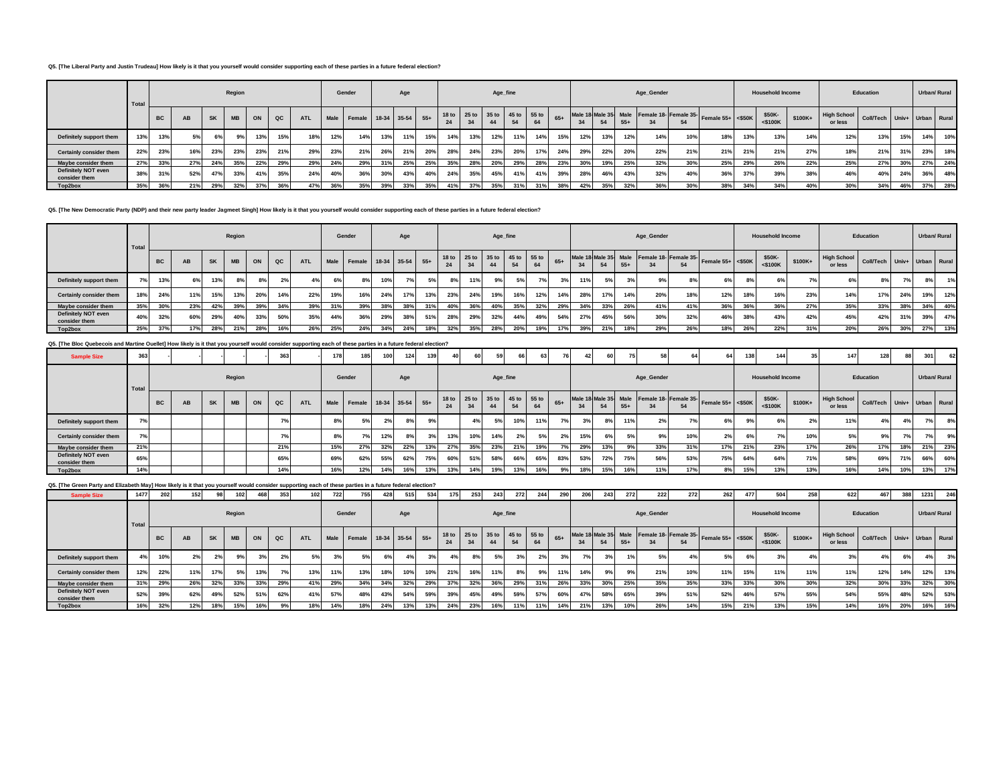#### **Q5. [The Liberal Party and Justin Trudeau] How likely is it that you yourself would consider supporting each of these parties in a future federal election?**

|                                      | Total |           |     |           | Region    |     |     |            |     | Gender                      |     | Age |     |     |     | Age_fine                      |     |     |       |     |     |       | Age_Gender |     |                                                              |     | <b>Household Income</b> |         |                               | Education                   |     |     | Urban/ Rural |
|--------------------------------------|-------|-----------|-----|-----------|-----------|-----|-----|------------|-----|-----------------------------|-----|-----|-----|-----|-----|-------------------------------|-----|-----|-------|-----|-----|-------|------------|-----|--------------------------------------------------------------|-----|-------------------------|---------|-------------------------------|-----------------------------|-----|-----|--------------|
|                                      |       | <b>BC</b> | AB  | <b>SK</b> | <b>MB</b> | ON  | QC  | <b>ATL</b> |     | Male Female 18-34 35-54 55+ |     |     |     | 24  | 34  | 18 to 25 to 35 to 45 to 55 to |     | 64  | $65+$ |     |     | $55+$ |            | 54  | Male 18 Male 35 Male Female 18- Female 35- Female 55+ <\$50K |     | \$50K-<br>$<$ \$100 $K$ | \$100K+ | <b>High School</b><br>or less | Coll/Tech Univ+ Urban Rural |     |     |              |
| Definitely support them              | 13%   | 13%       | 5%  | 6%        |           | 13% | 15% | 18%        | 12% | 14%                         | 13% | 119 | 15% | 14% | 13% | 12%                           | 11% | 14% | 15%   | 12% | 13% | 12%   | 14%        | 10% | 18%                                                          | 13% | 13%                     | 14%     | 12%                           | 13%                         | 15% | 14% | 10%          |
| Certainly consider them              | 22%   | 23%       | 16% | 23%       | 23%       | 23% | 21% | 29%        | 23% | 21%                         | 26% | 240 | 20% | 28% | 24% | 23%                           | 20% | 17% | 24%   | 29% | 22% | 20%   | 22%        | 21% | 21%                                                          | 21% | 21%                     | 27%     | 18%                           | 21%                         | 31% | 23% | 18%          |
| Maybe consider them                  | 27%   | 33%       | 27% | 24%       | 35%       | 22% | 29% | 29%        | 24% | 29%                         |     | 25% | 25% | 35% | 28% | 20%                           | 29% | 28% | 23%   | 30% | 19% | 25%   | 32%        | 30% | 25%                                                          | 29% | 26%                     | 22%     | 25%                           | 27%                         | 30% | 27% | 24%          |
| Definitely NOT even<br>consider them | 38%   | 31%       | 52% | 47%       | 33%       | 41% | 35% | 24%        | 40% | 36%                         | 30% | 43% | 40% | 24% | 35% | 45%                           | 41% | 41% | 39%   | 28% | 46% | 43%   | 32%        | 40% | 36%                                                          | 37% | 39%                     | 38%     | 46%                           | 40%                         | 24% | 36% | 48%          |
| Top2box                              | 35%   | 36%       | 21% | 29%       | 32%       | 37% | 36% |            | 36% | 35%                         | 39% | 33% | 35% | 41% | 37% | 35%                           | 31% | 31% | 38%   |     | 35% | 32%   | 36%        | 30% | 38%                                                          | 34% | 34%                     | 40%     | 30%                           | 34%                         | 46% | 37% | 28%          |

**Q5. [The New Democratic Party (NDP) and their new party leader Jagmeet Singh] How likely is it that you yourself would consider supporting each of these parties in a future federal election?**

|                                      | Total         |           |     |           | Region    |     |     |            |     | Gender                      |     | Age |     |     |     |     | Age_fine |                               |       |     |     |       | Age_Gender                                 |     |                     |                 | <b>Household Income</b> |         |                               | Education                   |     |     | Urban/ Rural |
|--------------------------------------|---------------|-----------|-----|-----------|-----------|-----|-----|------------|-----|-----------------------------|-----|-----|-----|-----|-----|-----|----------|-------------------------------|-------|-----|-----|-------|--------------------------------------------|-----|---------------------|-----------------|-------------------------|---------|-------------------------------|-----------------------------|-----|-----|--------------|
|                                      |               | <b>BC</b> | AB  | <b>SK</b> | <b>MB</b> | ON  | QC  | <b>ATL</b> |     | Male Female 18-34 35-54 55+ |     |     |     |     | 34  |     | 54       | 18 to 25 to 35 to 45 to 55 to | $65+$ | 34  | 54  | $55+$ | Male 18 Male 35 Male Female 18- Female 35- | 54  | Female $55+ < $50K$ |                 | \$50K-<br>$<$ \$100K    | \$100K+ | <b>High School</b><br>or less | Coll/Tech Univ+ Urban Rural |     |     |              |
| Definitely support them              | $\mathcal{L}$ | 13%       | 6%  | 13%       | 8%        | 8%  | 2%  | 4%         | 6%  | 8%                          | 10% |     | 5%  | 8%  | 11% | 9%  | 5%       |                               | 3%    | 11% | 5%  | 20I   | 9%                                         |     | 6%                  |                 | 6%                      |         |                               | 8%                          |     | 8%  | 1%           |
| Certainly consider them              | 18%           | 24%       | 11% | 15%       | 13%       | 20% | 14% | 22%        | 19% | 16%                         | 24% | 17% | 13% | 23% | 24% | 19% | 16%      | 12%                           | 14%   | 28% | 17% | 14%   | 20%                                        | 18% | 12%                 |                 | 16%                     | 23%     | 14%                           | 17%                         | 24% | 19% | 12%          |
| Maybe consider them                  | 35%           | 30%       | 23% | 42%       | 39%       | 39% | 34% | 39%        | 31% | 39%                         | 38% | 38% | 31% | 40% | 36% | 40% | 35%      | 32%                           | 29%   | 34% | 33% | 26%   | 41%                                        | 41% | 36%                 |                 | 36%                     | 27%     | 35%                           | 33%                         | 38% | 34% | 40%          |
| Definitely NOT even<br>consider them | 40%           | 32%       | 60% | 29%       | 40%       | 33% | 50% | 35%        | 44% | 36%                         | 29% | 38% | 51% | 28% | 29% | 32% | 44%      | 49%                           | 54%   | 27% | 45% | 56%   | 30%                                        | 32% | 46%                 |                 | 43%                     | 42%     | 45%                           | 42%                         | 31% | 39% | 47%          |
| Top2box                              | 25%           | 37%       | 17% | 28%       | 21%       | 28% | 16% | 26%        | 25% | 24%                         | 34% | 24% | 18% | 32% | 35% | 28% | 20%      | 19%                           | 17%   | 39% | 21% | 18%   | 29%                                        | 26% | 18%                 | 20 <sup>2</sup> | 22%                     | 31%     | 20%                           | 26%                         | 30% | 27% | 13%          |

#### **Q5. [The Bloc Quebecois and Martine Ouellet] How likely is it that you yourself would consider supporting each of these parties in a future federal election?**

| <b>Sample Size</b>                   | 363   |           |    |           |           |    | 363 |            | 178 |                             | 100 | 12 <sub>5</sub> | 139 |     | 60                                  | 59        |     | 63  | 76    |     | 60                         |       | 58         |     | 64                                                   |     | 144                     | 25      | 147                           | 128                         |     | 301 | 62           |  |
|--------------------------------------|-------|-----------|----|-----------|-----------|----|-----|------------|-----|-----------------------------|-----|-----------------|-----|-----|-------------------------------------|-----------|-----|-----|-------|-----|----------------------------|-------|------------|-----|------------------------------------------------------|-----|-------------------------|---------|-------------------------------|-----------------------------|-----|-----|--------------|--|
|                                      | Total |           |    |           | Region    |    |     |            |     | Gender                      |     | Age             |     |     |                                     | Age_fine  |     |     |       |     |                            |       | Age_Gender |     |                                                      |     | <b>Household Income</b> |         |                               | Education                   |     |     | Urban/ Rural |  |
|                                      |       | <b>BC</b> | AB | <b>SK</b> | <b>MB</b> | ON | QC  | <b>ATL</b> |     | Male Female 18-34 35-54 55+ |     |                 |     | 24  | 18 to 25 to 35 to 45 to 55 to<br>34 | 44        |     | 64  | $65+$ | 34  | Male 18 Male 35 Male<br>54 | $55+$ |            | 54  | $\overline{ }$ Female 18-Female 35-Female 55+ <\$50K |     | \$50K-<br>$<$ \$100K    | \$100K+ | <b>High School</b><br>or less | Coll/Tech Univ+ Urban Rural |     |     |              |  |
| Definitely support them              |       |           |    |           |           |    |     |            | 8%  | 5%                          | 2%  | 8%              | 9%  |     | 4%                                  | E0/<br>דכ | 10% | 11% | 7%1   | 20/ | 8%                         | 11%   | 2%         |     | 6%                                                   |     | 6%                      | 2%      | 11%                           | 4%                          |     | 7%  | 8%           |  |
| Certainly consider them              | 7%    |           |    |           |           |    | 7%  |            | 8%  | 7%                          | 12% | 8%              | 3%  | 13% | 10%                                 | 14%       | 2%  | 5%  | 2%    | 15% | 6%                         | 5%    | 9%         | 10% | 2%                                                   | 6%  | 7%                      | 10%     | 5%                            | 9%                          |     | 7%  | 9%           |  |
| Maybe consider them                  | 21%   |           |    |           |           |    | 21% |            | 15% | 27%                         | 32% | 22%             | 13% | 27% | 35%                                 | 23%       | 21% | 19% | 7%1   | 29% | 13%                        | 9%    | 33%        | 31% | 17%                                                  | 21% | 23%                     | 17%     | 26%                           | 17%                         | 18% | 21% | 23%          |  |
| Definitely NOT even<br>consider them | 65%   |           |    |           |           |    | 65% |            | 69% | 62%                         | 55% | 62%             | 75% | 60% | 51%                                 | 58%       | 66% | 65% | 83%   | 53% | 72%                        | 75%   | 56%        | 53% | 75%                                                  | 64% | 64%                     | 71%     | 58%                           | 69%                         | 71% | 66% | 60%          |  |
| Top2box                              | 14%   |           |    |           |           |    | 14% |            | 16% | 12%                         | 14% | 16%             | 13% | 13% | 14%                                 | 19%       | 13% | 16% | 9%    | 18% | 15%                        | 16%   | 11%        | 17% | 8%                                                   | 15% | 13%                     | 13%     | 16%                           | 14%                         | 10% | 13% | 17%          |  |

# **Q5. [The Green Party and Elizabeth May] How likely is it that you yourself would consider supporting each of these parties in a future federal election?**

| <b>Sample Size</b>                   | 1477         | 202       | 152 | 98        | 102       | 468 | 353 | 102        | 722 | 755                         | 428 | 515 | 534 | 175 | 253 | 243                     | 272 | 244         |       | 206 | 243 | 272   | 222        | 272 | 262                                                          | 477 | 504                     | 258      | 622                                 | 467       | 388 | 1231              | 246 |
|--------------------------------------|--------------|-----------|-----|-----------|-----------|-----|-----|------------|-----|-----------------------------|-----|-----|-----|-----|-----|-------------------------|-----|-------------|-------|-----|-----|-------|------------|-----|--------------------------------------------------------------|-----|-------------------------|----------|-------------------------------------|-----------|-----|-------------------|-----|
|                                      | <b>Total</b> |           |     |           | Region    |     |     |            |     | Gender                      |     | Age |     |     |     | Age_fine                |     |             |       |     |     |       | Age_Gender |     |                                                              |     | <b>Household Income</b> |          |                                     | Education |     | Urban/ Rural      |     |
|                                      |              | <b>BC</b> | AB  | <b>SK</b> | <b>MB</b> | ON  | QC  | <b>ATL</b> |     | Male Female 18-34 35-54 55+ |     |     |     | 24  |     | 18 to 25 to 35 to 45 to |     | 55 to<br>64 | $65+$ | 34  |     | $55+$ |            | 54  | Male 18 Male 35 Male Female 18- Female 35- Female 55+ <\$50K |     | \$50K-<br>$<$ \$100 $K$ | $$100K+$ | High School Coll/Tech II<br>or less |           |     | Univ+ Urban Rural |     |
| Definitely support them              |              | 10%       | 2%  |           |           |     | 2%  | 5%         |     | 5%                          | 6%  |     | 3%  |     | 8%  | 5%                      |     | 2%          |       |     | 3%  | 1%    | 5%         | 4%  | 5%                                                           | 69  | 3%                      |          | 3%                                  |           | 6%  | 4%                | 3%  |
| Certainly consider them              | 12%          | 22%       | 11% | 17%       |           | 13% | 7%  | 13%        | 11% | 13%                         | 18% | 10% | 10% | 21% | 16% | 11%                     | 8%  | 9%          | 11%   | 14% | 9%  | 9%    | 21%        | 10% | 11%                                                          | 15% | 11%                     | 11%      | 11%                                 | 12%       | 14% | 12%               | 13% |
| Maybe consider them                  | 31%          | 29%       | 26% | 32%       | 33%       | 33% | 29% |            | 29% | 34%                         | 34% | 32% | 29% | 37% | 32% | 36%                     | 29% | 31%         | 26%   | 33% | 30% | 25%   | 35%        | 35% | 33%                                                          | 339 | 30%                     | 30%      | 32%                                 | 30%       | 33% | 32%               | 30% |
| Definitely NOT even<br>consider them | 52%          | 39%       | 62% | 49%       | 52%       | 51% | 62% |            | 57% | 48%                         | 43% | 54% | 59% | 39% | 45% | 49%                     | 59% | 57%         | 60%   | 47% | 58% | 65%   | 39%        | 51% | 52%                                                          | 46% | 57%                     | 55%      | 54%                                 | 55%       | 48% | 52%               | 53% |
| Top2box                              | 16%          | 32%       | 12% | 18%       | 15%       | 16% | 9%  | 18%        | 14% | 18%                         | 24% | 13% | 13% | 24% | 23% | 16%                     | 11% | 11%         | 14%   | 21% | 13% | 10%   | 26%        | 14% | 15%                                                          | 21% | 13%                     | 15%      | 14%                                 | 16%       | 20% | 16%               | 16% |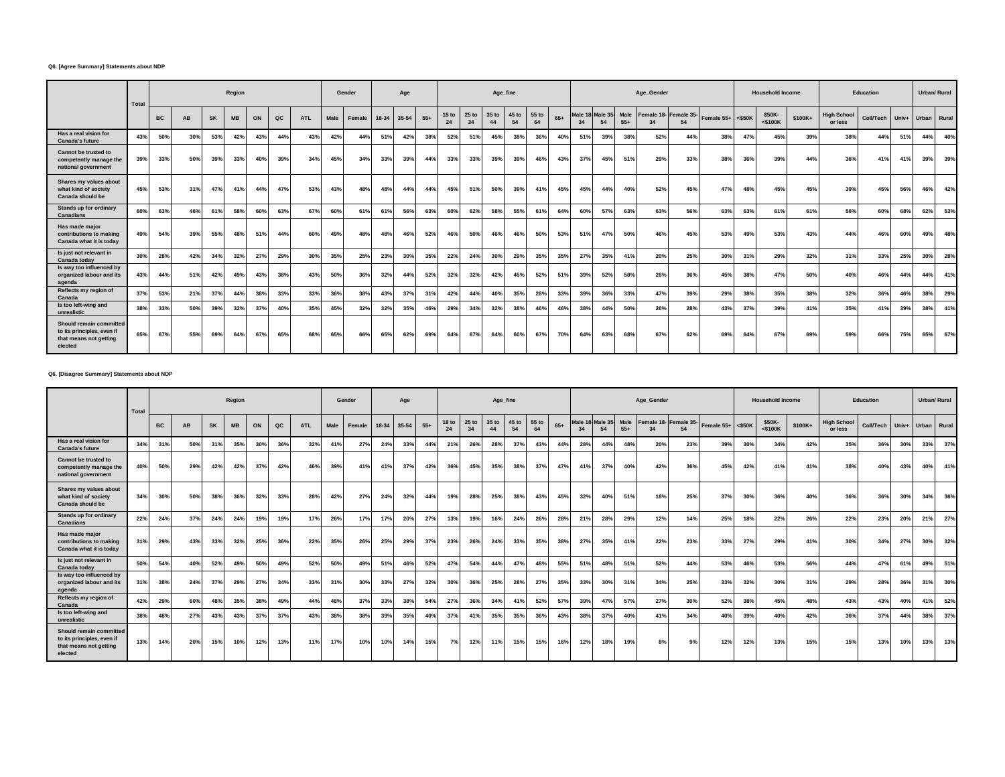#### **Q6. [Agree Summary] Statements about NDP**

|                                                                                            | Total |           |           |           | Region    |     |     |            |      | Gender |       | Age        |       |             |                        | Age_fine    |             |             |       |               |               |               | Age_Gender   |                             |                     |     | <b>Household Income</b> |         |                               | Education |       | Urban/ Rural |     |
|--------------------------------------------------------------------------------------------|-------|-----------|-----------|-----------|-----------|-----|-----|------------|------|--------|-------|------------|-------|-------------|------------------------|-------------|-------------|-------------|-------|---------------|---------------|---------------|--------------|-----------------------------|---------------------|-----|-------------------------|---------|-------------------------------|-----------|-------|--------------|-----|
|                                                                                            |       | <b>BC</b> | <b>AB</b> | <b>SK</b> | <b>MB</b> | ON  | QC  | <b>ATL</b> | Male | Female | 18-34 | 35-54      | $55+$ | 18 to<br>24 | 25 <sub>to</sub><br>34 | 35 to<br>44 | 45 to<br>54 | 55 to<br>64 | $65+$ | Male 18<br>34 | Male 35<br>54 | Male<br>$55+$ | $\mathbf{z}$ | Female 18- Female 35-<br>54 | Female $55+$ <\$50K |     | \$50K-<br><\$100K       | \$100K+ | <b>High School</b><br>or less | Coll/Tech | Univ+ | Urban Rural  |     |
| Has a real vision for<br><b>Canada's future</b>                                            | 43%   | 50%       | 30%       | 53%       | 42%       | 43% | 44% | 43%        | 42%  | 44%    | 51%   | 42%        | 38%   | 52%         | 51%                    | 45%         | 38%         | 36%         | 40%   | 51%           | 39%           | 38%           | 52%          | 44%                         | 38%                 | 47% | 45%                     | 39%     | 38%                           | 44%       | 51%   | 44%          | 40% |
| Cannot be trusted to<br>competently manage the<br>national government                      | 39%   | 33%       | 50%       | 39%       | 33%       | 40% | 39% | 34%        | 45%  | 34%    | 33%   | <b>39%</b> | 44%   | 33%         | 33%                    | 39%         | 39%         | 46%         | 43%   | 37%           | 45%           | 51%           | 29%          | 33%                         | 38%                 | 36% | 39%                     | 44%     | 36%                           | 41%       | 41%   | 39%          | 39% |
| Shares my values about<br>what kind of society<br>Canada should be                         | 45%   | 53%       | 31%       | 47%       | 41%       | 44% | 47% | 53%        | 43%  | 48%    | 48%   | 44%        | 44%   | 45%         | 51%                    | 50%         | <b>39%</b>  | 41%         | 45%   | 45%           | 44%           | 40%           | 52%          | 45%                         | 47%                 | 48% | 45%                     | 45%     | 39%                           | 45%       | 56%   | 46%          | 42% |
| Stands up for ordinary<br>Canadians                                                        | 60%   | 63%       | 46%       | 61%       | 58%       | 60% | 63% | 67%        | 60%  | 61%    | 61%   | 56%        | 63%   | 60%         | 62%                    | 58%         | 55%         | 61%         | 64%   | 60%           | 57%           | 63%           | 63%          | 56%                         | 63%                 | 63% | 61%                     | 61%     | 56%                           | 60%       | 68%   | 62%          | 53% |
| Has made major<br>contributions to making<br>Canada what it is today                       | 49%   | 54%       | 39%       | 55%       | 48%       | 51% | 44% | 60%        | 49%  | 48%    | 48%   | 46%        | 52%   | 46%         | 50%                    | 46%         | 46%         | 50%         | 53%   | 51%           | 47%           | 50%           | 46%          | 45%                         | 53%                 | 49% | 53%                     | 43%     | 44%                           | 46%       | 60%   | 49%          | 48% |
| Is just not relevant in<br>Canada today                                                    | 30%   | 28%       | 42%       | 34%       | 32%       | 27% | 29% | 30%        | 35%  | 25%    | 23%   | 30%        | 35%   | 22%         | 24%                    | 30%         | 29%         | 35%         | 35%   | 27%           | 35%           | 41%           | 20%          | 25%                         | 30%                 | 31% | 29%                     | 32%     | 31%                           | 33%       | 25%   | 30%          | 28% |
| Is way too influenced by<br>organized labour and its<br>agenda                             | 43%   | 44%       | 51%       | 42%       | 49%       | 43% | 38% | 43%        | 50%  | 36%    | 32%   | 44%        | 52%   | 32%         | 32%                    | 42%         | 45%         | 52%         | 51%   | 39%           | 52%           | 58%           | 26%          | 36%                         | 45%                 | 38% | 47%                     | 50%     | 40%                           | 46%       | 44%   | 44%          | 41% |
| Reflects my region of<br>Canada                                                            | 37%   | 53%       | 21%       | 37%       | 44%       | 38% | 33% | 33%        | 36%  | 38%    | 43%   | 37%        | 31%   | 42%         | 44%                    | 40%         | 35%         | 28%         | 33%   | 39%           | 36%           | 33%           | 47%          | 39%                         | 29%                 | 38% | 35%                     | 38%     | 32%                           | 36%       | 46%   | 38%          | 29% |
| Is too left-wing and<br>unrealistic                                                        | 38%   | 33%       | 50%       | 39%       | 32%       | 37% | 40% | 35%        | 45°  | 32%    | 32%   | 35%        | 46%   | 29%         | 34%                    | 32%         | 38%         | 46%         | 46%   | 38%           | 44%           | 50%           | 26%          | 28%                         | 43%                 | 37% | 39%                     | 41%     | 35%                           | 41%       | 39%   | 38%          | 41% |
| Should remain committed<br>to its principles, even if<br>that means not getting<br>elected | 65%   | 67%       | 55%       | 69%       | 64%       | 67% | 65% | 68%        | 65%  | 66%    | 65%   | 62%        | 69%   | 64%         | 67%                    | 64%         | 60%         | 67%         | 70%   | 64%           | 63%           | 68%           | 67%          | 62%                         | 69%                 | 64% | 67%                     | 69%     | 59%                           | 66%       | 75%   | 65%          | 67% |

## **Q6. [Disagree Summary] Statements about NDP**

|                                                                                            | Total |           |     |           | Region    |     |             |            |      | Gender     |       | Age   |       |                        |                        | Age_fine    |             |             |       |               |               |               | Age_Gender                  |     |                     |     | <b>Household Income</b> |         |                               | Education        |       | <b>Urban/ Rural</b> |     |
|--------------------------------------------------------------------------------------------|-------|-----------|-----|-----------|-----------|-----|-------------|------------|------|------------|-------|-------|-------|------------------------|------------------------|-------------|-------------|-------------|-------|---------------|---------------|---------------|-----------------------------|-----|---------------------|-----|-------------------------|---------|-------------------------------|------------------|-------|---------------------|-----|
|                                                                                            |       | <b>BC</b> | AB  | <b>SK</b> | <b>MB</b> | ON  | $_{\rm QC}$ | <b>ATL</b> | Male | Female     | 18-34 | 35-54 | $55+$ | 18 <sub>to</sub><br>24 | 25 <sub>to</sub><br>34 | 35 to<br>44 | 45 to<br>54 | 55 to<br>64 | $65+$ | Male 18<br>34 | Male 35<br>54 | Male<br>$55+$ | Female 18- Female 35-<br>34 | 54  | Female $55+$ <\$50K |     | \$50K-<br>$<$ \$100K    | \$100K+ | <b>High School</b><br>or less | <b>Coll/Tech</b> | Univ+ | Urban Rural         |     |
| Has a real vision for<br><b>Canada's future</b>                                            | 34%   | 31%       | 50% | 31%       | 35%       | 30% | 36%         | 32%        | 41%  | 27%        | 24%   | 33%   | 44%   | 21%                    | 26%                    | 28%         | 37%         | 43%         | 44%   | 28%           | 44%           | 48%           | 20%                         | 23% | 39%                 | 30% | 34%                     | 42%     | 35%                           | 36%              | 30%   | 33%                 | 37% |
| Cannot be trusted to<br>competently manage the<br>national government                      | 40%   | 50%       | 29% | 42%       | 42%       | 37% | 42%         | 46%        | 39%  | 41%        | 41%   | 37%   | 42%   | 36%                    | 45%                    | 35%         | 38%         | 37%         | 47%   | 41%           | 37%           | 40%           | 42%                         | 36% | 45%                 | 42% | 41%                     | 41%     | 38%                           | 40%              | 43%   | 40%                 | 41% |
| Shares my values about<br>what kind of society<br>Canada should be                         | 34%   | 30%       | 50% | 38%       | 36%       | 32% | 33%         | 28%        | 42%  | <b>27%</b> | 24%   | 32%   | 44%   | 19%                    | 28%                    | 25%         | 38%         | 43%         | 45%   | 32%           | 40%           | 51%           | 18%                         | 25% | 37%                 | 30% | 36%                     | 40%     | 36%                           | 36%              | 30%   | 34%                 | 36% |
| Stands up for ordinary<br>Canadians                                                        | 22%   | 24%       | 37% | 24%       | 24%       | 19% | 19%         | 17%        | 26%  | 17%        | 17%   | 20%   | 27%   | 13%                    | 19%                    | 16%         | 24%         | 26%         | 28%   | 21%           | 28%           | 29%           | 12%                         | 14% | 25%                 | 18% | 22%                     | 26%     | 22%                           | 23%              | 20%   | 21%                 | 27% |
| Has made major<br>contributions to making<br>Canada what it is today                       | 31%   | 29%       | 43% | 33%       | 32%       | 25% | 36%         | 22%        | 35%  | 26%        | 25%   | 29%   | 37%   | 23%                    | 26%                    | 24%         | 33%         | 35%         | 38%   | 27%           | 35%           | 41%           | 22%                         | 23% | 33%                 | 27% | 29%                     | 41%     | 30%                           | 34%              | 27%   | 30%                 | 32% |
| Is just not relevant in<br>Canada today                                                    | 50%   | 54%       | 40% | 52%       | 49%       | 50% | 49%         | 52%        | 50%  | 49%        | 51%   | 46%   | 52%   | 47%                    | 54%                    | 44%         | 47%         | 48%         | 55%   | 51%           | 48%           | 51%           | 52%                         | 44% | 53%                 | 46% | 53%                     | 56%     | 44%                           | 47%              | 61%   | 49%                 | 51% |
| Is way too influenced by<br>organized labour and its<br>agenda                             | 31%   | 38%       | 24% | 37%       | 29%       | 27% | 34%         | 33%        | 31%  | 30%        | 33%   | 27%   | 32%   | 30%                    | 36%                    | 25%         | 28%         | 27%         | 35%   | 33%           | 30%           | 31%           | 34%                         | 25% | 33%                 | 32% | 30%                     | 31%     | 29%                           | 28%              | 36%   | 31%                 | 30% |
| Reflects my region of<br>Canada                                                            | 42%   | 29%       | 60% | 48%       | 35%       | 38% | 49%         | 44%        | 48%  | 37%        | 33%   | 38%   | 54%   | 27%                    | 36%                    | 34%         | 41%         | 52%         | 57%   | 39%           | 47%           | 57%           | 27%                         | 30% | 52%                 | 38% | 45%                     | 48%     | 43%                           | 43%              | 40%   | 41%                 | 52% |
| Is too left-wing and<br>unrealistic                                                        | 38%   | 48%       | 27% | 43%       | 43%       | 37% | 37%         | 43%        | 38%  | 38%        | 39%   | 35%   | 40%   | 37%                    | 41%                    | 35%         | 35%         | 36%         | 43%   | 38%           | 37%           | 40%           | 41%                         | 34% | 40%                 | 39% | 40%                     | 42%     | 36%                           | 37%              | 44%   | 38%                 | 37% |
| Should remain committed<br>to its principles, even if<br>that means not getting<br>elected | 13%   | 14%       | 20% | 15%       | 10%       | 12% | 13%         | 11%        | 17%  | 10%        | 10%   | 14%   | 15%   | 7%                     | 12%                    | 11%         | 15%         | 15%         | 16%   | 12%           | 18%           | 19%           | 8%                          | 9%  | 12%                 | 12% | 13%                     | 15%     | 15%                           | 13%              | 10%   | 13%                 | 13% |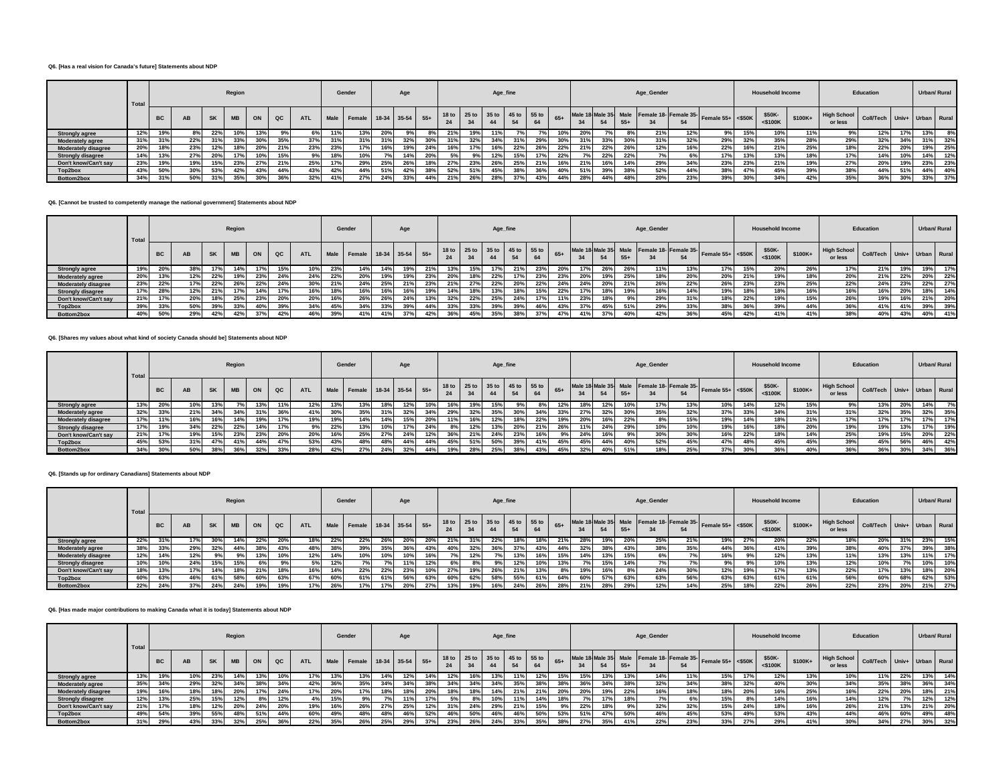#### **Q6. [Has a real vision for Canada's future] Statements about NDP**

|                            | Total |           |           |           | Region    |     |     |            |     | Gender                      |     | Age |     |     |     |     | Age_fine |                               |     |     |     |       | Age_Gender |                          |                                                              |     | <b>Household Income</b> |          |                               | Education                   |     |     | Urban/ Rural |
|----------------------------|-------|-----------|-----------|-----------|-----------|-----|-----|------------|-----|-----------------------------|-----|-----|-----|-----|-----|-----|----------|-------------------------------|-----|-----|-----|-------|------------|--------------------------|--------------------------------------------------------------|-----|-------------------------|----------|-------------------------------|-----------------------------|-----|-----|--------------|
|                            |       | <b>BC</b> | <b>AB</b> | <b>SK</b> | <b>MB</b> | ON  | QC  | <b>ATL</b> |     | Male Female 18-34 35-54 55+ |     |     |     |     |     | 44  |          | 18 to 25 to 35 to 45 to 55 to |     |     |     | $55+$ |            | 54                       | Male 18 Male 35 Male Female 18- Female 35- Female 55+ <\$50K |     | \$50K-<br>$<$ \$100K    | $$100K+$ | <b>High School</b><br>or less | Coll/Tech Univ+ Urban Rural |     |     |              |
| <b>Strongly agree</b>      | 12%   | 19%       |           | 22%       |           | 13% | 9%  | 6%         |     | 13%                         |     |     |     | 21% | 19% | 11% |          |                               | 10% | 20% |     |       | 21%        | 12%                      | 9%                                                           | 15% | 10%                     | 11%      | 9%                            | 12%                         | 17% | 13% | $8\%$        |
| <b>Moderately agree</b>    | 31%   | 31%       | 22%       | 31%       |           | 30% | 35% |            |     | 31%                         |     | 32% |     | 31% | 32% | 34% |          | 29%                           |     |     | 33% | 30%   | 31%        | 200 <sub>1</sub><br>347a | 29%                                                          | 32% | 35%                     | 28%      | 29%                           | 32%                         | 34% | 31% | 32%          |
| <b>Moderately disagree</b> | 20%   | 18%       | 23%       | 12%       |           | 20% | 21% | 23%        | 23% | 17%                         | 16% | 19% | 24% | 16% | 17% | 16% | 22%      | 26%                           | 22% | 21% | 22% | 26%   | 12%        | 16%                      | 22%                                                          | 16% | 21%                     | 25%      | 18%                           | 22%                         | 20% | 19% | 25%          |
| <b>Strongly disagree</b>   | 14%   | 13%       | 27%       | 20%       |           | 10% | 15% | 9%         |     | 10%                         |     | 14% | 20% |     | 9%  | 12% |          | 17%                           | 22% |     | 22% | 22%   | 7%         |                          | 17%                                                          | 13% | 13%                     | 18%      | 17%                           | 14%                         | 10% | 14% | 12%          |
| Don't know/Can't sav       | 23%   | 19%       | 19%       | 15%       | 23%       | 27% | 21% | 25%        |     | 29%                         | 25% | 26% | 18% | 27% | 23% | 26% | 25%      | 21%                           | 16% | 21% | 16% | 14%   | 29%        | 34%                      | 23%                                                          | 23% | 21%                     | 19%      | 27%                           | 20%                         | 19% | 23% | 23%          |
| Top2box                    | 43%   | 50%       | 30%       | 53%       | 42%       | 43% | 44% | 43%        |     | 44%                         | 51% | 42% | 38% | 52% | 51% | 45% | 38%      | 36%                           | 40% | 51% | 39% | 38%   | 52%        | 44%                      | 38%                                                          | 47% | 45%                     | 39%      | 38%                           | 44%                         | 51% | 44% | 40%          |
| Bottom2box                 | 34%   | 31%       | 50%       | 31%       | 35%       | 30% | 36% | 32%        |     | 27%                         | 24% | 33% | 44% | 21% | 26% | 28% | 37%      | 43%                           | 44% |     | 44% | 48%   | 20%        | 23%                      | 39%                                                          | 30% | 34%                     | 42%      | 35%                           | 36%                         | 30% | 33% | 37%          |

#### **Q6. [Cannot be trusted to competently manage the national government] Statements about NDP**

|                            | Total |           |           |              | Region    |     |             |            |      | Gender             |     | Age |       |     |     | Age_fine |            |                               |       |                 |     |       | Age_Gender |      |                                                            |     | <b>Household Income</b> |         |                               | Education                   |     |     | Urban/ Rural |
|----------------------------|-------|-----------|-----------|--------------|-----------|-----|-------------|------------|------|--------------------|-----|-----|-------|-----|-----|----------|------------|-------------------------------|-------|-----------------|-----|-------|------------|------|------------------------------------------------------------|-----|-------------------------|---------|-------------------------------|-----------------------------|-----|-----|--------------|
|                            |       | <b>BC</b> | <b>AB</b> | <b>SK</b>    | <b>MB</b> | ON  | $_{\alpha}$ | <b>ATL</b> | Male | Female 18-34 35-54 |     |     | $55+$ | 24  | 34  | 44       |            | 18 to 25 to 35 to 45 to 55 to | $65+$ |                 |     | $55+$ |            | 54   | Male 18 Male 35 Male Female 18 Female 35 Female 55+ <\$50K |     | \$50K-<br>$<$ \$100K    | \$100K+ | <b>High School</b><br>or less | Coll/Tech Univ+ Urban Rural |     |     |              |
| <b>Strongly agree</b>      | 19%   | 20%       | 38%       |              | 14%       | 17% | 15%         | 10%        | 23%  | 14%                | 14% | 19% | 21%   | 13% | 15% | 17%      | 21%        | 23%                           | 20%   | 17 <sup>9</sup> | 26% | 26%   | 11%        | 13%  | 17%                                                        | 15% | 20%                     | 26%     | 17%                           | 21%                         | 19% | 19% | 17%          |
| <b>Moderately agree</b>    | 20%   | 13%       | 12%       | 0.001<br>22% | 19%       | 23% | 24%         | 24%        | 22%  | 20%                | 19% | 19% | 23%   | 20% | 18% | 22%      |            | 23%                           | 23%   | 20%             | 19% | 25%   | 18%        | 20%  | 20%                                                        | 21% | 19%                     | 18%     | 20%                           | 21%                         | 22% | 20% | 22%          |
| <b>Moderately disagree</b> | 23%   | 22%       | 17%       | 22%          | 26%       | 22% | 24%         | 30%        | 21%  | 24%                | 25% | 21% | 23%   | 21% | 27% | 22%      | <b>20%</b> | 22%                           | 24%   | 24%             | 20% | 21%   | 26%        | 22%  | 26%                                                        | 23% | 23%                     | 25%     | 22%                           | 24%                         | 23% | 22% | 27%          |
| <b>Strongly disagree</b>   | 17%   | 28%       | 12%       | <b>4170</b>  | 17%       | 14% | 17%         | 16%        |      | 16%                | 16% | 16% | 19%   | 14% | 18% | 13%      |            | 15%                           | 22%   | 17 <sup>9</sup> | 18% | 19%   | 16%        | 14%  | 19%                                                        | 18% | 18%                     | 16%     | 16%                           | 16%                         | 20% | 18% | 14%          |
| Don't know/Can't say       | 21%   | 17%       | 20%       | 18%          | 25%       | 23% | 20%         | 20%        |      | 26%                | 26% | 24% | 13%   | 32% | 22% | 25%      | 24%        | 17%                           | 11%   | 23%             | 18% |       | 29%        | 240/ | 18%                                                        | 22% | 19%                     | 15%     | 26%                           | 19%                         | 16% | 21% | 20%          |
| Top2box                    | 39%   | 33%       | 50%       | 200          | 33%       | 40% | 39%         | 34%        | 45%  | 34%                | 33% | 39% | 44%   | 33% | 33% | 200      | 39%        | 46%                           | 43%   |                 | 45% | 51%   | 29%        | 33%  | 38%                                                        | 36% | 39%                     | 44%     | 36%                           | 41%                         | 41% | 39% | 39%          |
| Bottom2box                 | 40%   | 50%       | 29%       |              | 42%       | 37% | 42%         | 46%        | 39%  | 41%                |     | 37% | 42%   | 36% | 45% | 2E0/     | 38%        | 37%                           | 47%   |                 | 37% | 40%   | 42%        | 36%  | 45%                                                        | 42% | 41%                     | 41%     | 38%                           | 40%                         | 43% | 40% | 41%          |

#### **Q6. [Shares my values about what kind of society Canada should be] Statements about NDP**

|                            | Total |           |     |           | Region    |     |     |     |     | Gender                      |     | Age |     |     |     | Age_fine |     |                                     |       |     |     |       | Age_Gender                                 |     |                     |     | <b>Household Income</b> |         |                               | Education                   |     | Urban/ Rural |     |
|----------------------------|-------|-----------|-----|-----------|-----------|-----|-----|-----|-----|-----------------------------|-----|-----|-----|-----|-----|----------|-----|-------------------------------------|-------|-----|-----|-------|--------------------------------------------|-----|---------------------|-----|-------------------------|---------|-------------------------------|-----------------------------|-----|--------------|-----|
|                            |       | <b>BC</b> | AB  | <b>SK</b> | <b>MB</b> | ON  | QC  | ATL |     | Male Female 18-34 35-54 55+ |     |     |     |     |     | 44       |     | 18 to 25 to 35 to 45 to 55 to<br>64 | $65+$ | 34  |     | $55+$ | Male 18 Male 35 Male Female 18- Female 35- | 54  | Female $55+$ <\$50K |     | \$50K-<br>$<$ \$100K    | \$100K+ | <b>High School</b><br>or less | Coll/Tech Univ+ Urban Rural |     |              |     |
| <b>Strongly agree</b>      | 13%   | 20%       | 10% |           |           | 13% | 11% |     | 13% | 13%                         | 18% | 12% | 10% |     | 19% |          |     |                                     |       | 18% |     |       | 17%                                        | 13% | 10%                 | 14% | 12%                     | 15%     | 9%                            | 13%                         | 20% | 14%          |     |
| <b>Moderately agree</b>    | 32%   | 33%       | 21% |           | 34%       | 31% | 36% |     | 30% | 35%                         | 31% | 32% | 34% | 29% | 32% | 35%      |     | 34%                                 | 33%   | 27% | 32% | 30%   | 35%                                        | 32% | 37%                 | 33% | 34%                     | 31%     | 31%                           | 32%                         | 35% | 32%          | 35% |
| <b>Moderately disagree</b> | 17%   | 11%       | 16% | 16%       | 14%       | 19% | 17% | 19% | 19% | 14%                         | 14% | 15% | 20% | 11% | 16% | 12%      | 18% | 22%                                 | 19%   | 20% | 16% | 22%   | 8%                                         | 15% | 19%                 | 14% | 18%                     | 21%     | 17%                           | 17%                         | 17% | 17%          | 17% |
| <b>Strongly disagree</b>   | 17%   | 19%       | 34% | 22%       | 22%       | 14% | 17% | 9%  | 22% | 13%                         | 10% | 17% | 24% | 8%  | 12% | 13%      | 20% | 21%                                 | 26%   | 11% | 24% | 29%   | 10%                                        | 10% | 19%                 | 16% | 18%                     | 20%     | 19%                           | 19%                         | 13% | 17%          | 19% |
| Don't know/Can't say       | 21%   | 17%       | 19% | 15%       | 23%       | 23% | 20% | 20% | 16% | 25%                         | 27% | 24% | 12% | 36% | 21% | 24%      | 23% | 16%                                 |       | 24% | 16% | 9%    | 30%                                        | 30% | 16%                 | 22% | 18%                     | 14%     | 25%                           | 19%                         | 15% | 20%          | 22% |
| Top2box                    | 45%   | 53%       | 31% |           | 41%       | 44% | 47% | 53% | 43% | 48%                         | 48% | 44% | 44% | 45% | 51% | 50%      | 39% | 41%                                 | 45%   | 45% | 44% | 40%   | 52%                                        | 45% | 47%                 | 48% | 45%                     | 45%     | 39%                           | 45%                         | 56% | 46%          | 42% |
| Bottom2box                 | 34%   | 30%       | 50% | 38%       | 36%       | 32% | 33% | 28% | 42% | 27%                         | 24% | 32% | 44% | 19% | 28% | 25%      | 38% | 43%                                 | 45%   | 32% |     | 51%   | 18%                                        | 25% | 37%                 | 30% | 36%                     | 40%     | 36%                           | 36%                         | 30% | 34%          | 36% |

#### **Q6. [Stands up for ordinary Canadians] Statements about NDP**

|                            | Total |           |     |           | Region    |     |               |            |              | Gender                      |     | Age             |            |     |                                     | Age_fine |     |     |       |      |     |       | Age_Gender |     |                                                            |     | <b>Household Income</b> |         |                               | Education                   |     | Urban/ Rural |     |
|----------------------------|-------|-----------|-----|-----------|-----------|-----|---------------|------------|--------------|-----------------------------|-----|-----------------|------------|-----|-------------------------------------|----------|-----|-----|-------|------|-----|-------|------------|-----|------------------------------------------------------------|-----|-------------------------|---------|-------------------------------|-----------------------------|-----|--------------|-----|
|                            |       | <b>BC</b> | AB  | <b>SK</b> | <b>MB</b> | ON  | $_{\alpha c}$ | <b>ATL</b> |              | Male Female 18-34 35-54 55+ |     |                 |            |     | 18 to 25 to 35 to 45 to 55 to<br>34 | 44       |     | 64  | $65+$ |      |     | $55+$ |            | 54  | Male 18 Male 35 Male Female 18 Female 35 Female 55+ <\$50K |     | \$50K-<br>$<$ \$100 $K$ | \$100K+ | <b>High School</b><br>or less | Coll/Tech Univ+ Urban Rural |     |              |     |
| <b>Strongly agree</b>      | 22%   | 31%       | 17% | 30%       |           | 22% |               | 18%        | $22^{\circ}$ | 22%                         |     | 20 <sup>°</sup> | <b>20%</b> | 21% | 31%                                 | 22%      |     | 18% | 21%   | -407 | 19% |       | 25%        | 21% | 19%                                                        | 27% | 20%                     | 22%     | 18%                           | 20%                         | 31% | 23%          | 15% |
| <b>Moderately agree</b>    | 38%   | 33%       | 29% | 32%       | 44%       | 38% | 43%           | 48%        |              | 39%                         | 35% | 36%             | 43%        | 40% | 32%                                 | 36%      | 37% | 43% | 44%   | -327 | 38% | 43%   | 38%        | 35% | 44%                                                        | 36% | 41%                     | 39%     | 38%                           | 40%                         | 37% | 39%          | 38% |
| <b>Moderately disagree</b> | 12%   | 14%       | 12% | 9%        | 9%        | 13% | 10%           | 12%        | 14%          | 10%                         |     | 10%             | 16%        |     | 12%                                 |          | 13% | 16% | 15%   |      | 13% | 15%   |            |     | 16%                                                        | 9%  | 12%                     | 13%     | 11%                           | 13%                         | 13% | 11%          | 17% |
| <b>Strongly disagree</b>   |       | 10%       | 24% | 15%       |           |     |               | 5%         |              |                             |     | 11%             | 12%        |     |                                     |          | 12% | 10% | 13%   |      | 15% | 14%   |            |     |                                                            | 9%  | 10%                     | 13%     | 12%                           |                             |     | 10%          | 10% |
| Don't know/Can't say       |       | 13%       | 17% | 14%       |           | 21% | 18%           | 16%        |              | 22%                         |     | 23%             | 10%        | 27% | 19%                                 | 26%      | 219 | 13% | 8%    |      | 16% |       | 24%        | 30% | 12%                                                        | 19% | 17%                     | 13%     | 22%                           | 17%                         | 13% | 18%          | 20% |
| Top2box                    | 60%   | 63%       | 46% |           | 58%       | 60% | 63%           | 67%        | 60%          | 61%                         | 61% | 56%             | 63%        | 60% | 62%                                 | 58%      | 55% | 61% | 64%   | 60%  | 57% | 63%   | 63%        | 56% | 63%                                                        | 63% | 61%                     | 61%     | 56%                           | 60%                         | 68% | 62%          | 53% |
| Bottom2box                 | 22%   | 24%       | 37% | 24%       | 24%       | 19% | 19%           | 17%        | 26%          | 17%                         |     | 20%             | 27%        | 13% | 19%                                 |          | 24% | 26% | 28%   | 21%  | 28% | 29%   | 12%        | 14% | 25%                                                        | 18% | 22%                     | 26%     | 22%                           | 23%                         | 20% | 21%          | 27% |

## **Q6. [Has made major contributions to making Canada what it is today] Statements about NDP**

|                            | Total |           |     |           | Region    |     |               |            |     | Gender                      |     | Age |     |     |     | Age_fine |              |                               |       |     |     |       | Age_Gender |     |                                                              |     | <b>Household Income</b> |          |                                         | Education |     |     | Urban/ Rural |
|----------------------------|-------|-----------|-----|-----------|-----------|-----|---------------|------------|-----|-----------------------------|-----|-----|-----|-----|-----|----------|--------------|-------------------------------|-------|-----|-----|-------|------------|-----|--------------------------------------------------------------|-----|-------------------------|----------|-----------------------------------------|-----------|-----|-----|--------------|
|                            |       | <b>BC</b> | AB  | <b>SK</b> | <b>MB</b> | ON  | $_{\alpha c}$ | <b>ATL</b> |     | Male Female 18-34 35-54 55+ |     |     |     | 24  | 34  | 44       |              | 18 to 25 to 35 to 45 to 55 to | $65+$ |     |     | $55+$ |            | 54  | Male 18 Male 35 Male Female 18- Female 35- Female 55+ <\$50K |     | \$50K-<br>$<$ \$100 $K$ | $$100K+$ | High School Coll/Tech Univ+ Urban Rural |           |     |     |              |
| <b>Strongly agree</b>      |       | 19%       | 10% | 23%       | 14%       | 13% |               | 7%         |     | 13%                         | 14% | 12% |     | 12% |     | 13%      |              | 12%                           |       | 15% | 13% | 13%   | 14%        |     | 15%                                                          | 17% | 12%                     | 13%      | 10%                                     |           | 22% | 13% | 14%          |
| <b>Moderately agree</b>    | 35%   | 34%       | 29% | 32%       | 34%       | 38% | 34%           | 42%        | 36% | 35%                         |     | 34% | 38% | 34% | 34% | 34%      | 35%          | 38%                           | 38%   |     | 34% | 38%   | 32%        | 34% | 38%                                                          | 32% | 40%                     | 30%      | 34%                                     | 35%       | 38% | 36% | 34%          |
| <b>Moderately disagree</b> | 19%   | 16%       | 18% | 18%       | 20%       | 17% | 24%           | 17%        | 20% | 17%                         | 18% | 18% | 20% | 18% | 18% | 14%      | 21%          | 21%                           | 20%   | 20% | 19% | 22%   | 16%        | 18% | 18%                                                          | 20% | 16%                     | 25%      | 16%                                     | 22%       | 20% | 18% | 21%          |
| <b>Strongly disagree</b>   | 12%   | 13%       | 25% | 15%       | 12%       |     |               | 4%         |     |                             |     |     |     |     | 8%  | 10%      |              | 14%                           | 18%   |     | 17% | 18%   | 7%         |     | 15%                                                          |     | 14%                     | 16%      | 14%                                     | 12%       | 7%  | 12% | 12%          |
| Don't know/Can't say       | 21%   | 17%       | 18% | 12%       | 20%       | 24% | 20%           | 19%        | 16% | 26%                         | 27% | 25% | 12% | 31% | 24% | 29%      | $21^{\circ}$ | 15%                           | 9%    | 22% | 18% |       | 32%        | 32% | 15%                                                          | 24% | 18%                     | 16%      | 26%                                     | 21%       | 13% | 21% | 20%          |
| Top2box                    | 49%   | 54%       | 39% | 55%       | 48%       | 51% | 44%           | 60%        | 49% | 48%                         | 48% | 46% | 52% | 46% | 50% | 46%      | 46%          | 50%                           |       | 51% | 47% | 50%   | 46%        | 45% | 53%                                                          | 49% | 53%                     | 43%      | 44%                                     | 46%       | 60% | 49% | 48%          |
| Bottom2box                 | 31%   | 29%       | 43% | 33%       |           | 25% | 36%           | 22%        | 35% | 26%                         | 25% |     |     | 23% |     | 24%      |              | 35%                           |       |     | 35% | 41%   | 22%        | 23% | 33%                                                          | 27% | 29%                     | 41%      | 30%                                     | 34%       | 27% | 30% | 32%          |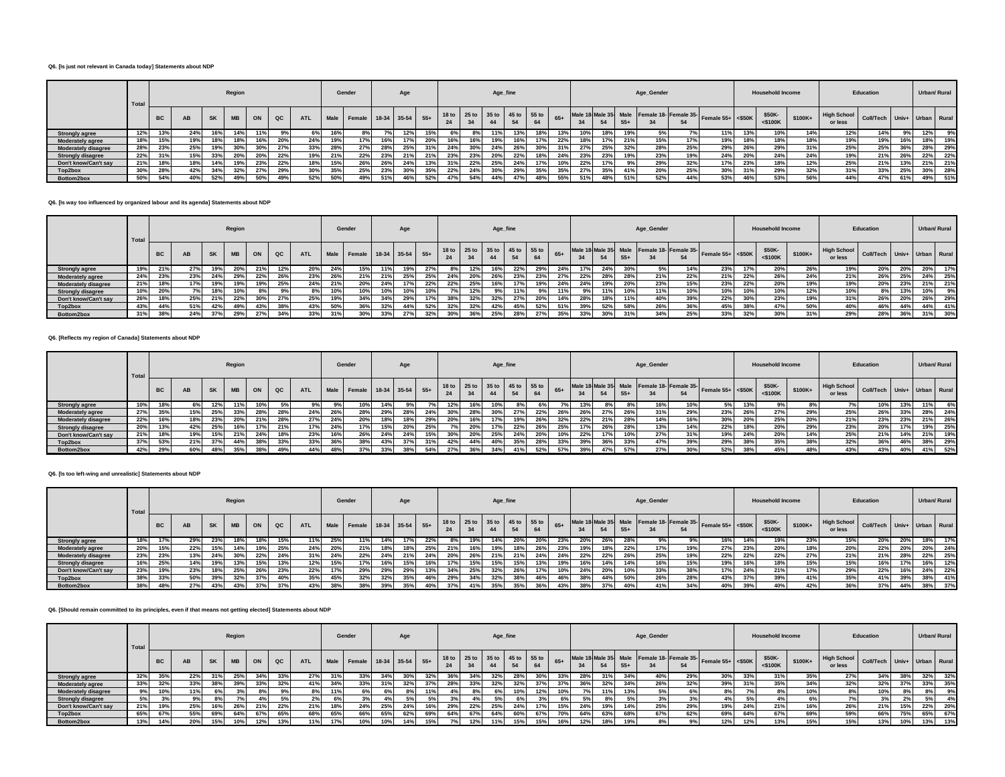## **Q6. [Is just not relevant in Canada today] Statements about NDP**

|                            | Total |           |     |           | Region     |     |     |            |      | Gender             |     | Age |       |     |     | Age_fine |                 |                                     |       |     |              |       | Age_Gender |     |                                                              |     | <b>Household Income</b> |         |                               | Education                   |     | Urban/ Rural |     |
|----------------------------|-------|-----------|-----|-----------|------------|-----|-----|------------|------|--------------------|-----|-----|-------|-----|-----|----------|-----------------|-------------------------------------|-------|-----|--------------|-------|------------|-----|--------------------------------------------------------------|-----|-------------------------|---------|-------------------------------|-----------------------------|-----|--------------|-----|
|                            |       | <b>BC</b> | AB  | <b>SK</b> | <b>MB</b>  | ON  | QC  | <b>ATL</b> | Male | Female 18-34 35-54 |     |     | $55+$ |     |     | 44       |                 | 18 to 25 to 35 to 45 to 55 to<br>64 | $65+$ | 34  |              | $55+$ |            |     | Male 18 Male 35 Male Female 18- Female 35- Female 55+ <\$50K |     | \$50K-<br>$<$ \$100 $<$ | \$100K+ | <b>High School</b><br>or less | Coll/Tech Univ+ Urban Rural |     |              |     |
| <b>Strongly agree</b>      | 12%   | 13%       | 24% |           | 14%        | 11% |     | 6% I       | 16%  |                    |     | 12% | 15%   | 6%  |     |          | 13 <sup>°</sup> | 18%                                 | 13%   | 10% | 18%          | 19%   | 5%         |     | 11%                                                          | 13% | 10%                     | 14%     | 12%                           | 14%                         |     | 12%          |     |
| <b>Moderately agree</b>    | 18%   | 15%       | 19% |           | <b>189</b> | 16% | 20% | 24%        | 19%  |                    | 16% |     | 20%   |     | 16% | 19%      | <b>16°</b>      | 17%                                 | 22%   | 18% |              | 21%   | 15%        | 17% | 19%                                                          | 18% | 18%                     |         | 19%                           | 19%                         | 16% | 18%          | 19% |
| <b>Moderately disagree</b> | 28%   | 23%       | 25% | 19%       | 30%        | 30% | 27% | 33%        | 28%  | 27%                | 28% | 25% | 31%   | 24% | 30% | 24%      | 26%             | 30%                                 | 31%   | 27% | ore.<br>-457 | 32%   | 28%        | 25% | 29%                                                          | 26% | 29%                     | 31%     | 25%                           | 25%                         | 36% | 28%          | 29% |
| <b>Strongly disagree</b>   | 22%   | 31%       | 15% | 33%       | <b>20%</b> | 20% | 22% | 19%        | 21%  | 22%                | 23% | 21% | 21%   | 23% | 23% |          | $22^\circ$      | 18%                                 | 24%   | 23% | 0.20<br>257  |       | 23%        | 19% | 24%                                                          | 20% | 24%                     | 24%     | 19%                           | 21%                         | 26% | 22%          | 22% |
| Don't know/Can't say       | 21%   | 18%       | 18% | 14%       | 19%        | 23% | 22% | 18%        | 15%  | 26%                | 26% | 24% | 13%   | 31% | 22% | 25%      | 24%             | 17%                                 | 10%   | 22% |              |       | 29%        | 32% | 17%                                                          | 23% | 18%                     | 12%     | 25%                           | 21%                         |     | 21%          | 21% |
| Top2box                    | 30%   | 28%       | 42% | 34%       | 32%        | 27% | 29% | 30%        | 35%  | 25%                | 23% | 30% | 35%   | 22% | 24% | 30%      | 29°             | 35%                                 | 35%   | 27% | 2E0I<br>-337 | 41%   | 20%        | 25% | 30%                                                          | 31% | 29%                     | 32%     | 31%                           | 33%                         | 25% | 30%          | 28% |
| Bottom2box                 | 50%   | 54%       | 40% | 52%       |            | 50% | 49% | 52%        | 50%  | 49%                | 51% | 46% | 52%   | 47% | 54% | 44%      |                 | 48%                                 | 55%   |     |              | 51%   | 52%        | 44% | 53%                                                          | 46% | 53%                     | 56%     | 44%                           | 47%                         | 61% | 49%          | 51% |

#### **Q6. [Is way too influenced by organized labour and its agenda] Statements about NDP**

|                            | Total |           |     |           | Region    |     |             |            |            | Gender                      |     | Age |     |     |     | Age_fine |     |                               |     |     |     |       | Age_Gender |     |                                                            |     | <b>Household Income</b> |          |                                                    | Education |     |     | Urban/ Rural |
|----------------------------|-------|-----------|-----|-----------|-----------|-----|-------------|------------|------------|-----------------------------|-----|-----|-----|-----|-----|----------|-----|-------------------------------|-----|-----|-----|-------|------------|-----|------------------------------------------------------------|-----|-------------------------|----------|----------------------------------------------------|-----------|-----|-----|--------------|
|                            |       | <b>BC</b> | AB  | <b>SK</b> | <b>MB</b> | ON  | $_{\rm QC}$ | <b>ATL</b> |            | Male Female 18-34 35-54 55+ |     |     |     |     | 34  | 44       |     | 18 to 25 to 35 to 45 to 55 to |     | 34  |     | $55+$ |            | 54  | Male 18 Male 35 Male Female 18 Female 35 Female 55+ <\$50K |     | \$50K-<br>$<$ \$100K    | $$100K+$ | High School Coll/Tech Univ+ Urban Rural<br>or less |           |     |     |              |
| <b>Strongly agree</b>      | 19%   | 21%       | 27% | 19%       | 20%       | 21% | 12%         | 20%        | -247       | 15%                         |     | 19% | 27% |     | 12% | 16%      | 22% | 29%                           | 24% | 17% | 24% | 30%   | 5%         | 14% | 23%                                                        | 17% | 20%                     | 26%      | 19%                                                | 20%       | 20% | 20% | 17%          |
| <b>Moderately agree</b>    | 24%   | 23%       | 23% | 24%       | 29%       | 22% | 26%         | 23%        | <b>26°</b> | 21%                         |     | 25% | 25% | 24% | 20% | 26%      | 23% | 23%                           |     | 22% | 28% | 28%   | 21%        | 22% | 21%                                                        | 22% | 26%                     | 24%      | 21%                                                | 26%       | 25% | 24% | 25%          |
| <b>Moderately disagree</b> | 21%   | 18%       | 17% | 19%       |           | 19% | 25%         | 24%        | 219        | 20%                         |     | 17% | 22% | 22% | 25% | 16%      |     | 19%                           | 24% | 24% | 19% | 20%   | 23%        | 15% | 23%                                                        | 22% | 20%                     | 19%      | 19%                                                | 20%       | 23% | 21% | 21%          |
| <b>Strongly disagree</b>   | 10%   | 20%       | 7%  | 18%       |           |     | 9%          | 8%         | 10%        | 10%                         |     | 10% | 10% |     | 12% | 9%       |     |                               |     |     | 11% | 10%   | 11%        | 10% | 10%                                                        | 10% | 10%                     | 12%      | 10%                                                |           | 13% | 10% | 9%           |
| Don't know/Can't say       | 26%   | 18%       | 25% | 21%       | 22%       | 30% | 27%         | 25%        | 10%        | 34%                         |     | 29% |     | 38% | 32% | 32%      | 27% | 20%                           | 14% | 28% | 18% | 11%   | 40%        | 39% | 22%                                                        | 30% | 23%                     | 19%      | 31%                                                | 26%       | 20% | 26% | 29%          |
| Top2box                    | 43%   | 44%       | 51% | 42%       | 49%       | 43% | 38%         | 43%        | 50%        | 36%                         | 32% | 44% | 52% | 32% | 32% | 42%      | 45% | 52%                           | 51% | 39% | 52% | 58%   | 26%        | 36% | 45%                                                        | 38% | 47%                     | 50%      | 40%                                                | 46%       | 44% | 44% | 41%          |
| Bottom2box                 | 31%   | 38%       | 24% | 37%       | 29%       | 27% | 34%         | 33%        |            | 30%                         |     | 27% | 32% | 30% | 36% | 25%      | 28% | 27%                           | 35% |     | 30% | 31%   | 34%        | 25% | 33%                                                        | 32% | 30%                     | 31%      | 29%                                                | 28%       | 36% | 31% | 30%          |

## **Q6. [Reflects my region of Canada] Statements about NDP**

|                            | Total |           |     |           | Region    |      |     |            |     | Gender                      |     | Age |     |     |     | Age_fine                      |             |     |     |     |             |       | Age_Gender |     |                                                            |     | <b>Household Income</b> |         |                                             | Education |     | Urban/ Rural |     |
|----------------------------|-------|-----------|-----|-----------|-----------|------|-----|------------|-----|-----------------------------|-----|-----|-----|-----|-----|-------------------------------|-------------|-----|-----|-----|-------------|-------|------------|-----|------------------------------------------------------------|-----|-------------------------|---------|---------------------------------------------|-----------|-----|--------------|-----|
|                            |       | <b>BC</b> | AB  | <b>SK</b> | <b>MB</b> | ON   | QC  | <b>ATL</b> |     | Male Female 18-34 35-54 55+ |     |     |     |     |     | 18 to 25 to 35 to 45 to 55 to |             |     | 65+ | 34  |             | $55+$ |            |     | Male 18 Male 35 Male Female 18 Female 35 Female 55+ <\$50K |     | \$50K-<br>$<$ \$100K    | \$100K+ | The High School Coll/Tech Univ+ Urban Rural |           |     |              |     |
| <b>Strongly agree</b>      | 10%   | 18%       | 6%  | 12%       |           | 10%  |     | 9% I       | 9%  | 10%                         | 14% |     |     |     | 16% |                               |             | 6%  |     | 13% |             |       | 16%        | 10% |                                                            | 13% | 9%                      |         |                                             | 10%       | 13% | 11%          | 6%  |
| <b>Moderately agree</b>    | 27%   | 35%       | 15% | 25%       | 33%       | 28%  | 28% | 24%        | 26% | 28%                         | 29% | 28% | 24% |     | 28% |                               | <b>27</b> % | 22% | 26% | 26% | 27%         | 26%   | 31%        | 29% | 23%                                                        | 26% | 27%                     | 29%     | 25%                                         | 26%       | 33% | 28%          | 24% |
| <b>Moderately disagree</b> | 22%   | 16%       | 18% | 23%       | 20%       | 21%  | 28% | 27%        | 24% | 20%                         |     | 18% | 29% | 20% | 16% |                               | 19%         | 26% | 32% | 22% | 240<br>-417 | 28%   | 14%        | 16% | 30%                                                        | 20% | 25%                     | 20%     | 21%                                         | 23%       | 23% | 21%          | 26% |
| <b>Strongly disagree</b>   | 20%   | 13%       | 42% | 25%       | 16%       | 17%  | 21% | 17%        | 24% |                             | 15% | 20% | 25% |     | 20% |                               | 22%         | 26% | 25% |     | 000<br>267  | 28%   | 13%        | 14% | 22%                                                        | 18% | 20%                     | 29%     | 23%                                         | 20%       | 17% | 19%          | 25% |
| Don't know/Can't say       | 21%   | 18%       | 19% | 15%       | 21%       | 24%  | 18% | 23%        | 16% | 26%                         | 24% | 24% | 15% | 30% | 20% | 25%                           | 24%         | 20% | 10% | 22% | 17%         | 10%   | 27%        | 31% | 19%                                                        | 24% | 20%                     | 14%     | 25%                                         | 21%       | 14% | 21%          | 19% |
| Top2box                    | 37%   | 53%       | 21% | 37%       | 44%       | 38%  | 33% | 33%        | 36% | 38%                         | 43% | 37% | 31% | 42% | 44% | 40%                           | 35%         | 28% | 33% | 39% | -307        | 33%   | 47%        | 39% | 29%                                                        | 38% | 35%                     | 38%     | 32%                                         | 36%       | 46% | 38%          | 29% |
| Bottom2box                 | 42%   | 29%       | 60% | 48%       | 35%       | 200/ | 49% | 44%        | 48% |                             | 33% | 38% | 54% | 27% | 36% | 34%                           | 41%         | 52% | 57% | 39% |             | 57%   | 27%        | 30% | 52%                                                        | 38% | 45%                     | 48%     | 43%                                         | 43%       | 40% | 41%          | 52% |

#### **Q6. [Is too left-wing and unrealistic] Statements about NDP**

|                            | Total |           |     |              | Region          |     |     |            |      | Gender                 |     | Age        |     |     |     |             | Age_fine                      |            |     |     |     |     | Age_Gender |     |                                                              |     | <b>Household Income</b> |          |                               | Education                   |     |     | Urban/ Rural |
|----------------------------|-------|-----------|-----|--------------|-----------------|-----|-----|------------|------|------------------------|-----|------------|-----|-----|-----|-------------|-------------------------------|------------|-----|-----|-----|-----|------------|-----|--------------------------------------------------------------|-----|-------------------------|----------|-------------------------------|-----------------------------|-----|-----|--------------|
|                            |       | <b>BC</b> | AB  | <b>SK</b>    | <b>MB</b>       | ON  | QC  | <b>ATL</b> | Male | Female 18-34 35-54 55+ |     |            |     | 24  | 34  |             | 18 to 25 to 35 to 45 to 55 to | 64         |     | 34  |     | 55+ |            | 54  | Male 18 Male 35 Male Female 18- Female 35- Female 55+ <\$50K |     | \$50K-<br>$<$ \$100 $K$ | $$100K+$ | <b>High School</b><br>or less | Coll/Tech Univ+ Urban Rural |     |     |              |
| <b>Strongly agree</b>      | 18%   | 17%       | 29% | <b>257</b>   |                 | 18% | 15% | 11%        | 25%  | 11%                    | 14% | $17^\circ$ | 22% |     | 19% |             | 20%                           | $20^\circ$ | 23% | 20% | 26% |     |            |     | 16%                                                          | 14% | 19%                     | 23%      | 15%                           | 20%                         | 20% | 18% | 17%          |
| <b>Moderately agree</b>    | 20%   | 15%       | 22% | 15%          | 14 <sup>°</sup> | 19% | 25% | 24%        | 20%  | 21%                    | 18% | 18%        | 25% | 21% | 16% |             |                               | 26%        | 23% |     | 18% | 22% | 17%        | 19% | 27%                                                          | 23% | 20%                     | 18%      | 20%                           | 22%                         | 20% | 20% | 24%          |
| <b>Moderately disagree</b> | 23%   | 23%       | 13% | 24%          | 30°             | 22% | 24% | 31%        | 24%  | 22%                    |     | 219        | 24% | 20% | 26% | 240<br>-417 | 21%                           | 24%        | 24% | 22% | 22% | 26% | 25%        | 19% | 22%                                                          | 22% | 22%                     | 27%      | 21%                           | 21%                         | 28% | 22% | 25%          |
| <b>Strongly disagree</b>   | 16%   | 25%       | 14% |              |                 | 15% | 13% | 12%        |      | 17%                    |     | 15%        | 16% | 17% | 15% |             | 15%                           | 13%        | 19% |     | 14% | 14% | 16%        | 15% | 19%                                                          | 16% | 18%                     | 15%      | 15%                           |                             | 17% | 16% | 12%          |
| Don't know/Can't say       | 23%   | 19%       | 23% |              | 25%             | 26% | 23% | 22%        |      | 29%                    |     | 29°        | 13% | 34% | 25% | 32%         | <b>26°</b>                    |            | 10% | 24% | 20% |     | 33%        | 38% |                                                              | 24% | 21%                     | 17%      | 29%                           | 22%                         | 16% | 24% | 22%          |
| Top2box                    | 38%   | 33%       | 50% | 200/<br>-397 | 32%             | 37% | 40% | 35%        | 45%  | 32%                    | 32% | 35%        | 46% | 29% | 34% | 32%         | 38%                           | 46%        | 46% | 38% | 44% |     | 26%        | 28% | 43%                                                          | 37% | 39%                     | 41%      | 35%                           | 41%                         | 39% | 38% | 41%          |
| Bottom2box                 | 38%   | 48%       | 27% |              | 43%             | 37% | 37% | 43%        | 38%  | 38%                    | 39% | 35%        | 40% | 37% | 41% | 35%         | 35%                           | 36%        | 43% | 38% | 37% | 40% | 41%        | 34% | 40%                                                          | 39% |                         | 42%      | 36%                           | 37%                         | 44% | 38% | 37%          |

#### **Q6. [Should remain committed to its principles, even if that means not getting elected] Statements about NDP**

|                            | Total |           |           |           | Region    |     |               |            |     | Gender                      |      | Age |     |       |     | Age_fine       |                               |     |       |            |     |       | Age_Gender |     |                                                                                        |     | <b>Household Income</b> |         |                                         | Education |     |     | Urban/ Rural |
|----------------------------|-------|-----------|-----------|-----------|-----------|-----|---------------|------------|-----|-----------------------------|------|-----|-----|-------|-----|----------------|-------------------------------|-----|-------|------------|-----|-------|------------|-----|----------------------------------------------------------------------------------------|-----|-------------------------|---------|-----------------------------------------|-----------|-----|-----|--------------|
|                            |       | <b>BC</b> | <b>AB</b> | <b>SK</b> | <b>MB</b> | ON  | $_{\alpha c}$ | <b>ATL</b> |     | Male Female 18-34 35-54 55+ |      |     |     |       | 34  | 44             | 18 to 25 to 35 to 45 to 55 to | 64  | $65+$ |            |     | $55+$ |            | 54  | Male 18 Male 35 Male Female 18- Female 35- Female 55+ $\left  \right $ <\$50K $\left $ |     | \$50K-<br>$<$ \$100 $K$ | \$100K+ | High School Coll/Tech Univ+ Urban Rural |           |     |     |              |
| <b>Strongly agree</b>      | 32%   | 35%       | 22%       |           | 25%       | 34% | 33%           | 27%        |     | 33%                         |      |     | 32% | 36%   | 34% | 32%            | 28%                           | 30% | 33%   | <b>207</b> | 31% | 34%   | 40%        | 29% | 30%                                                                                    | 33% | 31%                     | 35%     | 27%                                     | 34%       | 38% | 32% | 32%          |
| <b>Moderately agree</b>    | 33%   | 32%       | 33%       | 200/      | 39%       | 33% | 32%           | 41%        | 34% | 33%                         |      | 32% | 37% | 28%   | 33% |                | 32%                           | 37% | 37%   |            | 32% | 34%   | 26%        | 32% | 39%                                                                                    | 31% | 35%                     | 34%     | 32%                                     | 32%       | 37% | 33% | 35%          |
| <b>Moderately disagree</b> | 9%    | 10%       | 11%       | 6%        |           |     | 9%            | 8%         |     | 6%                          | 6% I |     | 11% | $4\%$ | 8%  |                | 10%                           | 12% | 10%   |            | 11% | 13%   | 5%         | 6%  | 8%                                                                                     |     | 8%                      | 10%     | 8%                                      | 10%       | 8%  |     | 9%           |
| <b>Strongly disagree</b>   | 5%    |           |           |           |           |     | 5%            | 2%         | 6%  |                             |      | E0/ | 5%  |       |     | E <sub>0</sub> |                               |     | 6%    |            | 8%  |       | 20I        |     |                                                                                        |     |                         |         | 7%                                      |           | 2%  |     | 4%           |
| Don't know/Can't say       | 21%   | 19%       | 25%       | 16%       | 26%       | 21% | 22%           | 21%        |     | 24%                         | 25%  | 24% | 16% | 29%   | 22% | 25%            | 24%                           | 17% | 15%   | 24%        | 19% | 14%   | 25%        | 29% | 19%                                                                                    | 24% | 21%                     | 16%     | 26%                                     | 21%       | 15% | 22% | 20%          |
| Top2box                    | 65%   | 67%       | 55%       | 69%       | 64%       | 67% | 65%           | 68%        | 65% | 66%                         | 65%  | 62% | 69% | 64%   | 67% | 64%            | 60%                           | 67% | 70%   | 64%        | 63% | 68%   | 67%        | 62% | 69%                                                                                    | 64% | 67%                     | 69%     | 59%                                     | 66%       | 75% | 65% | 67%          |
| Bottom2box                 | 13%   | 14%       | 20%       | 15%       |           | 12% | 13%           | 11%        |     | 10%                         |      | 14% | 15% |       |     | 11%            |                               | 15% | 16%   |            | 18% | 19%   |            |     | 12%                                                                                    | 12% | 13%                     | 15%     | 15%                                     | 13%       | 10% | 13% | 13%          |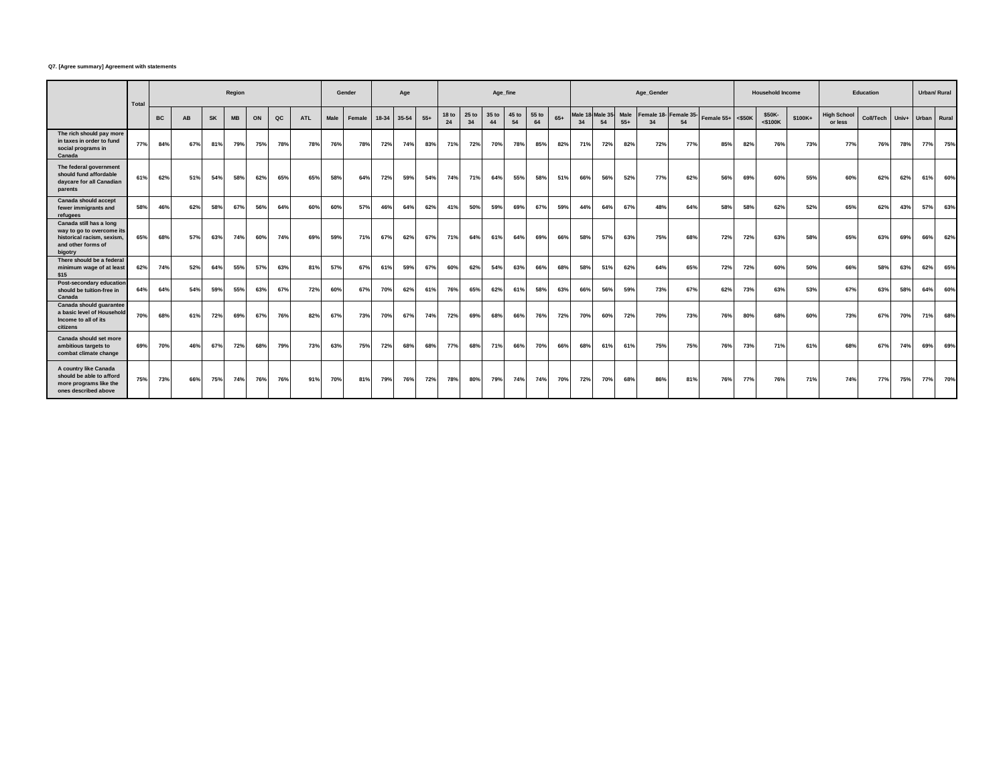#### **Q7. [Agree summary] Agreement with statements**

|                                                                                                                     | Total |           |           |           | Region    |     |     |            |      | Gender |            | Age   |       |                        |             | Age_fine    |             |             |       |                         |              |               | Age_Gender       |                  |                   |     | <b>Household Income</b> |         |                               | <b>Education</b> |       | Urban/ Rural |     |
|---------------------------------------------------------------------------------------------------------------------|-------|-----------|-----------|-----------|-----------|-----|-----|------------|------|--------|------------|-------|-------|------------------------|-------------|-------------|-------------|-------------|-------|-------------------------|--------------|---------------|------------------|------------------|-------------------|-----|-------------------------|---------|-------------------------------|------------------|-------|--------------|-----|
|                                                                                                                     |       | <b>BC</b> | <b>AB</b> | <b>SK</b> | <b>MB</b> | ON  | QC  | <b>ATL</b> | Male | Female | 18-34      | 35-54 | $55+$ | 18 <sub>to</sub><br>24 | 25 to<br>34 | 35 to<br>44 | 45 to<br>54 | 55 to<br>64 | $65+$ | Male <sub>1</sub><br>34 | Male 3<br>54 | Male<br>$55+$ | Female 18-<br>34 | Female 35-<br>54 | Female 55+ <\$50K |     | \$50K-<br>$<$ \$100 $K$ | \$100K+ | <b>High School</b><br>or less | Coll/Tech        | Univ+ | Urban Rural  |     |
| The rich should pay more<br>in taxes in order to fund<br>social programs in<br>Canada                               | 77%   | 84%       | 67%       | 81%       | 79%       | 75% | 78% | 78%        | 76%  | 78%    | 72%        | 74%   | 83%   | 71%                    | 72%         | 70%         | 78%         | 85%         | 82%   | 71%                     | 72%          | 82%           | 72%              | 77%              | 85%               | 82% | 76%                     | 73%     | <b>77%</b>                    | 76%              | 78%   | 77%          | 75% |
| The federal government<br>should fund affordable<br>daycare for all Canadian<br>parents                             | 61%   | 62%       | 51%       | 54%       | 58%       | 62% | 65% | 65%        | 58%  | 64%    | 72%        | 59%   | 54%   | 74%                    | 71%         | 64%         | 55%         | 58%         | 51%   | 66%                     | 56%          | 52%           | 77%              | 62%              | 56%               | 69% | 60%                     | 55%     | 60%                           | 62%              | 62%   | 61%          | 60% |
| Canada should accept<br>fewer immigrants and<br>refugees                                                            | 58%   | 46%       | 62%       | 58%       | 67%       | 56% | 64% | 60%        | 60%  | 57%    | 46%        | 64%   | 62%   | 41%                    | 50%         | 59%         | 69%         | 67%         | 59%   | 44%                     | 64%          | 67%           | 48%              | 64%              | 58%               | 58% | 62%                     | 52%     | 65%                           | 62%              | 43%   | 57%          | 63% |
| Canada still has a long<br>way to go to overcome its<br>historical racism, sexism.<br>and other forms of<br>bigotry | 65%   | 68%       | 57%       | 63%       | 74%       | 60% | 74% | 69%        | 59%  | 71%    | 67%        | 62%   | 67%   | 71%                    | 64%         | 61%         | 64%         | 69%         | 66%   | 58%                     | 57%          | 63%           | 75%              | 68%              | 72%               | 72% | 63%                     | 58%     | 65%                           | 63%              | 69%   | 66%          | 62% |
| There should be a federal<br>minimum wage of at least<br>\$15                                                       | 62%   | 74%       | 52%       | 64%       | 55%       | 57% | 63% | 81%        | 57%  | 67%    | 61%        | 59%   | 67%   | 60%                    | 62%         | 54%         | 63%         | 66%         | 68%   | 58%                     | 51%          | 62%           | 64%              | 65%              | 72%               | 72% | 60%                     | 50%     | 66%                           | 58%              | 63%   | 62%          | 65% |
| Post-secondary education<br>should be tuition-free in<br>Canada                                                     | 64%   | 64%       | 54%       | 59%       | 55%       | 63% | 67% | 72%        | 60%  | 67%    | <b>70%</b> | 62%   | 61%   | 76%                    | 65%         | 62%         | 61%         | 58%         | 63%   | 66%                     | 56%          | 59%           | 73%              | 67%              | 62%               | 73% | 63%                     | 53%     | 67%                           | 63%              | 58%   | 64%          | 60% |
| Canada should guarantee<br>a basic level of Household<br>Income to all of its<br>citizens                           | 70%   | 68%       | 61%       | 72%       | 69%       | 67% | 76% | 82%        | 67%  | 73%    | 70%        | 67%   | 74%   | 72%                    | 69%         | 68%         | 66%         | 76%         | 72%   | 70%                     | 60%          | 72%           | 70%              | 73%              | 76%               | 80% | 68%                     | 60%     | 73%                           | 67%              | 70%   | 71%          | 68% |
| Canada should set more<br>ambitious targets to<br>combat climate change                                             | 69%   | 70%       | 46%       | 67%       | 72%       | 68% | 79% | 73%        | 63%  | 75%    | 72%        | 68%   | 68%   | 77%                    | 68%         | 71%         | 66%         | 70%         | 66%   | 68%                     | 61%          | 61%           | 75%              | 75%              | 76%               | 73% | 71%                     | 61%     | 68%                           | 67%              | 74%   | 69%          | 69% |
| A country like Canada<br>should be able to afford<br>more programs like the<br>ones described above                 | 75%   | 73%       | 66%       | 75%       | 74%       | 76% | 76% | 91%        | 70%  | 81%    | 79%        | 76%   | 72%   | 78%                    | 80%         | 79%         | 74%         | 74%         | 70%   | 72%                     | 70%          | 68%           | 86%              | 81%              | 76%               | 77% | 76%                     | 71%     | 74%                           | 77%              | 75%   | 77%          | 70% |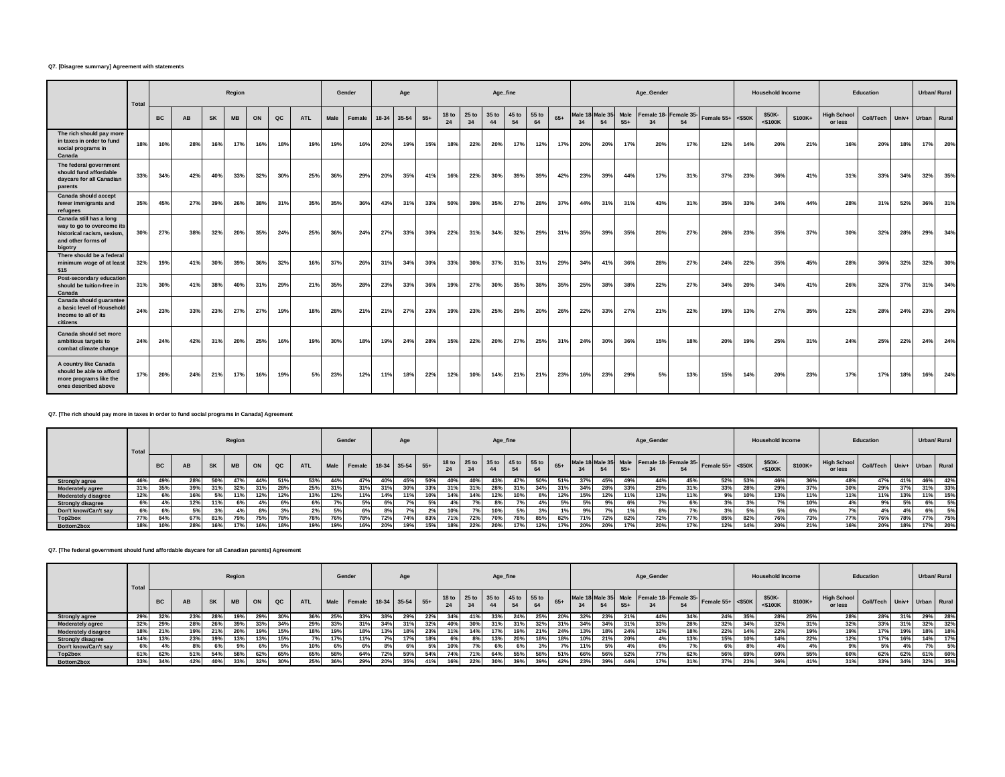#### **Q7. [Disagree summary] Agreement with statements**

|                                                                                                                     | Total |           |           |     | Region    |     |     |            |      | Gender |       | Age   |       |             |               | Age_fine    |             |             |       |              |               |               | Age Gender |                             |                   |     | <b>Household Income</b> |         |                               | Education        |       | <b>Urban/ Rural</b> |     |
|---------------------------------------------------------------------------------------------------------------------|-------|-----------|-----------|-----|-----------|-----|-----|------------|------|--------|-------|-------|-------|-------------|---------------|-------------|-------------|-------------|-------|--------------|---------------|---------------|------------|-----------------------------|-------------------|-----|-------------------------|---------|-------------------------------|------------------|-------|---------------------|-----|
|                                                                                                                     |       | <b>BC</b> | <b>AB</b> | SK  | <b>MB</b> | ON  | QC  | <b>ATL</b> | Male | Female | 18-34 | 35-54 | $55+$ | 18 to<br>24 | $25$ to<br>34 | 35 to<br>44 | 45 to<br>54 | 55 to<br>64 | $65+$ | Male *<br>34 | Male 35<br>54 | Male<br>$55+$ | 34         | Female 18- Female 35-<br>54 | Female 55+ <\$50K |     | \$50K-<br><\$100K       | \$100K+ | <b>High School</b><br>or less | <b>Coll/Tech</b> | Univ+ | Urban Rural         |     |
| The rich should pay more<br>in taxes in order to fund<br>social programs in<br>Canada                               | 18%   | 10%       | 28%       | 16% | 17%       | 16% | 18% | 19%        | 19%  | 16%    | 20%   | 19%   | 15%   | 18%         | 22%           | 20%         | 17%         | 12%         | 17%   | 20%          | 20%           | 17%           | 20%        | 17%                         | 12%               | 14% | 20%                     | 21%     | 16%                           | 20%              | 18%   | 17%                 | 20% |
| The federal government<br>should fund affordable<br>davcare for all Canadian<br>parents                             | 33%   | 34%       | 42%       | 40% | 33%       | 32% | 30% | 25%        | 36%  | 29%    | 20%   | 35%   | 41%   | 16%         | 22%           | 30%         | 39%         | 39%         | 42%   | 23%          | 39%           | 44%           | 17%        | 31%                         | 37%               | 23% | 36%                     | 41%     | 31%                           | 33%              | 34%   | 32%                 | 35% |
| <b>Canada should accept</b><br>fewer immigrants and<br>refugees                                                     | 35%   | 45%       | 27%       | 39% | 26%       | 38% | 31% | 35%        | 35%  | 36%    | 43%   | 31%   | 33%   | 50%         | 39%           | 35%         | 27%         | 28%         | 37%   | 44%          | 31%           | 31%           | 43%        | 31%                         | 35%               | 33% | 34%                     | 44%     | 28%                           | 31%              | 52%   | 36%                 | 31% |
| Canada still has a long<br>way to go to overcome its<br>historical racism, sexism.<br>and other forms of<br>bigotry | 30%   | 27%       | 38%       | 32% | 20%       | 35% | 24% | 25%        | 36%  | 24%    | 27%   | 33%   | 30%   | 22%         | 31%           | 34%         | 32%         | 29%         | 31%   | 35%          | 39%           | 35%           | 20%        | 27%                         | 26%               | 23% | 35%                     | 37%     | 30%                           | 32%              | 28%   | 29%                 | 34% |
| There should be a federal<br>minimum wage of at least<br>\$15                                                       | 32%   | 19%       | 41%       | 30% | 39%       | 36% | 32% | 16%        | 37%  | 26%    | 31%   | 34%   | 30%   | 33%         | 30%           | 37%         | 31%         | 31%         | 29%   | 34%          | 41%           | 36%           | 28%        | 27%                         | 24%               | 22% | 35%                     | 45%     | 28%                           | 36%              | 32%   | 32%                 | 30% |
| <b>Post-secondary education</b><br>should be tuition-free in<br>Canada                                              | 31%   | 30%       | 41%       | 38% | 40%       | 31% | 29% | 21%        | 35%  | 28%    | 23%   | 33%   | 36%   | 19%         | 27%           | 30%         | 35%         | 38%         | 35%   | 25%          | 38%           | 38%           | 22%        | 27%                         | 34%               | 20% | 34%                     | 41%     | 26%                           | 32%              | 37%   | 31%                 | 34% |
| Canada should quarantee<br>a basic level of Household<br>Income to all of its<br>citizens                           | 24%   | 23%       | 33%       | 23% | 27%       | 27% | 19% | 18%        | 28%  | 21%    | 21%   | 27%   | 23%   | 19%         | 23%           | 25%         | 29%         | 20%         | 26%   | 22%          | 33%           | 27%           | 21%        | 22%                         | 19%               | 13% | 27%                     | 35%     | 22%                           | 28%              | 24%   | 23%                 | 29% |
| Canada should set more<br>ambitious targets to<br>combat climate change                                             | 24%   | 24%       | 42%       | 31% | 20%       | 25% | 16% | 19%        | 30%  | 18%    | 19%   | 24%   | 28%   | 15%         | 22%           | 20%         | 27%         | 25%         | 31%   | 24%          | 30%           | 36%           | 15%        | 18%                         | 20%               | 19% | 25%                     | 31%     | 24%                           | 25%              | 22%   | 24%                 | 24% |
| A country like Canada<br>should be able to afford<br>more programs like the<br>ones described above                 | 17%   | 20%       | 24%       | 21% | 17%       | 16% | 19% | 5%         | 23%  | 12%    | 11%   | 18%   | 22%   | 12%         | 10%           | 14%         | 21%         | 21%         | 23%   | 16%          | 23%           | 29%           | 5%         | 13%                         | 15%               | 14% | 20%                     | 23%     | 17%                           | 17%              | 18%   | 16%                 | 24% |

#### **Q7. [The rich should pay more in taxes in order to fund social programs in Canada] Agreement**

|                            | Total |           |     |           | Region    |                |             |            |      | Gender                 |     | Age |                      |     |     | Age_fine |     |                               |       |     |            |       | Age_Gender |                                            |                     |     | <b>Household Income</b> |            |                               | Education                   |     | Urban/ Rural |     |
|----------------------------|-------|-----------|-----|-----------|-----------|----------------|-------------|------------|------|------------------------|-----|-----|----------------------|-----|-----|----------|-----|-------------------------------|-------|-----|------------|-------|------------|--------------------------------------------|---------------------|-----|-------------------------|------------|-------------------------------|-----------------------------|-----|--------------|-----|
|                            |       | <b>BC</b> | AB  | <b>SK</b> | <b>MB</b> | ON             | $_{\rm QC}$ | <b>ATL</b> | Male | Female 18-34 35-54 55+ |     |     |                      |     |     | 44       |     | 18 to 25 to 35 to 45 to 55 to | $65+$ | 34  |            | $55+$ |            | Male 18 Male 35 Male Female 18- Female 35- | Female $55+ < $50K$ |     | \$50K-<br><\$100K       | \$100K+    | <b>High School</b><br>or less | Coll/Tech Univ+ Urban Rural |     |              |     |
| <b>Strongly agree</b>      | 46%   | 49%       | 28% | 50%       | 47%       | 44%            | 51%         | 53%        | 44%  | 47%                    | 40% | 45% | 50%                  | 40% | 40% | 43%      | 47% | 50%                           | 51%   | 37% | 45%        | 49%   | 44%        | 45%                                        | 52%                 | 53% | 46%                     | 36%        | 48%                           | 47%                         | 41% | 46%          | 42% |
| <b>Moderately agree</b>    | 31%   | 35%       | 39% | 31%       | 32%       | 31%            | 28%         | 25%        | 240  | 31%                    | 31% | 30% | 33%                  | 31% | 31% | 28%      | 240 | 34%                           | 31%   | 34% | 287        | 33%   | 29%        | 31%                                        | 33%                 | 28% | 29%                     | $37^\circ$ | 30%                           | 29%                         | 37% | 31%          | 33% |
| <b>Moderately disagree</b> | 12%   | 6%        | 16% |           | 119       | 12%            | 12%         | 13%        | 12%  | 11%                    | 14% | 11% | 10%                  | 14% | 14% | 12%      | 10% | 8%                            | 12%   | 15% | 12%        |       | 13%        | 11%                                        | 9%                  | 10% | 13%                     | 11%        | 11%                           | 11%                         | 13% | 11%          | 15% |
| <b>Strongly disagree</b>   |       |           | 12% | 11%       | 6%        | 4 <sup>o</sup> |             | 6%         |      |                        |     |     | F0                   |     |     |          |     |                               |       |     |            |       |            |                                            |                     | 3%  | 7%                      | 10%        |                               | 9%                          | 50/ | 6%           | 5%  |
| Don't know/Can't say       | 6%    |           | 5%  |           |           |                |             | 2%         | E0.  | 6%                     |     |     | 0 <sup>0</sup><br>z. | 10% | 7%  | 10%      | EO. |                               |       | 9%  |            |       |            |                                            | 3%                  | 5%  | 5%                      | 6%         |                               |                             |     | 6%           | 5%  |
| Top2box                    | 77%   | 84%       | 67% | 81%       | 79%       | 75%            | 78%         | 78%        | 76%  | 78%                    | 72% | 74% | 83%                  | 71% | 72% | 70%      | 78% | 85%                           | 82%   | 71% | <b>72%</b> | 82%   | 72%        | 77%                                        | 85%                 | 82% | 76%                     | 73%        | <b>77%</b>                    | 76%                         | 78% | 77%          | 75% |
| Bottom2box                 |       | 10%       | 28% | 16%       | 170       | 16%            | 18%         | 19%        | 19%  | 16%                    | 20% | 19% | 15%                  | 18% | 22% | 20%      | 17% | 12%                           | 17%   | 20% | <b>20%</b> |       | 20%        |                                            | 12%                 | 14% | 20%                     | 21%        | 16%                           | 20%                         | 18% |              | 20% |

## **Q7. [The federal government should fund affordable daycare for all Canadian parents] Agreement**

|                            | Total |           |     |           | Region |     |             |            |     | Gender                      |     | Age |     |     |     |     | Age_fine |                                     |       |                            |     |       | Age_Gender |     |                                                       |     | <b>Household Income</b> |         |                               | Education                   |     |     | Urban/ Rural |
|----------------------------|-------|-----------|-----|-----------|--------|-----|-------------|------------|-----|-----------------------------|-----|-----|-----|-----|-----|-----|----------|-------------------------------------|-------|----------------------------|-----|-------|------------|-----|-------------------------------------------------------|-----|-------------------------|---------|-------------------------------|-----------------------------|-----|-----|--------------|
|                            |       | <b>BC</b> | AB  | <b>SK</b> |        | ON  | $_{\rm QC}$ | <b>ATL</b> |     | Male Female 18-34 35-54 55+ |     |     |     | 24  |     |     |          | 18 to 25 to 35 to 45 to 55 to<br>64 | $65+$ | Male 18 Male 35 Male<br>34 |     | $55+$ |            | 54  | $\frac{1}{2}$ Female 18- Female 35- Female 55+ <\$50K |     | \$50K-<br>$<$ \$100 $K$ | \$100K+ | <b>High School</b><br>or less | Coll/Tech Univ+ Urban Rural |     |     |              |
| <b>Strongly agree</b>      | 29%   | 32%       | 25% | 28%       | 19%    | 29% | 30%         | 36%        | 25% | 33%                         | 38% | 29% | 22% | 34% | 41% | 33% | 24%      | 25%                                 | 20%   | 32%                        | 23% |       | 44%        | 34% | 24%                                                   | 35% | 28%                     | 25%     | 28%                           | 28%                         | 31% | 29% | 28%          |
| <b>Moderately agree</b>    | 32%   | 29%       | 26% | 26%       | 39%    | 33% | 34%         | 29%        | 33% | 31%                         | 34% |     | 32% | 40% | 30% |     | 31%      | 32%                                 | 31%   | 34%                        | 34% |       | 33%        | 28% | 32%                                                   | 34% | 32%                     | 31%     | 32%                           | 33%                         | 31% | 32% | 32%          |
| <b>Moderately disagree</b> |       | 21%       |     | 21%       | 20%    | 19% | 15%         | 18%        | 19% | 18%                         | 13% |     | 23% |     | 14% |     | 19%      | 21%                                 | 24%   |                            | 18% | 24%   | 12%        | 18% | 22%                                                   | 14% | 22%                     | 19%     | 19%                           | 17%                         | 19% | 18% | 18%          |
| <b>Strongly disagree</b>   | 14%   | 13%       | ە7- | 19%       | 13%    | 13% | 15%         |            | 17% | 1%                          |     |     | 18% |     |     | 13% | 20%      |                                     | 18%   |                            | 21% |       |            | 13% | 15%                                                   | 10% | 14%                     | 22%     | 12%                           | 17%                         | 16% | 14% | 17%          |
| Don't know/Can't sav       |       |           |     |           |        |     | EQ          | 10%        |     |                             |     | 6%  | 50  |     |     | 6%  |          |                                     |       |                            |     |       | 6%         |     |                                                       |     |                         |         |                               | 5%                          |     | 7%  | 5%           |
| Top2box                    | 61%   | 62%       | 51% | 54%       | 58%    | 62% | 65%         | 65%        | 58% | 64%                         | 72% | 59% | 54% | 74% | 71% | 64% |          | 58%                                 | 51%   | 66%                        | 56% | 52%   | 77%        | 62% | 56%                                                   | 69% | 60%                     | 55%     | 60%                           | 62%                         | 62% | 61% | 60%          |
| Bottom2box                 | 33%   | 34%       |     | 40%       | 33%    | 32% | 30%         | 25%        | 36% | 29%                         | 20% | 35% | 41% | 16% | 22% |     | 39%      | 39%                                 | 42%   |                            | 39% |       | 17%        |     | 37%                                                   | 23% | 36%                     | 41%     | 31%                           | 33°                         | 34% | 32% | 35%          |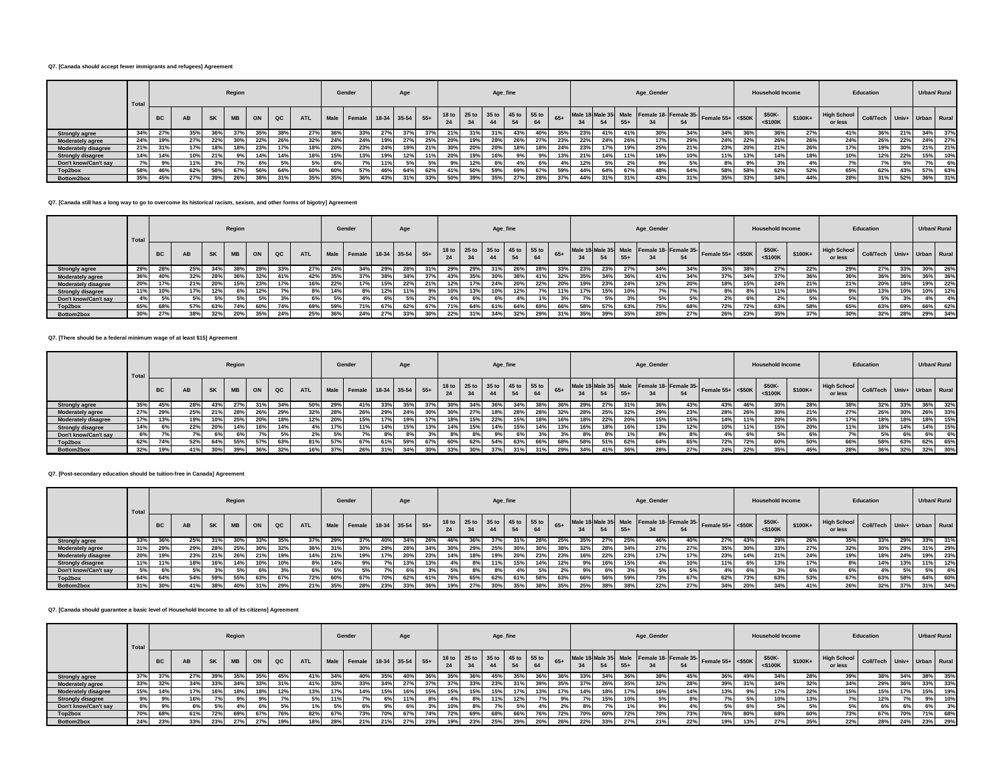#### **Q7. [Canada should accept fewer immigrants and refugees] Agreement**

|                            | Total   |           |           |           | Region    |     |             |            |      | Gender                      |     | Age |     |                               |     | Age_fine |     |     |       |     |     |       | Age_Gender |                                                  |                      |     | <b>Household Income</b> |          |                               | Education                   |     |     | Urban/ Rural |
|----------------------------|---------|-----------|-----------|-----------|-----------|-----|-------------|------------|------|-----------------------------|-----|-----|-----|-------------------------------|-----|----------|-----|-----|-------|-----|-----|-------|------------|--------------------------------------------------|----------------------|-----|-------------------------|----------|-------------------------------|-----------------------------|-----|-----|--------------|
|                            |         | <b>BC</b> | <b>AB</b> | <b>SK</b> | <b>MB</b> | ON  | $_{\rm QC}$ | <b>ATL</b> |      | Male Female 18-34 35-54 55+ |     |     |     | 18 to 25 to 35 to 45 to 55 to |     | 44       |     |     | $65+$ |     |     | $55+$ |            | Male 18 Male 35 Male Female 18- Female 35-<br>54 | Female $55+ <$ \$50K |     | \$50K-<br>$<$ \$100K    | $$100K+$ | <b>High School</b><br>or less | Coll/Tech Univ+ Urban Rural |     |     |              |
| <b>Strongly agree</b>      | 34%     | 27%       | 35%       | 36%       |           | 35% | 38%         | 27%        |      | 33%                         |     |     | 37% | 21%                           | 31% | 31%      | 43% | 40% |       | 23% | 41% | 41%   | 30%        | 34%                                              | 34%                  | 36% | 36%                     | 27%      | 41%                           | 36%                         | 21% | 34% | 37%          |
| <b>Moderately agree</b>    | 24%     | 19%       | 27%       | 22%       | 30%       | 22% | 26%         | 32%        | -24% | 24%                         |     |     | 25% | 20%                           | 19% | 28%      | 26% | 27% | 23%   | 22% | 24% | 26%   | 17%        | 29%                                              | 24%                  | 22% | 26%                     | 26%      | 24%                           | 26%                         | 22% | 24% | 27%          |
| <b>Moderately disagree</b> | 21%     | 31%       | 17%       | 18%       |           | 23% | 17%         | 18%        | 20%  | 23%                         | 24% | 19% | 21% | 30%                           | 20% | 20%      |     | 18% | 24%   | 23% | 17% | 19%   | 25%        | 21%                                              | 23%                  | 20% | 21%                     | 26%      | 17%                           | 19%                         | 30% | 21% | 21%          |
| <b>Strongly disagree</b>   | 14%     | 14%       | 10%       | 21%       | 9%        | 14% | 14%         | 18%        | 15%  | 13%                         |     | 12% | 11% | 20%                           | 19% | 16%      |     |     | 13%   | 21% | 14% | 11%   | 18%        | 10%                                              | 11%                  | 13% | 14%                     | 18%      | 10%                           | 12%                         | 22% | 15% | 10%          |
| Don't know/Can't sav       | $-20/1$ | 9%        | 11%       |           |           |     | 5%          | 5%         | 6%   | 7%                          |     |     | 5%  | 9%                            | 12% | 6%       |     |     |       | 12% | 5%  |       | 9%         |                                                  | 8%                   | 99  | 3%                      |          |                               |                             | 5%  | 7%  | 6%           |
| Top2box                    | 58%     | 46%       | 62%       | 58%       | 67%       | 56% | 64%         | 60%        | 60%  | 57%                         |     | 64% | 62% | 41%                           | 50% | 59%      | 69% | 67% | 59%   | 44% | 64% | 67%   | 48%        | 64%                                              | 58%                  | 58% | 62%                     | 52%      | 65%                           | 62%                         | 43% | 57% | 63%          |
| Bottom2box                 | 35%     | 45%       | 27%       | 39%       | 26%       | 38% | 31%         | 35%        |      | 36%                         | 43% | 31% | 33% | 50%                           | 39% | 35%      | 27% | 28% | 37%   |     | 31% | 31%   | 43%        | 31%                                              | 35%                  | 33% | 34%                     | 44%      | 28%                           | 31%                         | 52% | 36% | 31%          |

#### **Q7. [Canada still has a long way to go to overcome its historical racism, sexism, and other forms of bigotry] Agreement**

|                            | Total      |           |           |           | Region    |     |             |            |     | Gender                      |     | Age |     |     |     | Age_fine |            |                               |       |     |     |       | Age_Gender |      |                                                            |      | <b>Household Income</b> |          |                               | Education                   |     |     | Urban/ Rural |
|----------------------------|------------|-----------|-----------|-----------|-----------|-----|-------------|------------|-----|-----------------------------|-----|-----|-----|-----|-----|----------|------------|-------------------------------|-------|-----|-----|-------|------------|------|------------------------------------------------------------|------|-------------------------|----------|-------------------------------|-----------------------------|-----|-----|--------------|
|                            |            | <b>BC</b> | <b>AB</b> | <b>SK</b> | <b>MB</b> | ON  | $_{\rm QC}$ | <b>ATL</b> |     | Male Female 18-34 35-54 55+ |     |     |     | 24  | 34  | 44       |            | 18 to 25 to 35 to 45 to 55 to | $65+$ | 34  |     | $55+$ |            | 54   | Male 18 Male 35 Male Female 18 Female 35 Female 55+ <\$50K |      | \$50K-<br>$<$ \$100K    | $$100K+$ | <b>High School</b><br>or less | Coll/Tech Univ+ Urban Rural |     |     |              |
| <b>Strongly agree</b>      | 29%        | 28%       | 25%       | 34%       |           | 28% | 33%         | 27%        |     | 34%                         |     |     |     | 29% | 29% | 31%      | <b>26°</b> | 28%                           |       | 25% | 23% | 27%   | 34%        | 34%  | 35%                                                        | 38%  | 27%                     | 22%      | 29%                           | 27%                         | 33% | 30% | 26%          |
| <b>Moderately agree</b>    | 36%        | 40%       | 32%       | 28%       | 36%       | 32% | 41%         | 42%        | 35% | 37%                         |     | 34% | 37% | 43% | 35% | 30%      | 38%        | 41%                           | 32%   | 35% | 34% | 36%   | 41%        | 34%  | 37%                                                        | 34%  | 37%                     | 36%      | 36%                           | 36%                         | 36% | 36% | 36%          |
| <b>Moderately disagree</b> | <b>20%</b> | 17%       | 21%       | 20%       | 15%       | 23% | 17%         | 16%        | 22% | 17%                         | 15% | 22% | 21% | 12% |     | 24%      | 20%        | 22%                           |       | 19% | 23% | 24%   | 12%        | 20%  | 18%                                                        | 15%  | 24%                     | 21%      | 21%                           | 20%                         | 18% | 19% | 22%          |
| <b>Strongly disagree</b>   | 11%        | 10%       | 17%       | 12%       |           | 12% |             | 8%         |     | 8%                          |     | 11% | 9%  | 10% | 13% | 10%      |            |                               |       | 17% | 15% | 10%   | 7%         |      | 8%                                                         | 8%   | 11%                     | 16%      | 9%                            | 13%                         | 10% | 10% | 12%          |
| Don't know/Can't say       |            | 5%        | 5%        | 5%        | 5%        | 50  |             | 6%         | 5%  | 4%                          |     |     |     |     | 6%  | 6%       |            |                               |       |     | 5%  |       | 5%         |      | 2%                                                         | - 6% | 2%                      |          | 5%                            | 5%                          |     |     | 4%           |
| Top2box                    | 65%        | 68%       | 57%       | 63%       |           | 60% | 74%         | 69%        | 59% | 71%                         | 67% | 62% | 67% | 71% | 64% | 61%      | 64%        | 69%                           | 66%   |     | 57% | 63%   | 75%        | 68%  | 72%                                                        | 72%  | 63%                     | 58%      | 65%                           | 63%                         | 69% | 66% | 62%          |
| Bottom2box                 | 30%        | 27%       | 38%       | 32%       | 20%       | 35% | 24%         | 25%        |     | 24%                         |     | 33% | 30% | 22% |     | 34%      | 32%        | 29%                           |       |     | 39% | 35%   | 20%        | 270/ | 26%                                                        | 23%  | 35%                     | 37%      | 30%                           | 32%                         | 28% | 29% | 34%          |

## **Q7. [There should be a federal minimum wage of at least \$15] Agreement**

|                            | Total |           |     |           | Region    |     |     |            |      | Gender                 |     | Age |     |                 |     | Age_fine                            |     |     |       |     |     |       | Age_Gender |     |                                                                    |     | <b>Household Income</b> |         |                               | Education                   |                 | Urban/ Rural |     |
|----------------------------|-------|-----------|-----|-----------|-----------|-----|-----|------------|------|------------------------|-----|-----|-----|-----------------|-----|-------------------------------------|-----|-----|-------|-----|-----|-------|------------|-----|--------------------------------------------------------------------|-----|-------------------------|---------|-------------------------------|-----------------------------|-----------------|--------------|-----|
|                            |       | <b>BC</b> | AB  | <b>SK</b> | <b>MB</b> | ON  | QC  | <b>ATL</b> | Male | Female 18-34 35-54 55+ |     |     |     |                 |     | 18 to 25 to 35 to 45 to 55 to<br>44 | 54  |     | $65+$ | 34  |     | $55+$ |            |     | Male 18 Male 35 Male Female 18- Female 35- Female 55+ $\leq$ \$50K |     | \$50K-<br>$<$ \$100 $K$ | \$100K+ | <b>High School</b><br>or less | Coll/Tech Univ+ Urban Rural |                 |              |     |
| <b>Strongly agree</b>      | 35%   | 45%       | 28% | 43%       | 27%       | 31% | 34% | 50%        | 29%  |                        | 33% | 35% | 37% | 30%             | 34% |                                     | 34% | 38% | 36%   | 29% | 27% |       | 36%        | 43% | 43%                                                                | 46% | 30%                     | 28%     | 38%                           | 32%                         | 33%             | 36%          | 32% |
| <b>Moderately agree</b>    | 27%   | 29%       | 25% | 21%       | 28%       | 26% | 29% | 32%        | 28%  | 26%                    | 29% | 24% | 30% | 30%             | 27% | 18%                                 | 28% | 28% | 32%   | 28% | 25% | 32%   | 29%        | 23% | 28%                                                                | 26% | 30%                     | 21%     | 27%                           | 26%                         | 30%             | 26%          | 33% |
| <b>Moderately disagree</b> | 17%   | 13%       | 19% | 10%       | 25%       | 20% | 18% | 12%        | 20%  | 15%                    | 17% | 19% | 17% | 18%             | 15% | 22%                                 | 15% | 18% | 16%   |     | 22% | 20%   | 15%        | 15% | 14%                                                                | 11% | 20%                     | 25%     | 17%                           | 18%                         | 18%             | 18%          | 15% |
| <b>Strongly disagree</b>   | 14%   | 6%        | 22% | 20%       | 14%       | 16% | 14% |            | 17%  | 11%                    | 14% | 15% | 13% | 14%             | 15% | 14%                                 | 15% | 14% | 13%   | 16% | 18% |       | 13%        | 12% | 10%                                                                | 11% | 15%                     | 20%     | 11%                           | 18%                         | 14%             | 14%          | 15% |
| Don't know/Can't say       | 6%    |           |     |           |           |     | .5% | $2\%$      | 5%   |                        |     |     |     | $R^{o}/_{\sim}$ |     |                                     |     |     | 20    |     |     |       | 8%         |     |                                                                    |     | 5%                      | 6%      |                               | 5%                          | GO <sub>1</sub> | 6%           | 6%  |
| Top2box                    | 62%   | 74%       | 52% | 64%       | 55%       | 57% | 63% | 81%        | 57%  | 67%                    | 61% | 59% | 67% | 60%             | 62% | 54%                                 | 63% | 66% | 68%   | 58% | 51% | 62%   | 64%        | 65% | 72%                                                                | 72% | 60%                     | 50%     | 66%                           | 58%                         | 63%             | 62%          | 65% |
| Bottom2box                 | 32%   | 19%       | 41% | 30%       | 39%       | 36% | 32% | 16%        | 37%  | 26%                    | 31% | 34% | 30% |                 | 30% | 37%                                 |     | 31% | 29%   | 34% | 41% | 36%   | 28%        |     | 24%                                                                | 22% | 35%                     | 45%     | 28%                           | 36%                         | 32%             | 32%          | 30% |

#### **Q7. [Post-secondary education should be tuition-free in Canada] Agreement**

|                            | Total |           |     |           | Region    |     |     |      |     | Gender                      |     | Age |     |                               |     | Age_fine |     |     |       |     |                      |       | Age_Gender |     |                                                  |     | <b>Household Income</b> |         |                               | Education                   |     | Urban/ Rural |     |
|----------------------------|-------|-----------|-----|-----------|-----------|-----|-----|------|-----|-----------------------------|-----|-----|-----|-------------------------------|-----|----------|-----|-----|-------|-----|----------------------|-------|------------|-----|--------------------------------------------------|-----|-------------------------|---------|-------------------------------|-----------------------------|-----|--------------|-----|
|                            |       | <b>BC</b> | AB  | <b>SK</b> | <b>MB</b> | ON  | QC  | ATL  |     | Male Female 18-34 35-54 55+ |     |     |     | 18 to 25 to 35 to 45 to 55 to |     | 44       |     |     | $65+$ |     | Male 18 Male 35 Male | $55+$ |            | 54  | remale 18-<br>Female 35-<br>Female 55+<br><\$50K |     | \$50K-<br>$<$ \$100K    | \$100K+ | <b>High School</b><br>or less | Coll/Tech Univ+ Urban Rural |     |              |     |
| <b>Strongly agree</b>      | 33%   | 36%       | 25% |           | 30%       | 33% | 35% | 37%  | 29% | 37%                         |     |     |     | 46%                           |     |          |     | 28% | 25%   | 35% | 27%                  | 25%   | 46%        | 40% | 27%                                              | 43% | 29%                     | 26%     | 35%                           | 33%                         | 29% | 33%          | 31% |
| <b>Moderately agree</b>    | 31%   | 29%       | 29% | 28%       | 25%       | 30% | 32% | 36%  | 319 | 30%                         | 29% | 28% | 34% | 30%                           | 29% | 25%      | 30% | 30% | 38%   | 32% | <b>28%</b>           | 34%   | 27%        | 27% | 35%                                              | 30% | 33%                     | 27%     | 32%                           | 30%                         | 29% | 31%          | 29% |
| <b>Moderately disagree</b> | 20%   | 19%       | 23% |           | 26%       | 21% | 19% | 14%  | 21% | 19%                         | 17% | 20% | 23% | 14%                           | 18% | 19%      | 20% | 23% | 23%   | 16% | 22%                  | 23%   | 17%        | 17% | 23%                                              | 14% | 21%                     | 24%     | 19%                           |                             | 24% | 19%          | 23% |
| <b>Strongly disagree</b>   | 11%   | 11%       | 18% |           | 14%       | 10% | 10% | 8% I | 14% |                             |     | 13% | 13% |                               | 8%  | 11%      | 15% | 14% | 12%   |     | 16%                  | 15%   |            | 10% | 11%                                              |     | 13%                     | 17%     | 8%                            | 14%                         | 13% | 11%          | 12% |
| Don't know/Can't say       | For.  |           | 5%  |           |           |     |     | 6%   | For |                             |     |     |     |                               |     |          |     | 5%  | $2\%$ |     | 6%                   |       | 5%         | 5%1 | 4%                                               |     | $\sim$                  |         | 6%                            |                             | 5%  |              | 6%  |
| Top2box                    | 64%   | 64%       | 54% | 59%       | 55%       | 63% | 67% | 72%  | 60% | 67%                         | 70% | 62% | 61% | 76%                           | 65% | 62%      | 61% | 58% | 63%   | 66% | 56%                  | 59%   | 73%        | 67% | 62%                                              | 73% | 63%                     | 53%     | 67%                           | 63%                         | 58% | 64%          | 60% |
| Bottom2box                 | 31%   | 30%       | 41% | 38%       | 40%       | 31% | 29% | 21%  | 35% | 28%                         | 23% | 33% | 36% | 19%                           | 27% | 30%      | 35% | 38% | 35%   | 25% | 38%                  | 38%   | 22%        | 27% | 34%                                              | 20% | - 347                   | 41%     | 26%                           | 32%                         | 37% | 31%          | 34% |

## **Q7. [Canada should guarantee a basic level of Household Income to all of its citizens] Agreement**

|                            | Total |           |     |           | Region    |     |               |            |      | Gender                      |     | Age |     |     |     | Age_fine                            |     |     |       |      |     |       | Age_Gender |     |                                                              |     | <b>Household Income</b> |          |                        | Education                   |     |     | Urban/ Rural |
|----------------------------|-------|-----------|-----|-----------|-----------|-----|---------------|------------|------|-----------------------------|-----|-----|-----|-----|-----|-------------------------------------|-----|-----|-------|------|-----|-------|------------|-----|--------------------------------------------------------------|-----|-------------------------|----------|------------------------|-----------------------------|-----|-----|--------------|
|                            |       | <b>BC</b> | AB  | <b>SK</b> | <b>MB</b> | ON  | $_{\alpha c}$ | <b>ATL</b> |      | Male Female 18-34 35-54 55+ |     |     |     | 24  |     | 18 to 25 to 35 to 45 to 55 to<br>44 |     |     | $65+$ |      |     | $55+$ |            | 54  | Male 18 Male 35 Male Female 18- Female 35- Female 55+ <\$50K |     | \$50K-<br>$<$ \$100 $K$ | $$100K+$ | High School<br>or less | Coll/Tech Univ+ Urban Rural |     |     |              |
| <b>Strongly agree</b>      | 37%   | 37%       | 27% | 39%       |           | 35% | 45%           | 41%        | 34%  | 40%                         |     |     |     | 35% | 36% | 45%                                 | 35% | 36% |       | -557 | 34% | 36%   | 38%        | 45% | 36%                                                          | 49% | 34%                     | 28%      | 39%                    |                             | 34% |     | 35%          |
| <b>Moderately agree</b>    | 33%   | 32%       | 34% | 33%       | 34%       | 33% | 31%           | 41%        | 339  | 33%                         |     |     |     | 37% | 33% | 23%                                 |     | 39% |       |      | 26% | 35%   | 32%        | 28% | 39%                                                          | 31% | 34%                     | 32%      | 34%                    | 29%                         | 36% | 33% | 33%          |
| <b>Moderately disagree</b> | 15%   | 14%       | 17% | 16%       | 18%       | 18% | 12%           | 13%        | 4.79 | 14%                         | 15% |     | 15% | 15% | 15% | 15%                                 |     | 13% |       | 14%  | 18% | 17%   | 16%        | 14% | 13%                                                          | 9%  | 17%                     | 22%      | 15%                    | 15%                         | 17% | 15% | 19%          |
| <b>Strongly disagree</b>   | 9%    |           | 16% |           |           |     |               | 5%         |      |                             |     |     |     |     | 8%  | 11%                                 |     |     | 9%    |      | 15% | 10%   | 5%         |     |                                                              | 5%  | 10%                     | 13%      | 7%                     | 12%                         | 7%  |     | 10%          |
| Don't know/Can't say       | 6%    | 9%        | 6%  |           |           | 6%  | 5%            |            | 5%   |                             |     |     |     | 10% |     | 7%1                                 | 5%  |     | 2%    | 8%   | 7%  |       | 9%         |     | 5%                                                           | 6%  | 5%                      |          |                        | 6%                          | 6%  |     | 3%           |
| Top2box                    | 70%   | 68%       | 61% | 72%       | 69%       | 67% | 76%           | 82%        | 67%  | 73%                         |     | 67% | 74% | 72% | 69% | 68%                                 | 66% | 76% | 72%   | 70%  | 60% | 72%   | 70%        | 73% | 76%                                                          | 80% | 68%                     | 60%      | 73%                    | 67%                         | 70% | 71% | 68%          |
| Bottom2box                 | 24%   | 23%       | 33% | 23%       | 27%       | 27% | 19%           | 18%        | 28%  | 21%                         | 21% | 27% | 23% | 19% | 23% | 25%                                 | 29% | 20% | 26%   | 22%  | 33% | 27%   | 21%        | 22% | 19%                                                          | 13% | 27%                     | 35%      | 22%                    | 28%                         | 24% | 23% | 29%          |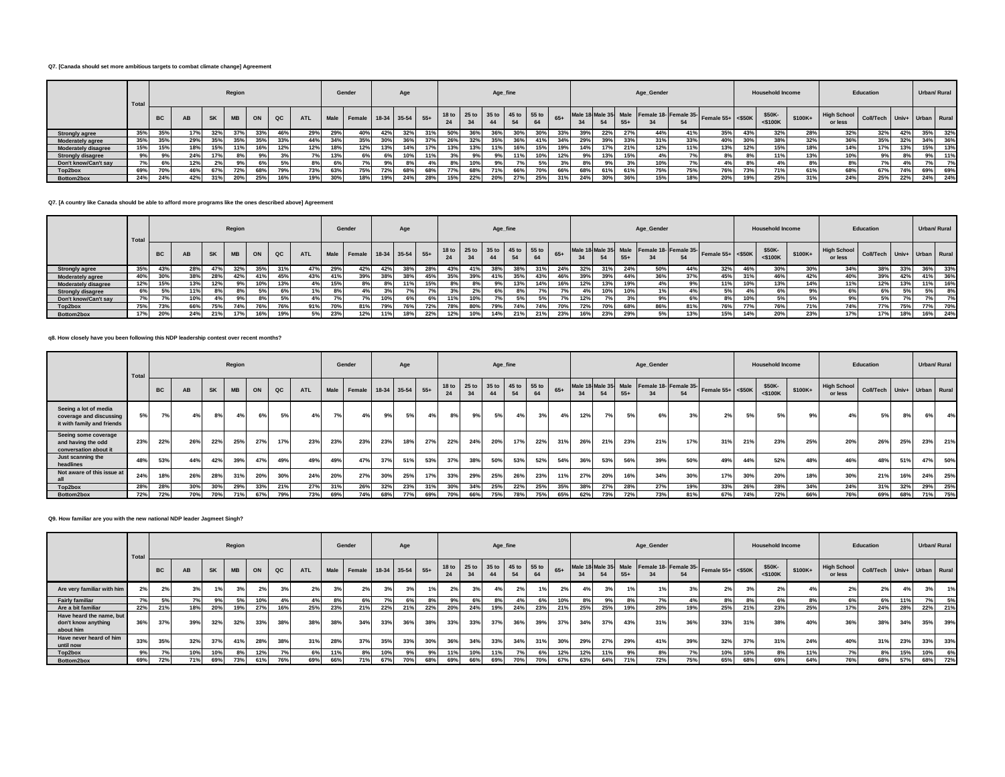#### **Q7. [Canada should set more ambitious targets to combat climate change] Agreement**

|                            | Total |           |     |     | Region    |     |     |            |     | Gender                      |     | Age |     |     |     |     | Age_fine                      |     |       |     |     |       | Age_Gender |     |                                                              |     | <b>Household Income</b> |         |                               | Education                   |     |     | Urban/ Rural |
|----------------------------|-------|-----------|-----|-----|-----------|-----|-----|------------|-----|-----------------------------|-----|-----|-----|-----|-----|-----|-------------------------------|-----|-------|-----|-----|-------|------------|-----|--------------------------------------------------------------|-----|-------------------------|---------|-------------------------------|-----------------------------|-----|-----|--------------|
|                            |       | <b>BC</b> | AB  |     | <b>MB</b> | ON  | QC  | <b>ATL</b> |     | Male Female 18-34 35-54 55+ |     |     |     |     |     |     | 18 to 25 to 35 to 45 to 55 to | 64  | $65+$ |     |     | $55+$ |            | 54  | Male 18 Male 35 Male Female 18- Female 35- Female 55+ <\$50K |     | \$50K-<br>$<$ \$100 $K$ | \$100K+ | <b>High School</b><br>or less | Coll/Tech Univ+ Urban Rural |     |     |              |
| <b>Strongly agree</b>      | 35%   | 35%       | 17% | 32% | 37%       | 33% | 46% | 29%        | 29% |                             | 42% |     | 31% | 50% | 36% |     | 30%                           |     | 33%   |     | 22% | 27%   | 44%        |     | 35%                                                          | 43% | 32%                     | 28%     | 32%                           | 32%                         | 42% | 35% | 32%          |
| <b>Moderately agree</b>    | 35%   | 35%       | 29% | 35% | 35%       | 35% | 33% | 44%        | 34% | 35%                         | 30% |     | 37% | 26% | 32% | 35% | 36%                           | 41% | 34%   |     | 39% | 33%   | 31%        | 33% | 40%                                                          | 30% | 38%                     | 32%     | 36%                           | 35%                         | 32% | 34% | 36%          |
| <b>Moderately disagree</b> | 15%   | 15%       | 18% | 15% | 11%       | 16% | 12% | 12%        | 18% |                             | 13% | 14% | 17% | 13% | 13% |     | 16%                           | 15% | 19%   |     | 17% | 21%   | 12%        | 11% | 13%                                                          | 12% | 15%                     | 18%     | 14%                           | 17%                         | 13% | 15% | 13%          |
| <b>Strongly disagree</b>   | 9%    | 9%        | 24% |     |           | 9%  | 3%  |            | 13% |                             | 6%  | 10% | 11% |     | 9%  |     | 11%                           | 10% | 12%   |     | 13% | 15%   | 4%         |     | 8%                                                           |     | 11%                     | 13%     | 10%                           | 9%                          | 8%  | 9%  | 11%          |
| Don't know/Can't sav       | 7%    | 6%        | 12% |     |           |     | 5%  | 8%         |     |                             | 9%  |     |     |     | 10% |     |                               | 5%  | 3%    |     | 9%  |       | 10%        |     | 4%                                                           | 8%  | 4%                      |         | 8%                            |                             |     |     | 7%           |
| Top2box                    | 69%   | 70%       | 46% | 67% | 72%       | 68% | 79% | 73%        | 63% | 75%                         | 72% | 68% | 68% | 77% | 68% |     | 66%                           | 70% | 66%   | 68% | 61% | 61%   | 75%        | 75% | 76%                                                          | 73% | 71%                     | 61%     | 68%                           | 67%                         | 74% | 69% | 69%          |
| Bottom2box                 | 24%   | 24%       | 42% | 31% | 20%       | 25% | 16% | 19%        | 30% |                             | 19% |     | 28% | 15% | 22% | 20% | 27%                           | 25% | 31%   |     | 30% | 36%   | 15%        | 18% | 20%                                                          | 19% | 25%                     | 31%     | 24%                           | 25%                         | 22% | 24% | 24%          |

#### **Q7. [A country like Canada should be able to afford more programs like the ones described above] Agreement**

|                            | Total |           |     |           | Region    |     |     |            |     | Gender                      |     | Age             |     |     |     |     | Age_fine                      |     |       |     |     |       | Age_Gender |     |                                                              |     | <b>Household Income</b> |         |                               | Education                   |     |            | Urban/ Rural |
|----------------------------|-------|-----------|-----|-----------|-----------|-----|-----|------------|-----|-----------------------------|-----|-----------------|-----|-----|-----|-----|-------------------------------|-----|-------|-----|-----|-------|------------|-----|--------------------------------------------------------------|-----|-------------------------|---------|-------------------------------|-----------------------------|-----|------------|--------------|
|                            |       | <b>BC</b> | AB  | <b>SK</b> | <b>MB</b> | ON  | QC  | <b>ATL</b> |     | Male Female 18-34 35-54 55+ |     |                 |     |     | 34  |     | 18 to 25 to 35 to 45 to 55 to | 64  | $65+$ |     |     | $55+$ |            | 54  | Male 18 Male 35 Male Female 18- Female 35- Female 55+ <\$50K |     | \$50K-<br>$<$ \$100 $K$ | \$100K+ | <b>High School</b><br>or less | Coll/Tech Univ+ Urban Rural |     |            |              |
| <b>Strongly agree</b>      | 35%   | 43%       | 28% |           | 32%       | 35% | 31% | 47%        | 29% | 42%                         | 42% | 38%             | 28% | 43% | 41% | 38% | 38%                           | 31% | 24%   | 32% | 31% | 24%   | 50%        | 44% | 32%                                                          | 46% | 30%                     | 30%     | 34%                           | 38%                         | 33% | 36%        | 33%          |
| <b>Moderately agree</b>    | 40%   | 30%       | 38% | 28%       | 42%       | 41% | 45% | 43%        | 41% | 39%                         | 38% | 38%             | 45% | 35% | 39% |     | 35%                           | 43% | 46%   | 39% | 39% | 44%   | 36%        | 37% | 45%                                                          | 31% | 46%                     | 42%     | 40%                           | 39%                         | 42% | 41%        | 36%          |
| <b>Moderately disagree</b> | 12%   | 15%       | 13% | 12%       | 0º        | 10% | 13% |            | 15% | 8%                          | 8%  | $\overline{AB}$ | 15% | 8%  | 8%  |     | 13%                           | 14% | 16%   | 127 | 13% | 19%   | 4%         |     | 11%                                                          | 10% | 13%                     | 14%     | 11%                           | 12%                         | 13% | 11%        | 16%          |
| <b>Strongly disagree</b>   | 6%    | 5%        | 11% |           |           | 5%  | 6%  |            |     |                             |     |                 |     |     | 2%  |     |                               |     | 7%    |     | 10% | 10%   | 1%         |     | 5%                                                           | 4%  | 6%                      |         | 6%                            | 6%                          | 5%  | 5%         | 8%           |
| Don't know/Can't say       |       |           | 10% |           | $Q_0$     | 8%  | 5%  |            |     |                             | 10% | 6%              | 6%  | 11% | 10% |     |                               | 5%  | 7%.   |     |     |       | 9%         | 6%  |                                                              | 10% | 5%                      |         | 9%                            | EO.                         |     | <b>7%1</b> | 7%           |
| Top2box                    | 75%   | 73%       | 66% | 75%       | 74%       | 76% | 76% | 0.497      | 70% | 81%                         | 79% |                 | 72% | 78% | 80% |     | 74%                           | 74% | 70%   | 127 | 70% | 68%   | 86%        | 81% | 76%                                                          | 77% | 76%                     | 71%     | 74%                           | <b>77%</b>                  | 75% | 77%        | 70%          |
| Bottom2box                 | 17%   | 20%       | 24% | 21%       | 17%       | 16% | 19% | 5%         | 23% | 12%                         |     | 18%             | 22% | 12% | 10% |     | 21%                           | 21% | 23%   |     | 23% |       | 5%         | 13% | 15%                                                          | 14% | 20%                     | 23%     | 17%                           | 17%                         | 18% | 16%        | 24%          |

#### **q8. How closely have you been following this NDP leadership contest over recent months?**

|                                                                                | Total |           |     |           | Region    |     |     |            |                 | Gender             |     | Age |       |                        |                        | Age_fine          |     |             |       |     |     |       | Age_Gender |                                                  |                     |     | <b>Household Income</b> |         |                               | Education                   |     | <b>Urban/ Rural</b> |         |
|--------------------------------------------------------------------------------|-------|-----------|-----|-----------|-----------|-----|-----|------------|-----------------|--------------------|-----|-----|-------|------------------------|------------------------|-------------------|-----|-------------|-------|-----|-----|-------|------------|--------------------------------------------------|---------------------|-----|-------------------------|---------|-------------------------------|-----------------------------|-----|---------------------|---------|
|                                                                                |       | <b>BC</b> | AB  | <b>SK</b> | <b>MB</b> | ON  | QC  | <b>ATL</b> | Male            | Female 18-34 35-54 |     |     | $55+$ | 18 <sub>to</sub><br>24 | 25 <sub>to</sub><br>34 | 35 to 45 to<br>44 | 54  | 55 to<br>64 | $65+$ | 34  | 54  | $55+$ |            | Male 18 Male 35 Male Female 18- Female 35-<br>54 | Female $55+$ <\$50K |     | \$50K-<br>$<$ \$100K    | \$100K+ | <b>High School</b><br>or less | Coll/Tech Univ+ Urban Rural |     |                     |         |
| Seeing a lot of media<br>coverage and discussing<br>it with family and friends | 5%    | 7%        | 4%  | 8%        | 4%        | 6%  | 5%  | 4%         | 7%              | 4%                 | 9%  | 5%  | 4%    | 8%                     | 9%                     | 5%                | 4%  | 3%          | 4%    | 12% | 7%  | 5%    | 6%         | 3%                                               | 2%                  | 5%  | 5%                      | 9%      | 4%                            | 5%                          | 8%  | 6%                  | 4%      |
| Seeing some coverage<br>and having the odd<br>conversation about it            | 23%   | 22%       | 26% | 22%       | 25%       | 27% | 17% | 23%        | 23%             | 23%                | 23% | 18% | 27%   | 22%                    | 24%                    | 20%               | 17% | 22%         | 31%   | 26% | 21% | 23%   | 21%        | 17%                                              | 319                 | 21% | 23%                     | 25%     | 20%                           | 26%                         | 25% | 23%                 | 21%     |
| Just scanning the<br>headlines                                                 | 48%   | 53%       | 44% | 42%       | 39%       | 47% | 49% | 49%        | 49%             | 47%                | 37% | 51% | 53%   | 37%                    | 38%                    | 50%               | 53% | 52%         | 54%   | 36% | 53% | 56%   | 39%        | 50%                                              | 49%                 | 44% | 52%                     | 48%     | 46%                           | 48%                         | 51% | 47%                 | 50%     |
| Not aware of this issue at                                                     | 24%   | 18%       | 26% | 28%       | 319       | 20% | 30% | 24%        | 20 <sup>%</sup> | 27%                | 30% | 25% | 17%   | 33%                    | 29%                    | 25%               | 26% | 23%         | 11%   | 27% | 20% | 16%   | 34%        | 30%                                              | 17%                 | 30% | 20%                     | 18%     | 30%                           | 21%                         | 16% | 24%                 | 25%     |
| Top2box                                                                        | 28%   | 28%       | 30% | 30%       | 29%       | 33% | 21% | 27%        | 31 <sup>°</sup> | 26%                | 32% | 23% | 31%   | 30%                    | 34%                    | 25%               | 22% | 25%         | 35%   | 38% | 27% | 28%   | 27%        | 19%                                              | 33%                 | 26% | 28%                     | 34%     | 24%                           | 31%                         | 32% | 29%                 | 25%     |
| Bottom2box                                                                     | 72%   | 72%       | 70% | 70%       | 71%       | 67% | 79% | 73%        | 69%             | 74%                | 68% | 77% | 69%   | 70%                    | 66%                    | 75%               | 78% | 75%         | 65%   | 62% | 73% | 72%   | 73%        | 81%                                              | 67%                 | 74% | 72%                     | 66%     | 76%                           | 69%                         | 68% |                     | 71% 75% |

### **Q9. How familiar are you with the new national NDP leader Jagmeet Singh?**

|                                                              | Total |           |     |           | Region    |     |             |            |     | Gender                      |     | Age |     |     |     | Age_fine |     |                                     |       |     |                            |       | Age_Gender |     |                                            |     | <b>Household Income</b> |         |                               | Education                   |     |      | Urban/ Rural |
|--------------------------------------------------------------|-------|-----------|-----|-----------|-----------|-----|-------------|------------|-----|-----------------------------|-----|-----|-----|-----|-----|----------|-----|-------------------------------------|-------|-----|----------------------------|-------|------------|-----|--------------------------------------------|-----|-------------------------|---------|-------------------------------|-----------------------------|-----|------|--------------|
|                                                              |       | <b>BC</b> | AB  | <b>SK</b> | <b>MB</b> | ON  | $_{\rm QC}$ | <b>ATL</b> |     | Male Female 18-34 35-54 55+ |     |     |     |     |     |          |     | 18 to 25 to 35 to 45 to 55 to<br>64 | $65+$ | 34  | Male 18 Male 35 Male<br>54 | $55+$ |            | 54  | re Female 18- Female 35- Female 55+ <\$50K |     | \$50K-<br>$<$ \$100K    | \$100K+ | <b>High School</b><br>or less | Coll/Tech Univ+ Urban Rural |     |      |              |
| Are very familiar with him                                   |       | 2%        |     |           |           | 2%  | $\sim$      | 2%         | 3%  | 2%                          | 3%  |     | 1%  | 2%  | 3%  | 4%       | 2%  |                                     | 2%    | 4%  | 3%                         |       | 1%         |     | 2%                                         | 3%  | 2%                      |         | 2%                            | 2%                          | 4%  | 3%   | 1%           |
| <b>Fairly familiar</b>                                       |       |           |     | 9%        |           | 10% |             | 4%         |     | 6%                          | 7%  | 6%  | 8%  |     | 6%  | 8%       |     | 6%                                  | 10%   | 8%  | 9%                         |       | 7%         |     | 8%                                         | 8%  | 6%                      |         | 6%                            | 6%                          | 11% | 7% l | 5% i         |
| Are a bit familiar                                           | 22%   | 21%       | 18% | 20%       | 19%       | 27% | 16%         | 25%        | 23% | 21%                         | 22% | 21% | 22% | 20% | 24% | 19%      | 24% | 23%                                 | 21%   | 25% | 25%                        | 19%   | 20%        | 19% | 25%                                        | 21% | 23%                     | 25%     | 17%                           | 24%                         | 28% | 22%  | 21%          |
| Have heard the name, but<br>don't know anything<br>about him | 36%   | 37%       | 39% | 32%       | 32%       | 33% | 38%         | 38%        | 38% | 34%                         | 33% | 36% | 38% | 33% | 33% | 37%      | 36% | 39%                                 | 37%   | 34% | 37%                        | 43%   | 31%        | 36% | 33%                                        | 31% | 38%                     | 40%     | 36%                           | 38%                         | 34% | 35%  | 39%          |
| Have never heard of him<br>until now                         | 33%   | 35%       | 32% | 37%       | 41%       | 28% | 38%         | 31%        | 28% | 37%                         | 35% | 33% | 30% | 36% | 34% | 33%      | 34% | 31%                                 | 30%   | 29% | 27%                        | 29%   | 41%        | 39% | 32%                                        | 37% | 31%                     | 24%     | 40%                           | 31%                         | 23% | 33%  | 33%          |
| Top2box                                                      |       |           | 10% | 10%       | 8%        | 12% | 7%          | 6%         | 11% | 8%                          | 10% | 9%  | 9%  | 11% | 10% | 11%      |     | 6%                                  | 12%   | 12% | 11%                        | 9%    | 8%         |     | 10%                                        | 10% | 8%                      | 11%     | 7%                            | 8%                          | 15% | 10%  | 6%           |
| Bottom2box                                                   | 69%   | 72%       | 71% | 69%       | 73%       | 61% | 76%         | 69%        | 66% | 71%                         | 67% | 70% | 68% | 69% | 66% | 69%      | 70% | 70%                                 | 67%   | 63% | 64%                        |       | 72%        | 75% | 65%                                        | 68% | 69%                     | 64%     | 76%                           | 68%                         | 57% | 68%  | 72%          |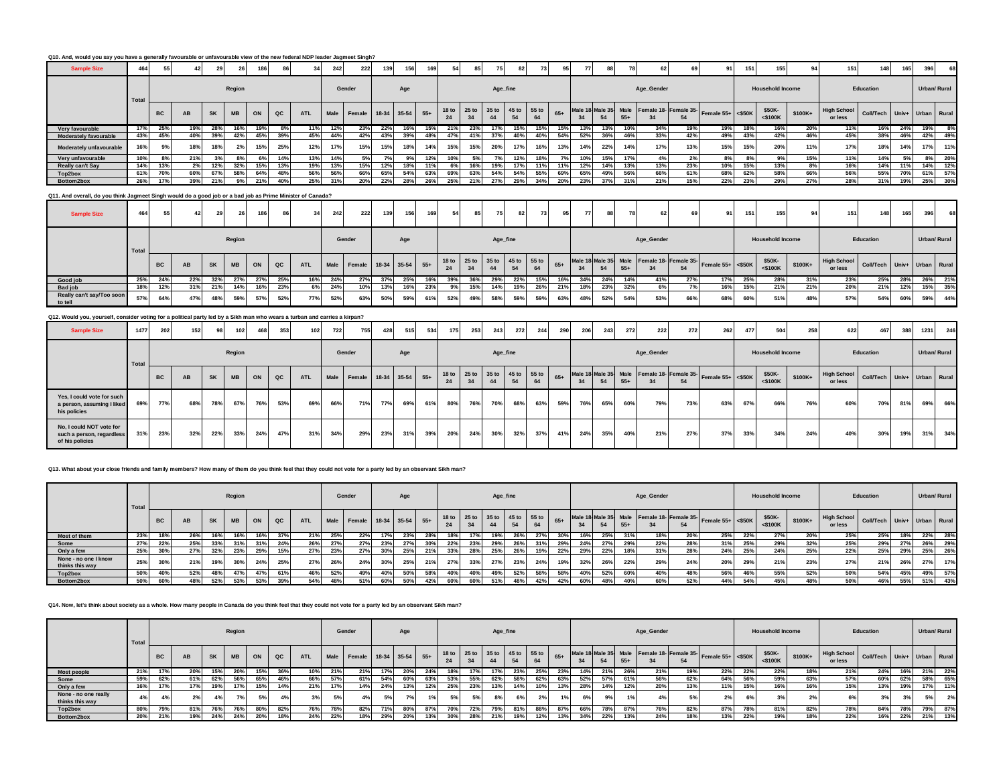| Q10. And, would you say you have a generally favourable or unfavourable view of the new federal NDP leader Jagmeet Singh? |       |           |     |           |           |     |     |            |      |                        |       |     |     |                        |             |               |             |             |       |     |     |       |                                            |     |                   |                 |                         |         |                               |           |     |                   |                            |
|---------------------------------------------------------------------------------------------------------------------------|-------|-----------|-----|-----------|-----------|-----|-----|------------|------|------------------------|-------|-----|-----|------------------------|-------------|---------------|-------------|-------------|-------|-----|-----|-------|--------------------------------------------|-----|-------------------|-----------------|-------------------------|---------|-------------------------------|-----------|-----|-------------------|----------------------------|
| <b>Sample Size</b>                                                                                                        | 464   |           | 42  | 29        | 26        | 186 |     | 34         | 242  | 222                    | 139   | 156 | 169 | 54                     |             |               | 82          |             |       |     |     |       | 62                                         |     | 91                | 15 <sup>′</sup> | 155                     |         | 151                           | 148       | 165 | 396               | 68                         |
|                                                                                                                           | Total |           |     |           | Region    |     |     |            |      | Gender                 |       | Age |     |                        |             | Age_fine      |             |             |       |     |     |       | Age_Gender                                 |     |                   |                 | <b>Household Income</b> |         |                               | Education |     |                   | Urban/ Rural               |
|                                                                                                                           |       | <b>BC</b> | AB  | <b>SK</b> | <b>MB</b> | ON  | QC  | <b>ATL</b> | Male | Female 18-34 35-54 55+ |       |     |     | 18 <sub>to</sub><br>24 | 25 to<br>34 | 35 to         | 45 to<br>54 | 55 to<br>64 | $65+$ | 34  | 54  | $55+$ | Male 18 Male 35 Male Female 18- Female 35- | 54  | Female 55+ <\$50K |                 | \$50K-<br>$<$ \$100K    | \$100K+ | <b>High School</b><br>or less | Coll/Tech |     | Univ+ Urban Rural |                            |
| Very favourable                                                                                                           | 17%   | 25%       | 19% | 28%       | 16%       | 19% | 8%  | 11%        | 12%  | 23%                    | 22%   | 16% | 15% | 21%                    | 23%         | 17%           | 15%         | 15%         | 15%   | 13% | 13% | 10%   | 34%                                        | 19% | 19%               | 18%             | 16%                     | 20%     | 11%                           | 16%       | 24% | 19%               | 8%                         |
| Moderately favourable                                                                                                     | 43%   | 45%       | 40% | 39%       | 42%       | 45% | 39% | 45%        | 44%  | 42%                    | 43%   | 39% | 48% | 47%                    | 41%         | 37%           | 40%         | 40%         | 54%   | 52% | 36% | 46%   | 33%                                        | 42% | 49%               | 43%             | 42%                     | 46%     | 45%                           | 38%       | 46% | 42%               | 49%                        |
| Moderately unfavourable                                                                                                   | 16%   | 9%        | 18% | 18%       |           | 15% | 25% | 12%        | 17%  | 15%                    | 15%   |     | 14% | 15%                    | 15%         | 20%           | 17%         | 16%         | 13%   | 14% | 22% | 14%   | 17%                                        | 13% | 15%               | 15%             | 20%                     | 11%     | 17%                           | 18%       | 14% | 17%               | 11%                        |
| Very unfavourable                                                                                                         | 10%   | 8%        | 21% | 3%        | 8%        | 6%  | 14% | 13%        | 14%  | 5%                     | 7%    | 9%  | 12% | 10%                    | 5%          | 7%            | 12%         | 18%         | 7%    | 10% | 15% | 17%   | 4%                                         | 2%  | 8%                | 8%              | 9%                      | 15%     | 11%                           | 14%       | 5%  | 8%                | 20%                        |
| <b>Really can't Say</b>                                                                                                   | 14%   | 13%       | 2%  | 12%       | 32%       | 15% | 13% | 19%        | 13%  | 15%                    | 12%   | 18% | 11% | 6%                     | 16%         | 19%           | 17%         |             | 11%   |     | 14% | 13%   | 13%                                        | 23% | 10%               | 15%             | 13%                     | 8%      | 16%                           | 14%       | 11% | 14%               | 12%                        |
| Top2box                                                                                                                   | 61%   | 70%       | 60% | 67%       | 58%       | 64% | 48% | 56%        | 56%  | 66%                    | 65%   | 54% | 63% | 69%                    | 63%         | 54%           | 54%         | 55%         | 69%   | 65% | 49% | 56%   | 66%                                        | 61% | 68%               | 62%             | 58%                     | 66%     | 56%                           | 55%       | 70% | 61%               | 57%                        |
| Bottom2box                                                                                                                | 26%   | 17%       | 39% | 21%       | 9%        | 21% | 40% | 25%        | 31%  | 20%                    | 22%   | 28% | 26% | 25%                    | 21%         | 27%           | 29%         | 34%         | 20%   | 23% | 37% | 31%   | 21%                                        | 15% | 22%               | 23%             | 29%                     | 27%     | 28%                           | 31%       | 19% | 25%               | 30%                        |
| Q11. And overall, do you think Jagmeet Singh would do a good job or a bad job as Prime Minister of Canada?                |       |           |     |           |           |     |     |            |      |                        |       |     |     |                        |             |               |             |             |       |     |     |       |                                            |     |                   |                 |                         |         |                               |           |     |                   |                            |
| <b>Sample Size</b>                                                                                                        | 464   |           |     | 29        |           | 186 | 86  | 34         | 242  | 222                    | 139 I | 156 | 169 | 54                     | 85          | 75            | 82          |             | 95    | 77  | 88  |       | 62                                         | 69  | 911               | 151             | 155                     | 94      | 151                           | 148       | 165 | 396               | 68                         |
|                                                                                                                           |       |           |     |           | $ -$      |     |     |            |      | $\sim$ $\sim$ $\sim$   |       |     |     |                        |             | $\sim$ $\sim$ |             |             |       |     |     |       | $\sim$ $\sim$ $\sim$                       |     |                   |                 | $\cdots$ $\cdots$       |         |                               | $-1$      |     |                   | $\cdots$ $\cdots$ $\cdots$ |

|                                     | <b>Total</b> |           |           |           | Region    |     |               |            |     | Gender                      |     | Age |     |     |     | Age_fine   |     |                                     |     |     |     |       | Age_Gender |     |                                                                    |     | <b>Household Income</b> |         |                               | Education                   |     | Urban/ Rural |     |
|-------------------------------------|--------------|-----------|-----------|-----------|-----------|-----|---------------|------------|-----|-----------------------------|-----|-----|-----|-----|-----|------------|-----|-------------------------------------|-----|-----|-----|-------|------------|-----|--------------------------------------------------------------------|-----|-------------------------|---------|-------------------------------|-----------------------------|-----|--------------|-----|
|                                     |              | <b>BC</b> | <b>AB</b> | <b>SK</b> | <b>MB</b> | ON  | $_{\alpha c}$ | <b>ATL</b> |     | Male Female 18-34 35-54 55+ |     |     |     |     | 34  |            |     | 18 to 25 to 35 to 45 to 55 to<br>64 |     | 34  |     | $55+$ |            |     | Male 18 Male 35 Male Female 18- Female 35- Female 55+ <\$50K \$50K |     | $<$ \$100K              | \$100K+ | <b>High School</b><br>or less | Coll/Tech Univ+ Urban Rural |     |              |     |
| Good job                            | 25%          | 24%       | 22%       |           | 27%       | 27% | 25%           | 16%        |     | 27%                         |     | 25% | 16% | 39% | 36% | <b>29%</b> | 22% | 15%                                 | 16% | 34% | 24% | 14%   | 41%        | 27% |                                                                    | 25% | 28%                     | 31%     | 23%                           |                             | 28% | 26%          | 21% |
| <b>Bad job</b>                      | 18%          | 12%       | 31%       | 21%       | 14%       | 16% | 23%           | 6%         |     | 10%                         | 13% | 16% | 23% |     | 15% | 14%        | 19% | 26%                                 | 21% | 18% | 23% |       |            |     | 16%                                                                | 15% | 21%                     | 21%     | 20%                           | 21%                         | 12% | 15%          | 35% |
| Really can't say/Too soon<br>to tel | 57%          | 64%       | 47%       | 48%       | 59%       | 57% | 52%           | <b>77%</b> | 52% | 63%                         | 50% | 59% | 61% | 52% | 49% | 58%        | 59% | 59%                                 | 63% | 48% | 52% |       | 53%        | 66% | 68%                                                                | 60% | 51%                     | 48%     | 57%                           | 54%                         | 60% | 59%          | 44% |

| Q12. Would you, yourself, consider voting for a political party led by a Sikh man who wears a turban and carries a kirpan? |       |           |     |           |           |     |     |     |     |                             |     |     |     |     |     |            |     |                                     |       |     |     |       |            |     |                                                                         |     |                         |         |                                                    |           |     |              |     |
|----------------------------------------------------------------------------------------------------------------------------|-------|-----------|-----|-----------|-----------|-----|-----|-----|-----|-----------------------------|-----|-----|-----|-----|-----|------------|-----|-------------------------------------|-------|-----|-----|-------|------------|-----|-------------------------------------------------------------------------|-----|-------------------------|---------|----------------------------------------------------|-----------|-----|--------------|-----|
| <b>Sample Size</b>                                                                                                         | 1477  | 2021      | 152 |           | 102       |     | 353 | 102 | 722 | 755                         | 428 | 515 | 534 | 175 | 253 | 243        | 272 | 244                                 | 290   | 206 | 243 | 272   | 222        | 272 | 262                                                                     | 477 | 504                     | 258     | 622                                                | 467       | 388 | 1231         | 246 |
|                                                                                                                            | Total |           |     |           | Region    |     |     |     |     | Gender                      |     | Age |     |     |     | Age_fine   |     |                                     |       |     |     |       | Age_Gender |     |                                                                         |     | <b>Household Income</b> |         |                                                    | Education |     | Urban/ Rural |     |
|                                                                                                                            |       | <b>BC</b> | AB  | <b>SK</b> | <b>MB</b> | ON  | QC  | ATL |     | Male Female 18-34 35-54 55+ |     |     |     | 24  |     | 44         | 54  | 18 to 25 to 35 to 45 to 55 to<br>64 | $65+$ | 34  | 54  | $55+$ | 24         | 54  | Male 18 Male 35 Male Female 18- Female 35- Female 55+ <\$50K $\Big $ SF |     | \$50K-<br>$<$ \$100K    | \$100K+ | High School Coll/Tech Univ+ Urban Rura'<br>or less |           |     |              |     |
| Yes, I could vote for such<br>a person, assuming I liked<br>his policies                                                   | 69%   | 77%       | 68% | 78%       | 67%       | 76% | 53% | 69% | 66% | 71%                         | 77% | 69% | 61% | 80% | 76% | <b>70%</b> | 68% | 63%                                 | 59%   | 76% | 65% | 60%   | 79%        | 73% | 63%                                                                     | 67% | 66%                     | 76%     | 60%                                                | 70%       | 81% | 69%          | 66% |

**Q13. What about your close friends and family members? How many of them do you think feel that they could not vote for a party led by an observant Sikh man?**

**No, I could NOT vote for such a person, regardless of his policies**

|                                         | Total |           |     |     | Region    |     |     |      |     | Gender                      |     | Age |     |     |     | Age_fine |     |                               |       |     |     |       | Age_Gender |     |                                                            |     | <b>Household Income</b> |         |                               | Education                   |     | <b>Urban/ Rural</b> |     |
|-----------------------------------------|-------|-----------|-----|-----|-----------|-----|-----|------|-----|-----------------------------|-----|-----|-----|-----|-----|----------|-----|-------------------------------|-------|-----|-----|-------|------------|-----|------------------------------------------------------------|-----|-------------------------|---------|-------------------------------|-----------------------------|-----|---------------------|-----|
|                                         |       | <b>BC</b> | AB  | SK  | <b>MB</b> | ON  | QC  | ATL. |     | Male Female 18-34 35-54 55+ |     |     |     | 24  |     | 44       | 54  | 18 to 25 to 35 to 45 to 55 to | $65+$ | 34  | 54  | $55+$ |            |     | Male 18 Male 35 Male Female 18 Female 35 Female 55+ <\$50K |     | \$50K-<br><\$100K       | \$100K+ | <b>High School</b><br>or less | Coll/Tech Univ+ Urban Rural |     |                     |     |
| Most of them                            | 23%   | 18%       | 26% |     | 16%       | 16% | 37% | 21%  | 25% | 22%                         | 17% | 23% | 28% |     | 17% | 19%      | 26% | 27%                           | 30%   |     | 25% | -319  | 18%        | 20% | 25%                                                        | 22% | 27%                     | 20%     | 25%                           | 25%                         | 18% | 22%                 | 28% |
| Some                                    | 27%   | 22%       | 25% | 33% | 31%       | 31% | 24% | 26%  | 27% | 27%                         | 23% | 27% | 30% | 22% | 23% | 29%      | 26% | 31%                           | 29%   | 24% | 27% | 29%   | 22%        | 28% | 31%                                                        | 25% | 29%                     | 32%     | 25%                           | 29%                         | 27% | 26%                 | 29% |
| Only a few                              | 25%   | 30%       | 27% | 32% | 23%       | 29% | 15% | 27%  | 23% | 27%                         | 30% | 25% | 21% | 33% | 28% | 25%      | 26% | 19%                           | 22%   | 29% | 22% |       | 31%        | 28% | 24%                                                        | 25% | 24%                     | 25%     | 22%                           | 25%                         | 29% | 25%                 | 26% |
| None - no one I know<br>thinks this way | 25%   | 30%       | 21% | 19% | 30%       | 24% | 25% | 27%  | 26% | 24%                         | 30% | 25% | 21% | 27% | 33% | 27%      | 23% | 24%                           | 19%   | 32% | 26% | 22%   | 29%        | 24% | 20%                                                        | 29% | 21%                     | 23%     | 27%                           | 21%                         | 26% | 27%                 | 17% |
| Top2box                                 | 50%   | 40%       | 52% | 48% | 47%       | 47% | 61% | 46%  | 52% | 49%                         | 40% | 50% | 58% | 40% | 40% | 49%      | 52% | 58%                           | 58%   | 40% | 52% | 60%   | 40%        | 48% | 56%                                                        | 46% | 55%                     | 52%     | 50%                           | 54%                         | 45% | 49%                 | 57% |
| Bottom2box                              | 50%   | 60%       | 48% | 52% | 53%       | 53% | 39% | 54%  |     | 51%                         | 60% | 50% | 42% | 60% | 60% | 51%      |     | 42%                           | 42%   | 60% | 48% |       |            |     | 44%                                                        | 54% | 45%                     |         | 50%                           | 46%                         | 55% | 51%                 | 43% |

31%| 23%| 32%| 22%| 33%| 24%| 47%| 31%| 34%| 29%| 23%| 31%| 39%| 20%| 24%| 30%| 32%| 41%| 24%| 35%| 40%| 21%| 21%| 37%| 33%| 34%| 24%| 40%| 30%| 19%| 31%| 34%

## **Q14. Now, let's think about society as a whole. How many people in Canada do you think feel that they could not vote for a party led by an observant Sikh man?**

|                                         | Total     |           |     |           | Region     |     |             |            |     | Gender                      |     | Age |     |                        |     | Age_fine |     |                         |       |     |     |       | Age_Gender |                                                  |                   |     | <b>Household Income</b> |          |                               | Education                   |     | Urban/ Rural |     |
|-----------------------------------------|-----------|-----------|-----|-----------|------------|-----|-------------|------------|-----|-----------------------------|-----|-----|-----|------------------------|-----|----------|-----|-------------------------|-------|-----|-----|-------|------------|--------------------------------------------------|-------------------|-----|-------------------------|----------|-------------------------------|-----------------------------|-----|--------------|-----|
|                                         |           | <b>BC</b> | AB  | <b>SK</b> | <b>MB</b>  | ON  | $_{\rm QC}$ | <b>ATL</b> |     | Male Female 18-34 35-54 55+ |     |     |     | 18 <sub>to</sub><br>24 | 34  | 44       |     | 25 to 35 to 45 to 55 to | $65+$ | 34  |     | $55+$ |            | Male 18 Male 35 Male Female 18- Female 35-<br>54 | Female 55+ <\$50K |     | \$50K-<br>$<$ \$100K    | $$100K+$ | <b>High School</b><br>or less | Coll/Tech Univ+ Urban Rural |     |              |     |
| <b>Most people</b>                      | 21%       |           | 20% | 15%       | <b>20°</b> | 15% | 36%         | 10%        | 219 | 21%                         |     | 20% | 24% | 18%                    |     | 17%      | 23% | 25%                     | 23%   | 14% | 21% | 26%   | 21%        | 19%                                              | 22%               | 22% | 22%                     |          | 21%                           | 24%                         | 16% | 21%          | 22% |
| Some                                    | 59%       | 62%       | 61% | 62%       | 56%        | 65% | 46%         | 66%        | 57% | 61%                         |     | 60% | 63% | 53%                    | 55% | 62%      | 58% | 62%                     | 63%   | 52% | 57% | 61%   | 56%        | 62%                                              | 64%               | 56% | 59%                     | 63%      | 57%                           | 60%                         | 62% | 58%          | 65% |
| Only a few                              | 16%       | 17%       | 17% |           | 17%        | 15% | 14%         | 21%        |     | 14%                         | 24% | 13% | 12% | 25%                    | 23% | 13%      |     | 10%                     | 13%   | 28% | 14% | 12%   | 20%        | 13%                                              | 11%               | 15% | 16%                     | 16%      | 15%                           | 13%                         | 19% | 17%          | 11% |
| None - no one really<br>thinks this way | $4^\circ$ |           | 2%  |           |            | 5%  |             | 3%         | 5%  | 4%                          |     |     |     | 5%                     | 5%  | 8%       | 6%  | 2%                      |       | 6%  | 9%  |       | 4%         | E <sub>0</sub>                                   | 2%                |     |                         |          | GO/                           | 3%                          |     | 5%           | 2%  |
| Top2box                                 | 80%       | 79%       | 81% | 16%       | <b>76°</b> | 80% | 82%         | 76%        | 78% | 82%                         |     | 80% | 87% | 70%                    | 72% | 79%      | 81° | 88%                     | 87%   | 66% | 78% | 87%   | 76%        | 82%                                              | 87%               | 78% | 81%                     | 82%      | 78%                           | 84%                         | 78% | 79%          | 87% |
| Bottom2box                              | 20%       | 21%       | 19% | 24%       | 24%        | 20% | 18%         | 24%        | 22% | 18%                         | 29% | 20% | 13% | 30%                    | 28% | 21%      | 19% | 12%                     | 13%   | 34% | 22% | 13%   | 24%        | 18%                                              | 13%               | 22% | 19%                     | 18%      | 22%                           | 16%                         | 22% | 21%          | 13% |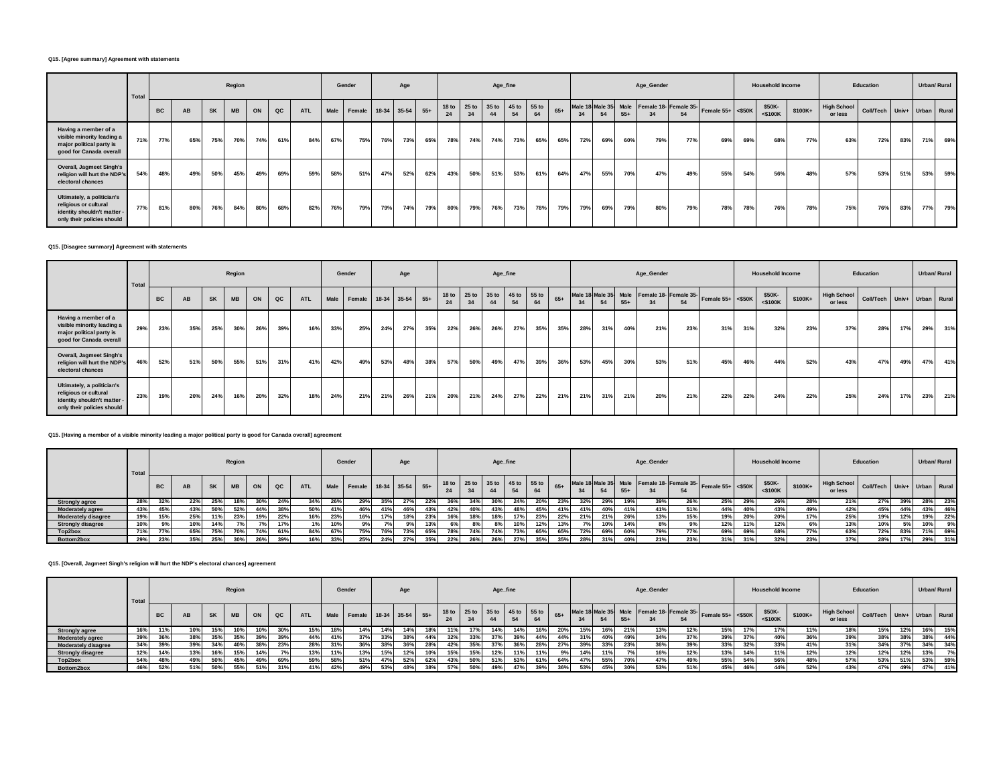#### **Q15. [Agree summary] Agreement with statements**

|                                                                                                                | Total |           |     |           | Region    |     |     |            |      | Gender                 |     | Age |     |     |                        |             | Age_fine    |               |       |                      |     |       | Age_Gender |                             |                     |     | <b>Household Income</b> |         |                               | Education        |     | Urban/ Rural      |     |
|----------------------------------------------------------------------------------------------------------------|-------|-----------|-----|-----------|-----------|-----|-----|------------|------|------------------------|-----|-----|-----|-----|------------------------|-------------|-------------|---------------|-------|----------------------|-----|-------|------------|-----------------------------|---------------------|-----|-------------------------|---------|-------------------------------|------------------|-----|-------------------|-----|
|                                                                                                                |       | <b>BC</b> | AB  | <b>SK</b> | <b>MB</b> | ON  | QC  | <b>ATL</b> | Male | Female 18-34 35-54 55+ |     |     |     | 24  | 25 <sub>to</sub><br>34 | 35 to<br>44 | 45 to<br>54 | $55$ to<br>64 | $65+$ | Male 18 Male 35 Male | 54  | $55+$ |            | Female 18- Female 35-<br>54 | Female $55+$ <\$50K |     | \$50K-<br>$<$ \$100K    | \$100K+ | <b>High School</b><br>or less | <b>Coll/Tech</b> |     | Univ+ Urban Rural |     |
| Having a member of a<br>visible minority leading a<br>major political party is<br>good for Canada overall      | 71%   | 77%       | 65% | 75%       | 70%       | 74% | 61% | 84%        | 67%  | 75%                    | 76% | 73% | 65% | 78% | 74%                    | 74%         | 73%         | 65%           | 65%   | 72%                  | 69% | 60%   | 79%        | 77%                         | 69%                 | 69% | 68%                     | 77%     | 63%                           | 72%              | 83% | 71%               | 69% |
| Overall, Jagmeet Singh's<br>religion will hurt the NDP's<br>electoral chances                                  | 54%   | 48%       | 49% | 50%       | 45%       | 49% | 69% | 59%        | 58%  | 51%                    | 47% | 52% | 62% | 43% | 50%                    | 51%         | 53%         | 61%           | 64%   | 47%                  | 55% | 70%   | 47%        | 49%                         | 55%                 | 54% | 56%                     | 48%     | 57%                           | 53%              | 51% | 53%               | 59% |
| Ultimately, a politician's<br>religious or cultural<br>identity shouldn't matter<br>only their policies should | 77%   | 81%       | 80% | 76%       | 84%       | 80% | 68% | 82%        | 76%  | 79%                    | 79% | 74% | 79% | 80% | 79%                    | 76%         | 73%         | 78%           | 79%   | 79%                  | 69% | 79%   | 80%        | 79%                         | 78%                 | 78% | 76%                     | 78%     | 75%                           | 76%              | 83% | 77%               | 79% |

## **Q15. [Disagree summary] Agreement with statements**

|                                                                                                                  | Total |           |     |           | Region    |     |     |            |      | Gender             |     | Age |       |                        |                   | Age_fine |                   |     |       |     |      |       | Age_Gender |                                                  |                     |     | <b>Household Income</b> |         |                               | Education                   |     | <b>Urban/ Rural</b> |     |
|------------------------------------------------------------------------------------------------------------------|-------|-----------|-----|-----------|-----------|-----|-----|------------|------|--------------------|-----|-----|-------|------------------------|-------------------|----------|-------------------|-----|-------|-----|------|-------|------------|--------------------------------------------------|---------------------|-----|-------------------------|---------|-------------------------------|-----------------------------|-----|---------------------|-----|
|                                                                                                                  |       | <b>BC</b> | AB  | <b>SK</b> | <b>MB</b> | ON  | QC  | <b>ATL</b> | Male | Female 18-34 35-54 |     |     | $55+$ | 18 <sub>to</sub><br>24 | 25 to 35 to<br>34 | 44       | 45 to 55 to<br>54 | 64  | $65+$ | 34  | 54   | $55+$ |            | Male 18 Male 35 Male Female 18- Female 35-<br>54 | Female $55+$ <\$50K |     | \$50K-<br>$<$ \$100K    | \$100K+ | <b>High School</b><br>or less | Coll/Tech Univ+ Urban Rural |     |                     |     |
| Having a member of a<br>visible minority leading a<br>major political party is<br>good for Canada overall        | 29%   | 23%       | 35% | 25%       | 30%       | 26% | 39% | 16%        | 33%  | 25%                | 24% | 27% | 35%   | 22%                    | 26%               | 26%      | 27%               | 35% | 35%   | 28% | -31% | 40%   | 21%        | 23%                                              | 31%                 | 31% | 32%                     | 23%     | 37%                           | 28%                         | 17% | 29%                 | 31% |
| Overall, Jagmeet Singh's<br>religion will hurt the NDP's<br>electoral chances                                    | 46%   | 52%       | 51% | 50%       | 55%       | 51% | 31% | 41%        | 42%  | 49%                | 53% | 48% | 38%   | 57%                    | 50%               | 49%      | 47%               | 39% | 36%   | 53% | 45%  | 30%   | 53%        | 51%                                              | 45%                 | 46% | 44%                     | 52%     | 43%                           | 47%                         | 49% | 47%                 | 41% |
| Ultimately, a politician's<br>religious or cultural<br>identity shouldn't matter -<br>only their policies should | 23%   | 19%       | 20% | 24%       | 16%       | 20% | 32% | 18%        | 24%  | 21%                | 21% | 26% | 21%   | 20%                    | 21%               | 24%      | 27%               | 22% | 21%   | 21% | 31%  | 21%   | 20%        | 21%                                              | 22%                 | 22% | 24%                     | 22%     | 25%                           | 24%                         | 17% | 23%                 | 21% |

### **Q15. [Having a member of a visible minority leading a major political party is good for Canada overall] agreement**

|                            | Total |           |     |           | Region    |     |     |            |      | Gender                 |            | Age |     |     |     | Age_fine                            |     |     |       |     |     |       | Age_Gender |                                            |                     |     | <b>Household Income</b> |         |                               | Education                   |     | Urban/ Rural |     |
|----------------------------|-------|-----------|-----|-----------|-----------|-----|-----|------------|------|------------------------|------------|-----|-----|-----|-----|-------------------------------------|-----|-----|-------|-----|-----|-------|------------|--------------------------------------------|---------------------|-----|-------------------------|---------|-------------------------------|-----------------------------|-----|--------------|-----|
|                            |       | <b>BC</b> | AB  | <b>SK</b> | <b>MB</b> | ON  |     | <b>ATL</b> | Male | Female 18-34 35-54 55+ |            |     |     |     |     | 18 to 25 to 35 to 45 to 55 to<br>44 | 54  |     | $65+$ | 34  |     | $55+$ |            | Male 18 Male 35 Male Female 18- Female 35- | Female $55+$ <\$50K |     | \$50K-<br>$<$ \$100K    | \$100K+ | <b>High School</b><br>or less | Coll/Tech Univ+ Urban Rural |     |              |     |
| <b>Strongly agree</b>      | 28%   | 32%       | 22% | 25%       | 18%       | 30% | 24% | 34%        | 26%  | 29%                    | 35%        | 27% |     | 36% | 34% |                                     |     |     | 23%   | 32% | 29% |       | 39%        |                                            | 25%                 | 29% | 26%                     | 28%     | 21%                           | 27%                         | 39% | 28%          | 23% |
| <b>Moderately agree</b>    | 43%   | 45%       | 43% |           | 52%       | 44% | 38% |            | 41%  | 46%                    | 41%        | 46% | 43% | 42% | 40% | 43%                                 | 48% | 45% | 41%   |     | 40% |       | 41%        | 51%                                        | 44%                 | 40% | 43%                     | 49%     | 42%                           | 45%                         | 44% | 43%          | 46% |
| <b>Moderately disagree</b> | 19%   | 15%       | 25% |           | 23%       | 19% | 22% | 16%        | 23%  | 16%                    | <b>17%</b> | 18% | 23% | 16% | 18% |                                     |     | 23% | 22%   | 21% |     |       | 13%        | 15%                                        | 19%                 | 20% | 20%                     | 17%     | 25%                           | 19%                         | 12% | 19%          | 22% |
| <b>Strongly disagree</b>   | 10%   |           | 10% |           |           |     | 17% |            | 10%  |                        |            |     | 13% | 6%  |     |                                     | 10% |     | 13%   |     | 10% |       |            |                                            | 12%                 | 11% | 12%                     |         | 13%                           | 10%                         | 5%  | 10%          | 9%  |
| Top2box                    | 71%   | 77%       | 65% | 75%       |           | 74% | 61% |            | 67%  | 75%                    |            | 73% | 65% | 78% | 74% | 74%                                 |     | 65% | 65%   | 72% | 69% | 60%   | 79%        | 77%                                        | 69%                 | 69% | 68%                     | 77°     | 63%                           | 72%                         | 83% | 71%          | 69% |
| Bottom2box                 | 29%   | 23%       | 35% | 25%       | 30%       | 26% | 39% | 16%        | 33%  | 25%                    | 24%        |     | 35% | 22% | 26% | 26%                                 |     |     |       |     |     |       | 21%        | 23%                                        | 240<br>317          | 31% | 32%                     | 23%     | 37%                           | 28%                         | 17% | 29%          | 31% |

# **Q15. [Overall, Jagmeet Singh's religion will hurt the NDP's electoral chances] agreement**

|                            | Total |           |             |           | Region    |     |      |            |      | Gender                 |     | Age |     |     |     | Age_fine |                               |     |       |     |     |       | Age_Gender |                                                              |                                                      |     | <b>Household Income</b> |          |                               | Education                   |     |     | Urban/ Rural |
|----------------------------|-------|-----------|-------------|-----------|-----------|-----|------|------------|------|------------------------|-----|-----|-----|-----|-----|----------|-------------------------------|-----|-------|-----|-----|-------|------------|--------------------------------------------------------------|------------------------------------------------------|-----|-------------------------|----------|-------------------------------|-----------------------------|-----|-----|--------------|
|                            |       | <b>BC</b> | AB          | <b>SK</b> | <b>MB</b> | ON  | QC   | <b>ATL</b> | Male | Female 18-34 35-54 55+ |     |     |     |     |     |          | 18 to 25 to 35 to 45 to 55 to | 64  | $65+$ |     |     | $55+$ |            | Male 18 Male 35 Male Female 18- Female 35-<br>E <sub>A</sub> | $\sqrt{\phantom{a}}$ Female 55+ $\phantom{a}$ <\$50K |     | \$50K-<br>$<$ \$100K    | $$100K+$ | <b>High School</b><br>or less | Coll/Tech Univ+ Urban Rural |     |     |              |
| <b>Strongly agree</b>      | 16%   | 11%       | 10%         | 15%       | 10%       | 10% | 30%  | 15%        |      | 14%                    | 14% |     | 18% | 11% | 17% |          | 14%                           | 16% | 20%   |     | 16% | 21%   | 13%        | 12%                                                          | 15%                                                  | 17% | 17%                     | 11%      | 18%                           | 15%                         | 12% | 16% | 15%          |
| <b>Moderately agree</b>    |       | 36%       | -30%        | 35%       | 35%       | 39% | 39%  | 44%        | 41%  | 37%                    | 33% |     | 44% | 32% | 33% | 37%      | 39%                           | 44% | 44%   |     | 40% | 49%   | 34%        | 37%                                                          | 39%                                                  | 37% | 40%                     | 36%      | 39%                           | 38%                         | 38% | 38% | 44%          |
| <b>Moderately disagree</b> | 34%   | 39%       | 200<br>ە77- | 34%       | 40%       | 38% | 23%  | 28%        | 31%  | 36%                    | 38% | 36% | 28% | 42% | 35% | 37%      | 36%                           | 28% | 27%   | 39% | 33% | 23%   | 36%        | 39%                                                          | 33%                                                  | 32% | 33%                     | 41%      | 31%                           | 34%                         | 37% | 34% | 34%          |
| <b>Strongly disagree</b>   |       | 14%       | 13%         | 16%       | 15%       | 14% | 7%   | 13%        | 11%  | 13%                    | 15% | 12% | 10% | 15% | 15% | 12%      | 11%                           | 11% | 9%    |     | 11% |       | 16%        | 12%                                                          | 13%                                                  | 14% | 11%                     | 12%      | 12%                           | 12%                         | 12% | 13% |              |
| Top2box                    | 54%   | 48%       | 49%         | 50%       | 45%       | 49% | 69%  | 59%        |      | 51%                    |     | 52% | 62% | 43% | 50% | 51%      | 53%                           | 61% | 64%   |     | 55% | 70%   | 47%        | 49%                                                          | 55%                                                  | 54% | 56%                     | 48%      | 57%                           | 53%                         | 51% | 53% | 59%          |
| Bottom2box                 |       | 52%       | 51%         | 50%       | 55%       | 51% | 240/ |            | 42%  |                        | 53% |     | 38% | 57% | 50% |          | 47%                           | 39% | 36%   |     | 45% | 30%   | 53%        | E <sub>10</sub> /                                            | 45%                                                  | 46% | 44%                     | 52%      | 43%                           | 47%                         | 49% | 47% | 41%          |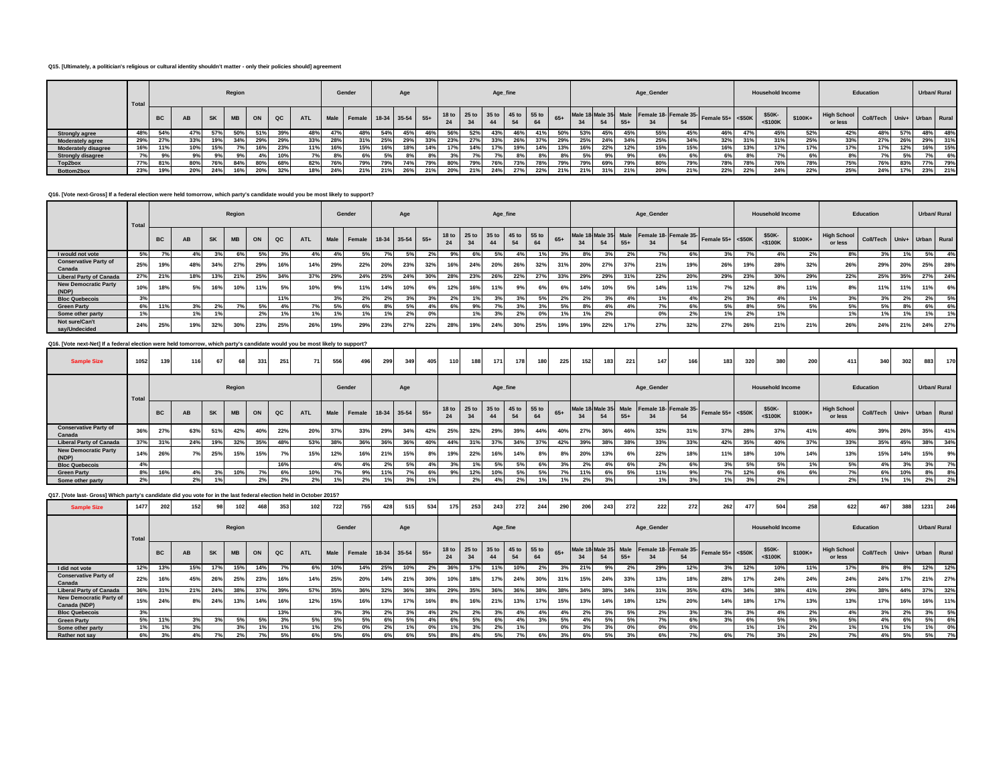#### **Q15. [Ultimately, a politician's religious or cultural identity shouldn't matter - only their policies should] agreement**

|                            | Total |           |           |             | Region    |     |             |            |     | Gender                      |     | Age |     |     |     | Age_fine |     |                                     |       |     |     |       | Age_Gender                                 |     |                      |     | <b>Household Income</b> |         |                               | Education                   |     |            | Urban/ Rural |
|----------------------------|-------|-----------|-----------|-------------|-----------|-----|-------------|------------|-----|-----------------------------|-----|-----|-----|-----|-----|----------|-----|-------------------------------------|-------|-----|-----|-------|--------------------------------------------|-----|----------------------|-----|-------------------------|---------|-------------------------------|-----------------------------|-----|------------|--------------|
|                            |       | <b>BC</b> | <b>AB</b> | <b>SK</b>   | <b>MB</b> | ON  | $_{\alpha}$ | <b>ATL</b> |     | Male Female 18-34 35-54 55+ |     |     |     |     | 34  |          |     | 18 to 25 to 35 to 45 to 55 to<br>64 | $65+$ | 34  |     | $55+$ | Male 18 Male 35 Male Female 18- Female 35- | 54  | Female $55+ <$ \$50K |     | \$50K-<br>$<$ \$100K    | \$100K+ | <b>High School</b><br>or less | Coll/Tech Univ+ Urban Rural |     |            |              |
| <b>Strongly agree</b>      | 48%   | 54%       | 47%       | <b>E70/</b> |           | 51% | 39%         | 48%        | 47% |                             | 54% | 45% | 46% | 56% | 52% | 43%      | 46% | - 41%                               | 50%   | 53% | 45% | 45%   | 55%                                        | 45% | 46%                  | 47% | 45%                     |         | 42%                           | 48%                         | 57% | 48%        | 48%          |
| Moderately agree           | 29%   | 27%       | 33%       |             | 34%       | 29% | 29%         | 33%        | 28° |                             | 25% |     | 33% | 23% |     | 33%      |     |                                     | 29%   | 25% | 24% | 34%   | 25%                                        | 34% | 32%                  | 31% |                         | 25%     | 33%                           | 27%                         | 26% | 29%        | 31%          |
| <b>Moderately disagree</b> | 16%   | 11%       | 10%       |             |           | 16% | 23%         | 110/       | 16% | 15%                         | 16% |     | 14% | 17% | 14% |          | 19% | 14%                                 | 13%   | 16% | 22% |       | 15%                                        | 15% | 16%                  | 13% |                         | 17%     | 17%                           | 17%                         | 12% | 16%        | 15%          |
| <b>Strongly disagree</b>   |       |           | 9%        |             | no        |     | 10%         | 7%         | 8%  |                             |     |     | 8%  |     |     |          |     |                                     |       | 5%  | 9%  | 9%    | 6%                                         | 6%  | 6%1                  |     |                         |         | 8%                            |                             | 5%  |            | 6%           |
| Top2box                    | 77%   | 81%       | 80%       | 76%         | 84%       | 80% | 68%         | 82%        | 76% | 79%                         | 79% | (4% | 79% |     | 79% | 76%      | 73% | 78%                                 | 79%   | 79% | 69% | 79%   | 80%                                        | 79% | 78%                  | 78% | 76%                     | 78%     | 75%                           | 76%                         | 83% | <b>77%</b> | 79%          |
| Bottom2box                 | 23%   | 19%       | 20%       |             |           | 20% | 32%         | 18%        | 24% | 21%                         |     | 26% | 21% | 20% | 21% | 24%      | 27% | 22%                                 | 21%   | 21% | 31% |       | 20%                                        | 21% | 22%                  | 22% |                         | 22%     | 25%                           | 24%                         | 17% | 23%        | 21%          |

## **Q16. [Vote next-Gross] If a federal election were held tomorrow, which party's candidate would you be most likely to support?**

|                                        | Total |           |       |           | Region    |     |               |            |       | Gender                      |              | Age |     |     |     |     | Age_fine |                                     |       |     |     |       | Age_Gender |     |                                                              |            | <b>Household Income</b> |          |                               | Education                   |            |     | Urban/ Rural |
|----------------------------------------|-------|-----------|-------|-----------|-----------|-----|---------------|------------|-------|-----------------------------|--------------|-----|-----|-----|-----|-----|----------|-------------------------------------|-------|-----|-----|-------|------------|-----|--------------------------------------------------------------|------------|-------------------------|----------|-------------------------------|-----------------------------|------------|-----|--------------|
|                                        |       | <b>BC</b> | AB    | <b>SK</b> | <b>MB</b> | ON  | $_{\alpha c}$ | <b>ATL</b> |       | Male Female 18-34 35-54 55+ |              |     |     | 24  |     |     |          | 18 to 25 to 35 to 45 to 55 to<br>64 | $65+$ | 34  | 54  | $55+$ |            | 54  | Male 18 Male 35 Male Female 18- Female 35- Female 55+ <\$50K |            | \$50K-<br>$<$ \$100K    | $$100K+$ | <b>High School</b><br>or less | Coll/Tech Univ+ Urban Rural |            |     |              |
| I would not vote                       | 5%    |           | $4\%$ | 3%        | 6%        | 5%  |               | 4%         | $4\%$ | 5%                          | $\sim$       |     | 2%  | 9%  | 6%  | 5%  | 4% I     | 1%                                  |       | 8%  | 3%  | 2%    | 7%         | 6%  | 3%                                                           |            | 4%                      | $2\%$    | 8%                            | 3%                          | 1%         | 5%  | 4%           |
| <b>Conservative Party of</b><br>Canada | 25%   | 19%       | 48%   | 34%       | 27%       | 29% | 16%           | 14%        | 29%   | 22%                         | <b>20%</b>   | 23% | 32% | 16% | 24% | 20% | 26%      | 32%                                 | 31%   | 20% | 27% | 37%   | 21%        | 19% | 26%                                                          |            | 28%                     | 32%      | 26%                           | 29%                         | <b>20%</b> | 25% | 28%          |
| <b>Liberal Party of Canada</b>         | 27%   | 21%       | 18%   | 13%       | 21%       | 25% | 34%           | 37%        | 29%   | 24%                         | 25%          | 24% | 30% | 28% | 23% | 26% | 22%      | 27%                                 | 33%   | 29% | 29% | 31%   | 22%        | 20% | 29%                                                          | <b>23%</b> | 30%                     | 29%      | 22%                           | 25%                         | 35%        | 27% | 24%          |
| <b>New Democratic Party</b><br>(NDP)   | 10%   | 18%       | 5%    | 16%       | 10%       | 11% | E0/           | 10%        |       | 11%                         | 14%          | 10% |     | 12% | 16% | 11% |          |                                     | 6%    | 14% | 10% | 5%    | 14%        | 11% | 7%                                                           |            |                         |          |                               | 11%                         | 11%        | 11% | 6%           |
| <b>Bloc Quebecois</b>                  | 3%    |           |       |           |           |     |               |            |       | 2%                          | $\mathbf{z}$ | 3%  | 3%  | 2%  |     | 3%  |          | 5%                                  | 2%    | 2%  | 3%  | 4%    | 1%         | 4%  | 2%                                                           | $\sim$     | 4%                      |          | 3%                            | 3%                          | 2%         | 2%  | 5%           |
| <b>Green Party</b>                     | 6%    | 11%       | 3%    | 2%        |           | 5%  |               | 7%         | 5%    | 6%                          |              |     | 4%  | 6%  | 9%  | 70  |          | 3%                                  | 5%    | 8%  | 4%  | 4%    | 7%         | 6%  | 5%                                                           |            | 5%                      | 5%       | 5%                            | 5%                          | 8%         | 6%  | 6%           |
| Some other party                       | 1%    |           |       |           |           | 2%  |               |            |       | $1\%$                       |              | 2%  |     |     |     | 3%  |          | 0%                                  |       |     | 2%  |       | 0%         | 2%  | l %                                                          | 2%         |                         |          | 1%                            |                             | 1%         |     | 1%           |
| Not sure/Can't<br>say/Undecided        | 24%   | 25%       | 19%   | 32%       | 30%       | 23% | 25%           | 26%        | 19%   | 29%                         | 220<br>25 h  | 27% | 22% | 28% | 19% | 24% | 30%      | 25%                                 | 19%   | 19% | 22% | 17%   | 27%        | 32% | 27%                                                          | 26%        | 21%                     | 21%      | 26%                           | 24%                         | 21%        | 24% | 27%          |

## **Q16. [Vote next-Net] If a federal election were held tomorrow, which party's candidate would you be most likely to support?**

| <b>Sample Size</b>                     | 1052  | 139       | 116 | 67        |           | 331 | 251         | 71         | 556 | 496                         | 299 | 349 | 405 | 110         | 188 | 171                           | 178 | 180 | 225   | 152 | 183 | 221   | 147        | 166 | 183                                                          | 320 | 200                     | 200      | 411                           | 340                         | 302 | 883          | 170     |
|----------------------------------------|-------|-----------|-----|-----------|-----------|-----|-------------|------------|-----|-----------------------------|-----|-----|-----|-------------|-----|-------------------------------|-----|-----|-------|-----|-----|-------|------------|-----|--------------------------------------------------------------|-----|-------------------------|----------|-------------------------------|-----------------------------|-----|--------------|---------|
|                                        | Total |           |     |           | Region    |     |             |            |     | Gender                      |     | Age |     |             |     | Age_fine                      |     |     |       |     |     |       | Age_Gender |     |                                                              |     | <b>Household Income</b> |          |                               | Education                   |     | Urban/ Rural |         |
|                                        |       | <b>BC</b> | AB  | <b>SK</b> | <b>MB</b> | ON  | $_{\rm QC}$ | <b>ATL</b> |     | Male Female 18-34 35-54 55+ |     |     |     | 18 to<br>24 | 34  | 25 to 35 to 45 to 55 to<br>44 | 54  | 64  | $65+$ | 34  |     | $55+$ |            | 54  | Male 18 Male 35 Male Female 18- Female 35- Female 55+ <\$50K |     | \$50K-<br>$<$ \$100K    | $$100K+$ | <b>High School</b><br>or less | Coll/Tech Univ+ Urban Rural |     |              |         |
| <b>Conservative Party of</b><br>Canada | 36%   | 27%       | 63% | 51%       | 42%       | 40% | 22%         | 20%        | 37% | 33%                         | 29% | 34% | 42% | 25%         | 32% | 29%                           | 39% | 44% | 40%   | 27% | 36% | 46%   | 32%        | 31% | 37%                                                          | 28% | 37%                     | 41%      | 40%                           | 39%                         | 26% |              | 35% 41% |
| <b>Liberal Party of Canada</b>         | 37%   | 31%       | 24% | 19%       | 32%       | 35% | 48%         | 53%        | 38% | 36%                         | 36% | 36% | 40% | 44%         | 31% | 37%                           | 34% | 37% | 42%   | 39% | 38% | 38%   | 33%        | 33% | 42%                                                          | 35% | 40%                     | 37%      | 33%                           | 35%                         | 45% | 38%          | 34%     |
| <b>New Democratic Party</b><br>(NDP)   | 14%   | 26%       | 7%  | 25%       | 15%       | 15% | 7%          | 15%        | 12% | 16%                         | 21% | 15% | 8%  | 19%         | 22% | 16%                           | 14% | 8%  | 8%    | 20% | 13% | 6%    | 22%        | 18% | 11%                                                          | 18% | 10%                     | 14%      | 13%                           | 15%                         | 14% | 15%          | 9%      |
| <b>Bloc Quebecois</b>                  | 4%    |           |     |           |           |     | 16%         |            | 4%  | 4%                          | 2%1 | 5%  | 4%  | 3%          |     | 5%                            | 5%  | 6%  | 3%    | 2%  |     | 6%    | 2%         | 6%  | 3%                                                           | 5%  | 5%                      |          | 5%                            | 4%                          | 3%  | 3%           |         |
| <b>Green Party</b>                     | 8%    | 16%       | 4%  | 3%        | 10%       | 7%  | 6%          | 10%        | 70  | 9%                          | 11% | 7%  | 6%  | 9%          | 12% | 10%                           | 5%  | 5%  |       | 11% | 6%  | .5%   | 11%        | 9%  |                                                              | 12% | 6%                      | cor      |                               | 6%                          | 10% | 8%           | 8%      |
| Some other party                       | 2%    |           | 2%  |           |           | 2%  | 2%          | 2%         |     | 2%                          |     | 3%  |     |             | 2%  | 4%                            | 2%  | 1%  | 1%1   | 2%  |     |       |            | 3%  | 1%                                                           | 3%  | 2%                      |          | 2%                            | 1%                          | 1%  | 2%           | 2%      |

## **Q17. [Vote last- Gross] Which party's candidate did you vote for in the last federal election held in October 2015?**

| <b>Sample Size</b>                      | 1477  | 202       | 152 |           |           | 468 | 353 | 102        | 722  | 755                | 428 | 515 | 534   | 175         | 253     | 243         | 272 | 244         | 290   | 206 | 243 | 272   | 222        | 272                                              | 262               | 477 | 50                      | 258     | 622                           | 467                         | 388 | 1231         | 246 |
|-----------------------------------------|-------|-----------|-----|-----------|-----------|-----|-----|------------|------|--------------------|-----|-----|-------|-------------|---------|-------------|-----|-------------|-------|-----|-----|-------|------------|--------------------------------------------------|-------------------|-----|-------------------------|---------|-------------------------------|-----------------------------|-----|--------------|-----|
|                                         | Total |           |     |           | Region    |     |     |            |      | Gender             |     | Age |       |             |         | Age_fine    |     |             |       |     |     |       | Age_Gender |                                                  |                   |     | <b>Household Income</b> |         |                               | Education                   |     | Urban/ Rural |     |
|                                         |       | <b>BC</b> | AB  | <b>SK</b> | <b>MB</b> | ON  | QC  | <b>ATL</b> | Male | Female 18-34 35-54 |     |     | $55+$ | 18 to<br>24 | $25$ to | 35 to 45 to | 54  | 55 to<br>64 | $65+$ | 34  | 54  | $55+$ |            | Male 18 Male 35 Male Female 18- Female 35-<br>54 | Female 55+ <\$50K |     | \$50K-<br>$<$ \$100K    | \$100K+ | <b>High School</b><br>or less | Coll/Tech Univ+ Urban Rural |     |              |     |
| I did not vote                          | 12%   | 13%       | 15% | 17%       | 15%       | 14% |     | 6%         | 10%  | 14%                | 25% |     | 2%    | 36%         | 17%     | 11%         | 10% |             |       | 21% | 9%  | 2%    | 29%        | 12%                                              | 3%                | 12% | 10%                     | 11%     | 17%                           | 8%                          | 8%  | 12%          | 12% |
| <b>Conservative Party of</b><br>Canada  | 22%   | 16%       | 45% | 26%       | 25%       | 23% | 16% | 14%        | 25%  | 20%                | 14% | 21% | 30%   | 10%         | 18%     | 17%         | 24% | 30%         | 31%   | 15% | 24% | 33%   | 13%        | 18%                                              | 28%               | 17% | 24%                     | 24%     | 24%                           | 24%                         | 17% | 21%          | 27% |
| <b>Liberal Party of Canada</b>          | 36%   | 31%       | 21% | 24%       | 38%       | 37% | 39% | 57%        | 35%  | 36%                | 32% | 36% | 38%   | 29%         | 35%     | 36%         | 36% | 38%         | 38%   | 34% | 38% | 34%   | 31%        | 35%                                              | 43%               | 34% | 38%                     | 41%     | 29%                           | 38%                         | 44% | 37%          | 32% |
| New Democratic Party of<br>Canada (NDP) | 15%   | 24%       | 8%  | 24%       | 13%       | 14% | 16% | 12%        | 15%  | 16%                | 13% | 17% | 16%   | 8%          | 16%     | 21%         | 13% | 17%         | 15%   | 13% | 14% | 18%   | 12%        | 20%                                              | 14%               | 18% | 17%                     | 13%     | 13%                           | 17%                         | 16% | 16%          | 11% |
| <b>Bloc Quebecois</b>                   | 3%    |           |     |           |           |     | 13% |            | 3%   | 3%                 | 2%  |     | 4%    | 2%          | 2%      | 3%          |     | 4%          |       | 2%  | 3%  | 5%    | 2%         | 3%                                               | 3%                | 3%  | 4%                      |         | 4%                            | 3%                          | 2%  | 3%           | 5%  |
| <b>Green Party</b>                      | 5%    | 11%       | 3%  | 3%        | 5%        | 5%  | 3%  | 5%         | 5%   | 5%                 | 6%  | 5%  | 4%    | 6%          | 5%      | 6%          |     | 3%          | 5%    | 4%  | 5%  | 5%    | 7%         | 6%                                               | 3%                | 6%  | 5%                      | 5%      | 5%                            | 4%                          | 6%  | 5%           | 6%  |
| Some other party                        |       |           | 3%  |           | 3%        | 1%  |     | 1%         | 2%   | 0%                 | 2%  |     | 0%    | 1% i        | 3%      | 2%          |     |             | 0%    | 3%  | 3%  | 0%    | 0%         | 0%                                               |                   | 1%  | 1%                      |         | 1%                            | 1%                          | 1%  |              | 0%  |
| Rather not say                          | 6%    | 3%        | 4%  |           |           |     | 5%  | 6%         | 5%   | 6%                 | 6%  | 6%  | 5%    | 8%          |         | 5%          | 7%  | 6%          | 201   | 6%  | 5%  | 3%    | 6%         | 7%                                               | 6%                |     | 3%                      |         | 7%                            | 4%                          | 5%  | 5%           | 7%  |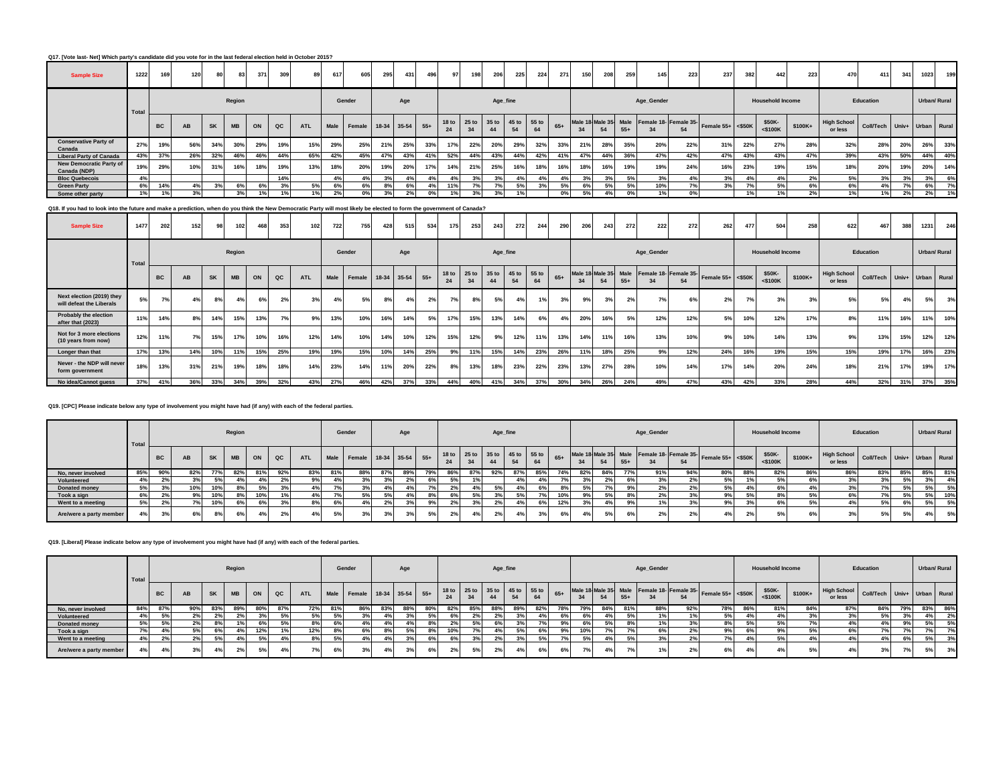**Q17. [Vote last- Net] Which party's candidate did you vote for in the last federal election held in October 2015?**

| <b>Sample Size</b>                      | 1222  | 169       | 120 | 80        | 83        | 371 | 309 | 89         | 617  | 605                | 295 | 431 | 496   | 97  | 198 | 206                                 | 225 | 224 | 271   | 150 | 208 | 259   | 145                                        | 223 | 237                  | 382 | 442                     | 223      | 470                              | 411       | 341 | 1023 | 199               |
|-----------------------------------------|-------|-----------|-----|-----------|-----------|-----|-----|------------|------|--------------------|-----|-----|-------|-----|-----|-------------------------------------|-----|-----|-------|-----|-----|-------|--------------------------------------------|-----|----------------------|-----|-------------------------|----------|----------------------------------|-----------|-----|------|-------------------|
|                                         | Total |           |     |           | Region    |     |     |            |      | Gender             |     | Age |       |     |     | Age_fine                            |     |     |       |     |     |       | Age_Gender                                 |     |                      |     | <b>Household Income</b> |          |                                  | Education |     |      | Urban/ Rural      |
|                                         |       | <b>BC</b> | AB  | <b>SK</b> | <b>MB</b> | ON  | QC  | <b>ATL</b> | Male | Female 18-34 35-54 |     |     | $55+$ | 24  |     | 18 to 25 to 35 to 45 to 55 to<br>44 | 54  | 64  | $65+$ | 34  | 54  | $55+$ | Male 18 Male 35 Male Female 18- Female 35- | 54  | Female $55+ <$ \$50K |     | \$50K-<br>$<$ \$100K    | $$100K+$ | High School Coll/Tech<br>or less |           |     |      | Univ+ Urban Rural |
| <b>Conservative Party of</b><br>Canada  | 27%   | 19%       | 56% | 34%       | 30%       | 29% | 19% | 15%        | 29%  | 25%                | 21% | 25% | 33%   | 17% | 22% | 20%                                 | 29% | 32% | 33%   | 21% | 28% | 35%   | 20%                                        | 22% | 31%                  | 22% | 27%                     | 28%      | 32%                              | 28%       | 20% | 26%  | 33%               |
| <b>Liberal Party of Canada</b>          | 43%   | 37%       | 26% | 32%       | 46%       | 46% | 44% | 65%        | 42%  | 45%                | 47% | 43% | 41%   | 52% | 44% | 43%                                 | 44% | 42% | 41%   | 47% | 44% | 36%   | 47%                                        | 42% | 47%                  | 43% | 43%                     | 47%      | 39%                              | 43%       | 50% | 44%  | 40%               |
| New Democratic Party of<br>Canada (NDP) | 19%   | 29%       | 10% | 31%       | 16%       | 18% | 19% | 13%        | 18%  | 20%                | 19% | 20% | 17%   | 14% | 21% | 25%                                 | 16% | 18% | 16%   | 18% | 16% | 19%   | 19%                                        | 24% | 16%                  | 23% | 19%                     | 15%      | 18%                              | 20%       | 19% | 20%  | 14%               |
| <b>Bloc Quebecois</b>                   | 4%    |           |     |           |           |     | 14% |            | 4%1  | 4%                 | 3%  | 4%  | 4%    | 4%  | 3%  | 3%                                  | 4%  | 4%  |       | 3%  | 3%  |       | 3%                                         |     | 3%                   |     | 4%                      | 2%       | 5%                               | 3%        | 3%  | 3%   | 6%                |
| <b>Green Party</b>                      | 6%    | 14%       | 4%  | 3%        | 6%        | 6%  |     | 5%         | 6%   | 6%                 | 8%  | 6%  | 4%    | 11% |     | 7%                                  | 5%  | 3%  | 5%    | 6%  | 5%  | 5%    | 10%                                        | 7%  | 3%                   |     | 5%                      | 6%       | 6%                               | 4%        | 7%  | 6%   | 7%                |
| Some other party                        | 1%    | 1%        | 3%  |           |           | 1%  |     | 1%         | 2%   | 0%                 |     | 2%  | 0%    | 1%  |     | 3%                                  |     |     | 0%    | 5%  | 4%  | 0%    |                                            | 0%  |                      |     |                         | 2%       | 1%                               | 1%1       | 2%  | 2%   | 1%                |

# **Q18. If you had to look into the future and make a prediction, when do you think the New Democratic Party will most likely be elected to form the government of Canada?**

| <b>Sample Size</b>                                    | 1477  | 202       | 152 | 98        | 102       | 46  | 353 | 102        | 722         | 755    | 428         | 515 | 534   | 175                    | 253 | 243               | 2721        | 244         | 290   | 206 | 243 | 272   | 222        | 272 | 262                                                          | 477 | 504                     | 258     | 622                           | 467                         | 388 | 1231 | 246          |
|-------------------------------------------------------|-------|-----------|-----|-----------|-----------|-----|-----|------------|-------------|--------|-------------|-----|-------|------------------------|-----|-------------------|-------------|-------------|-------|-----|-----|-------|------------|-----|--------------------------------------------------------------|-----|-------------------------|---------|-------------------------------|-----------------------------|-----|------|--------------|
|                                                       | Total |           |     |           | Region    |     |     |            |             | Gender |             | Age |       |                        |     | Age_fine          |             |             |       |     |     |       | Age_Gender |     |                                                              |     | <b>Household Income</b> |         |                               | Education                   |     |      | Urban/ Rural |
|                                                       |       | <b>BC</b> | AB  | <b>SK</b> | <b>MB</b> | ON  | QC  | <b>ATL</b> | <b>Male</b> | Female | 18-34 35-54 |     | $55+$ | 18 <sub>to</sub><br>24 |     | 25 to 35 to<br>44 | 45 to<br>54 | 55 to<br>64 | $65+$ | 34  | 54  | $55+$ |            | 54  | Male 18 Male 35 Male Female 18- Female 35- Female 55+ <\$50K |     | \$50K-<br>$<$ \$100K    | \$100K+ | <b>High School</b><br>or less | Coll/Tech Univ+ Urban Rural |     |      |              |
| Next election (2019) they<br>will defeat the Liberals | 5%    | 70/       | 4%  | 8%        | 4%        | 6%  | 2%  | 3%         |             | 5%     | 8%          | 4%  | 2%    | <b>7%1</b>             | 8%  | 5%                |             |             | 3%    | 9%  | 3%  | 2%    | 7%         | 6%  | 2%                                                           | 7%  | 3%                      | 3%      | 5%                            | 5%                          | 4%  | 5%   | 3%           |
| Probably the election<br>after that (2023)            | 11%   | 14%       | 8%  | 14%       | 15%       | 13% | 70/ | 9%         | 13%         | 10%    | 6%          | 14% | 5%    | 17%                    | 15% | 13%               | 14%         | 6%          |       | 20% | 16% | 5%    | 12%        | 12% | 5%                                                           | 10% | 12%                     | 17%     | 8%                            | 11%                         | 16% | 11%  | 10%          |
| Not for 3 more elections<br>(10 years from now)       | 12%   | 11%       | 7%  | 15%       | 17%       | 10% | 16% | 12%        | 14%         | 10%    | 14%         | 10% | 12%   | 15%                    | 12% | 9%                | 12%         | 11%         | 13%   | 14% | 11% | 16%   | 13%        | 10% | 9%                                                           | 10% | 14%                     | 13%     | 9%                            | 13%                         | 15% | 12%  | 12%          |
| Longer than that                                      | 17%   | 13%       | 14% | 10%       | 11%       | 15% | 25% | 19%        | 19%         | 15%    | 10%         | 14% | 25%   | 9%                     | 11% | 15%               | 14%         | 23%         | 26%   | 11% | 18% | 25%   | 9%         | 12% | 24%                                                          | 16% | 19%                     | 15%     | 15%                           | 19%                         | 17% | 16%  | 23%          |
| Never - the NDP will never<br>form government         | 18%   | 13%       | 31% | 21%       | 19%       | 18% | 18% | 14%        | 23%         | 14%    | 11%         | 20% | 22%   | 8%                     | 13% | 18%               | 23%         | 22%         | 23%   | 13% | 27% | 28%   | 10%        | 14% | 17%                                                          | 14% | 20%                     | 24%     | 18%                           | 21%                         | 17% | 19%  | 17%          |
| No idea/Cannot guess                                  | 37%   | 41%       | 36% | 33%       | 34%       | 39% | 32% | 43%        | 27%         | 46%    | 42%         | 37% | 33%   | 44%                    | 40% | 41%               | 34%         | 37%         | 30%   | 34% | 26% | 24%   | 49%        | 47% | 43%                                                          | 42% | 33%                     | 28%     | 44%                           | 32%                         | 31% | 37%  | 35%          |

#### **Q19. [CPC] Please indicate below any type of involvement you might have had (if any) with each of the federal parties.**

|                         | Total |           |           |           | Region    |     |               |            |    | Gender                      | Age |     |                                     |     | Age_fine |     |     |       |                 |     |       | Age_Gender |        |                                                              |     | <b>Household Income</b> |         |                               | Education                   |     | Urban/ Rural |     |
|-------------------------|-------|-----------|-----------|-----------|-----------|-----|---------------|------------|----|-----------------------------|-----|-----|-------------------------------------|-----|----------|-----|-----|-------|-----------------|-----|-------|------------|--------|--------------------------------------------------------------|-----|-------------------------|---------|-------------------------------|-----------------------------|-----|--------------|-----|
|                         |       | <b>BC</b> | <b>AB</b> | <b>SK</b> | <b>MB</b> | ON  | $_{\alpha c}$ | <b>ATL</b> |    | Male Female 18-34 35-54 55+ |     |     | 18 to 25 to 35 to 45 to 55 to<br>24 | 34  | 44       |     |     | $65+$ | 34              |     | $55+$ |            | 54     | Male 18 Male 35 Male Female 18- Female 35- Female 55+ <\$50K |     | \$50K-<br>$<$ \$100K    | \$100K+ | <b>High School</b><br>or less | Coll/Tech Univ+ Urban Rural |     |              |     |
| No, never involved      | 85%   | 90%       | 82%       | 77%       | 82%       | 81% | 92%           | 83%        |    | 88%                         |     | 79% | 86%                                 | 87% | 92%      | 87% | 85% | 74%   | 82%             | 84% | 77%   | 91%        | 94%    | 80%                                                          | 88% | 82%                     | 86%     | 86%                           | 83%                         | 85% | 85%          | 81% |
| Volunteered             | 4%    | 2%        |           | 5%        |           |     |               | 9%         |    |                             |     | 6%  | 5%                                  |     |          |     |     |       |                 |     |       | 3%         | 27     | 5%                                                           |     | 5%                      |         | 3%                            | 201                         | 5%  | 3%           | 4%  |
| Donated money           | 5%.   | 3%        | 10%       | 10%       |           | 50  |               | 4%         |    | 3%                          |     |     | os.                                 | 4%  | 5%       |     |     | $8\%$ | E <sub>0</sub>  |     |       | 2%         |        | 5%                                                           |     | 6%                      |         |                               | 70I                         | 5%  | 5%           | 5%  |
| Took a sign             | 6%    | 2%        |           | 10%       |           | 10% |               | 4%         |    | 5%                          |     |     |                                     | 5%  | 3%       | 5%  |     | 10%   |                 | 5%  |       | 2%         |        | 9%                                                           | 5%  | 8%                      |         | 6%                            | 70I                         | 5%  | 5%           | 10% |
| Went to a meeting       | 5%    | 2%        | 7%        | 10%       | 6%        | 6%  | 3%            | 8%         | 6% | 4%                          | 20/ | 9%  | 2%                                  | 3%  | 2%       |     | 6%  | 12%   | 20 <sup>1</sup> | 4%  |       |            |        | 9%                                                           |     | 6%                      |         | 4%                            | 5%                          | 6%  | 5%           | 5%  |
| Are/were a party member |       | 3%        | 6%        | 8%        | 6%        | 4%  |               | 4%         | 5% | 3%                          | 20/ | 5%  | 2%                                  | 4%  | 2%       |     | 3%  |       |                 | 5%  |       | 2%         | $\sim$ | 4%                                                           |     | 5%                      |         | 3%                            | E0/<br>່ວາ                  | 5%  | 4%           | 5%  |

## **Q19. [Liberal] Please indicate below any type of involvement you might have had (if any) with each of the federal parties.**

|                         | Total |                                   |     |           | Region    |     |       |            |     | Gender                      |     | Age |     |     |     |     | Age_fine |                                     |       |     |     |     | Age_Gender |                 |                                                            |     | <b>Household Income</b> |         |                                                       | Education |     |     | Urban/ Rural |
|-------------------------|-------|-----------------------------------|-----|-----------|-----------|-----|-------|------------|-----|-----------------------------|-----|-----|-----|-----|-----|-----|----------|-------------------------------------|-------|-----|-----|-----|------------|-----------------|------------------------------------------------------------|-----|-------------------------|---------|-------------------------------------------------------|-----------|-----|-----|--------------|
|                         |       | <b>BC</b>                         | AB  | <b>SK</b> | <b>MB</b> | ON  | QC    | <b>ATL</b> |     | Male Female 18-34 35-54 55+ |     |     |     | 24  |     | 44  | 54       | 18 to 25 to 35 to 45 to 55 to<br>64 | $65+$ | 34  | 54  |     |            | 54              | Male 18 Male 35 Male Female 18 Female 35 Female 55+ <\$50K |     | \$50K-<br>$<$ \$100K    | \$100K+ | K+ High School Coll/Tech Univ+ Urban Rural<br>or less |           |     |     |              |
| No, never involved      | 84%   | 87%                               | 90% | 83%       |           | 80% | 87%   | 72%        | 81% | 86%                         | 83% | 88% | 80% | 82% | 85% | 88% | 89%      | 82%                                 | 78%   | 79% | 84% | 81% | 88%        | 92%             | 78%                                                        | 86% | 81%                     | 84%     | 87%                                                   | 84%       | 79% | 83% | 86%          |
| Volunteered             | 4%    | E <sub>0</sub>                    | 2%  | 2%        |           | 201 | 5%    | 5%         |     | 3%                          |     | 3%1 | 5%  | 6%  |     |     |          |                                     | 6%    | 6%  | 4%  |     |            | 1%              | 5%                                                         |     |                         | 3%      | 3%                                                    | 5%        |     | 4%  | 2%           |
| Donated money           | 5%    |                                   | 2%  |           |           |     | $E_0$ | 8%         |     | 4%                          |     |     |     | 2%  | 5%  |     |          |                                     | 9%    |     | 5%  |     |            | -370            | 8%                                                         |     | 5%                      | $\sim$  | 4%                                                    |           | 9%  | 5%  | 5%           |
| Took a sign             |       |                                   | 5%  | 6%        |           | 12% |       | 12%        |     | 6%                          |     |     |     | 10% | 70/ | 4%  | 5%       | 6%                                  | 9%    | 10% |     |     | 6%         | 2%              | 9%                                                         | 6%  | 9%                      | 5%      | 6%                                                    |           |     | 70/ |              |
| Went to a meeting       | 4%    | 0 <sup>0<sup>f</sup></sup><br>-27 | 2%  | 5%        |           | E0/ |       | 8%         | 5%  | 4%                          |     |     | 6%  | 6%  | 3%  | 2%  |          | 5%                                  |       | 5%  | 4%  |     |            | 270             | 7%                                                         |     |                         | 4%1     | 4%                                                    |           | 6%  | 5%  | 3%           |
| Are/were a party member | 4% I  |                                   | 3%  | 4%        |           | E0/ |       | 70         |     | 3%                          |     | 3%  | 6%  | 2%  | 5%1 | 2%  | 4% I     | 6%                                  | 6%    | 7%  | 4%  |     |            | 20 <sub>1</sub> | 6%                                                         |     | 4%                      |         | 4%                                                    | 3%        |     | 5%  | 3%           |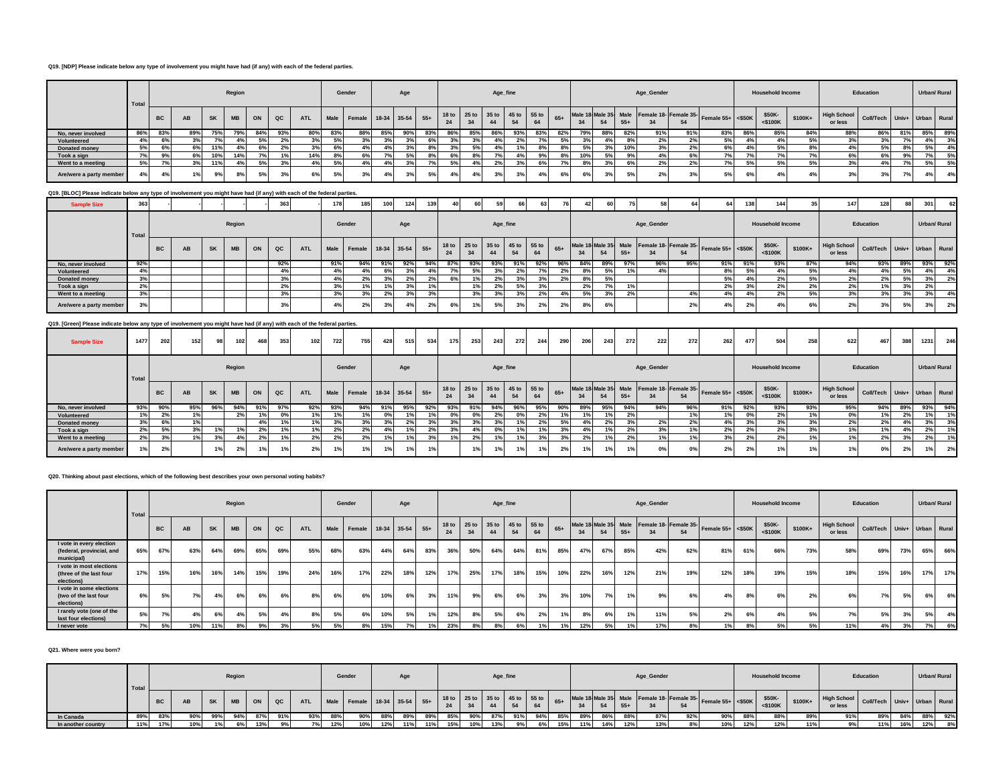#### **Q19. [NDP] Please indicate below any type of involvement you might have had (if any) with each of the federal parties.**

|                         | Total |           |           |           | Region    |     |                              |            |     | Gender                      |     | Age |     |     |     | Age_fine                      |     |     |       |     |             |       | Age_Gender    |     |                                                                  |     | <b>Household Income</b> |          |                               | Education                   |     |      | Urban/ Rural |
|-------------------------|-------|-----------|-----------|-----------|-----------|-----|------------------------------|------------|-----|-----------------------------|-----|-----|-----|-----|-----|-------------------------------|-----|-----|-------|-----|-------------|-------|---------------|-----|------------------------------------------------------------------|-----|-------------------------|----------|-------------------------------|-----------------------------|-----|------|--------------|
|                         |       | <b>BC</b> | AB        | <b>SK</b> | <b>MB</b> | ON  | QC                           | <b>ATL</b> |     | Male Female 18-34 35-54 55+ |     |     |     | 24  |     | 18 to 25 to 35 to 45 to 55 to |     | 64  | $65+$ | 34  | 54          | $55+$ |               | 54  | Male 18 Male 35 Male Female 18- Female 35- Female 55+ <\$50K 30" |     | \$50K-<br>$<$ \$100 $K$ | $$100K+$ | <b>High School</b><br>or less | Coll/Tech Univ+ Urban Rural |     |      |              |
| No, never involved      | 86%   | 83%       | 89%       | 75%       | 79%       | 84% | 93%                          | 80%        | 83% | 88%                         | 85% | 90% | 83% | 86% | 85% | 86%                           | 93% | 83% | 82%   |     | 88%         | 82%   | 91%           | 91% | 83%                                                              | 86° | 85%                     | 84%      | 88%                           | 86%                         | 81% | 85%  | 89%          |
| Volunteered             | 4%    | 6%        | 20I       | 70/       |           | 5%  | 2%                           | 30%        |     | 3%                          | 201 |     |     | 3%  | 201 | 4%                            | 2%  |     | E0/   | 20/ | 4%          | 8%    | 2%            |     | 5%                                                               |     | $4\%$                   |          | 3%                            | 3%                          | 7%  |      | 3%           |
| Donated money           | 5%    | 6%        | cor<br>67 | 11%       |           | 6%  | 0 <sup>0</sup><br><b>470</b> | 3%         |     | 4%                          | 4%  |     | 8%  | 3%  | 5%  | 4%                            | 401 | 8%  |       | 5%  | 20<br>$3\%$ | 10%   | 3%            | 2%  | 5%                                                               |     | 5%                      |          | 4%                            |                             | 8%  | 5%   | 4%           |
| Took a sign             | 7%    |           | cor<br>ש  | 10%       | 14%       |     |                              | 14%        |     |                             |     | 5%  |     |     |     |                               |     | 9%  |       |     | 5%          | 9%    |               |     | 7% I                                                             |     |                         |          |                               | 6%                          |     |      | 5%           |
| Went to a meeting       | 5%    |           |           | 11%       |           | 5%  |                              |            |     |                             |     |     |     | 5%  |     | 2%                            | 3%  |     |       | 8%  |             |       | $\mathcal{L}$ |     | $7\%$                                                            | For | 5%                      |          | 3%                            |                             |     | 5% b | 5%           |
| Are/were a party member | 4%    |           | 1%        | 9%        |           |     | $\sim$                       | 6%         |     | 3%                          | 4%  |     | 5%  |     |     | 3%                            | 20  |     | 6%    | 6%  | $3\%$       | 5%    |               |     | 5%                                                               |     |                         |          | 3%                            | 3 <sup>9</sup>              |     | 4%   | 4%           |

# **Q19. [BLOC] Please indicate below any type of involvement you might have had (if any) with each of the federal parties.**

| <b>Sample Size</b>      | $\sim$<br>აია |           |    |           |           |    | 363           |            | 178 |                             | <b>100</b> | 124. | 139            | 40  | 60                                  | 59                         |     | 63  | 76    |     |     |       |            |     |                                                              | 138 | 144                     |          | 147                           | 128                         |     | 301 | 62           |
|-------------------------|---------------|-----------|----|-----------|-----------|----|---------------|------------|-----|-----------------------------|------------|------|----------------|-----|-------------------------------------|----------------------------|-----|-----|-------|-----|-----|-------|------------|-----|--------------------------------------------------------------|-----|-------------------------|----------|-------------------------------|-----------------------------|-----|-----|--------------|
|                         | Total         |           |    |           | Region    |    |               |            |     | Gender                      |            | Age  |                |     |                                     | Age_fine                   |     |     |       |     |     |       | Age_Gender |     |                                                              |     | <b>Household Income</b> |          |                               | Education                   |     |     | Urban/ Rural |
|                         |               | <b>BC</b> | AB | <b>SK</b> | <b>MB</b> | ON | $_{\alpha c}$ | <b>ATL</b> |     | Male Female 18-34 35-54 55+ |            |      |                | 24  | 18 to 25 to 35 to 45 to 55 to<br>34 | 44                         |     | 64  | $65+$ |     |     | $55+$ |            | 54  | Male 18 Male 35 Male Female 18- Female 35- Female 55+ <\$50K |     | \$50K-<br>$<$ \$100K    | $$100K+$ | <b>High School</b><br>or less | Coll/Tech Univ+ Urban Rural |     |     |              |
| No, never involved      | 92%           |           |    |           |           |    | 92%           |            | 91% | 94%                         | 91%        | 92%  | 94%            | 87% | 93%                                 | 93%                        | 91% | 92% | 96%   | 84% | 89% | 97%   | 96%        | 95% | 91%                                                          | 91% | 93%                     | 87%      | 94%                           | 93%                         | 89% | 93% | 92%          |
| Volunteered             | 4% I          |           |    |           |           |    | 4%            |            | 4%1 |                             | 6%         |      |                |     | 5%                                  |                            |     |     | 2%    | 8%  |     |       | 4%         |     | 8% I                                                         | 5%  | 4%                      |          | 49                            |                             | 5%  | 4%  | 4%           |
| Donated money           |               |           |    |           |           |    |               |            | 4%  |                             |            |      | 2%             | 6%  | 1%                                  | 2%                         | 3%  |     | 2%    | 8%  |     |       |            |     | 5%1                                                          |     | 2%                      |          |                               | 0 <sup>0<sup>f</sup></sup>  | 5%  | 3%  | 2%           |
| Took a sign             |               |           |    |           |           |    | 2%            |            |     |                             |            | 20I  |                |     | 1%                                  | 0 <sup>0<sup>f</sup></sup> | 5%  | 3%  |       | 2%  | 70  |       |            |     |                                                              |     | 2%                      |          | 2%                            | $\overline{a}$              | 3%  | 2%  |              |
| Went to a meeting       |               |           |    |           |           |    | 3%            |            | 3%  |                             | 2%         |      |                |     | 3%                                  |                            | 3%  | 2%  | 4%    | 5%  |     |       |            |     | 4%                                                           |     | 2%                      |          | 3%                            | 20I                         | 3%  | 3%  | 4%           |
| Are/were a party member |               |           |    |           |           |    | 3%            |            | 4%  | 27c                         | 3%         |      | 2 <sup>o</sup> |     | 1%                                  | 5%                         | 3%  | 2%  | 2%    | 8%  | 6%  |       |            |     |                                                              |     | 4%                      |          | 2%                            | 201                         | 5%  | 3%  | 2%           |

# **Q19. [Green] Please indicate below any type of involvement you might have had (if any) with each of the federal parties.**

| <b>Sample Size</b>      | 1477  | 202       | 152 | 98        | 102       | 468   | 353 | 102 <sub>1</sub> | 722 | 755                         | 428 | 515 | 534 | 175                    | 253 | 243      | 272 | 244                           | 290   | 206 | 243 | 272   | 222                                        | 272 | 262                  | 477 | 504                     | 258     | 622                           | 467                         |     | 1231         | 246 |
|-------------------------|-------|-----------|-----|-----------|-----------|-------|-----|------------------|-----|-----------------------------|-----|-----|-----|------------------------|-----|----------|-----|-------------------------------|-------|-----|-----|-------|--------------------------------------------|-----|----------------------|-----|-------------------------|---------|-------------------------------|-----------------------------|-----|--------------|-----|
|                         | Total |           |     |           | Region    |       |     |                  |     | Gender                      |     | Age |     |                        |     | Age_fine |     |                               |       |     |     |       | Age_Gender                                 |     |                      |     | <b>Household Income</b> |         |                               | Education                   |     | Urban/ Rural |     |
|                         |       | <b>BC</b> | AB  | <b>SK</b> | <b>MB</b> | ON    | QC  | <b>ATL</b>       |     | Male Female 18-34 35-54 55+ |     |     |     | 18 <sub>to</sub><br>24 | 34  | 44       |     | 25 to 35 to 45 to 55 to<br>64 | $65+$ | 34  | 54  | $55+$ | Male 18 Male 35 Male Female 18- Female 35- | 54  | Female $55+ <$ \$50K |     | \$50K-<br><\$100K       | \$100K+ | <b>High School</b><br>or less | Coll/Tech Univ+ Urban Rural |     |              |     |
| No. never involved      | 93%   | 90%       | 95% | 96%       | 94%       | 91%   | 97% | 92%              | 93% | 94%                         | 91% | 95% | 92% | 93%                    | 91% | 94%      | 96% | 95%                           | 90%   | 89% | 95% | 94%   | 94%                                        | 96% | 91%                  | 92% | 93%                     | 93%     | 95%                           | 94%                         | 89% | 93%          | 94% |
| Volunteered             | 1%    | 2%        | 1%  |           | 2%        |       | 0%  | 1%               |     | 1%                          | 0%  |     |     | 0%                     | 0%  | 2%       | 0%  | 2%                            |       | 1%  |     | 2%    |                                            | 1%  |                      | 0%  | 2%                      |         |                               |                             | 2%  |              | 1%  |
| Donated money           | 3%    | 6%        | 1%  |           |           | $4\%$ | 1%  | 1%               |     | 3%                          | 3%  | 2%  | 3%  | 3%                     | 3%  | 3%       |     | 2%                            | 5%    | 4%  | 2%  |       | $2\%$                                      | 2%  | 4%                   | 3%  |                         |         |                               | 2%                          | 4%  | 3%           | 3%  |
| Took a sign             | 2%    | 5%        | 3%  |           |           | 2%    |     | 1%               | 2%  | 2%                          | 4%  | 1%  | 2%  | 3%                     | 4%  | 0%       |     | 1%                            | 3%    | 4%  |     | 2%    | 3%                                         | 1%  | 2%                   | 2%  | 2%                      |         |                               | 1%                          | 4%  | 2%           | 1%  |
| Went to a meeting       | 2%    | 3%        | 1%  |           |           | 2%    |     | 2%               |     | 2%                          | 1%1 | 1%  | 3%  | 1%                     | 2%  | 1%       |     | 3%                            | 3%    | 2%  |     | 2%    |                                            | 1%  | 3%                   | 2%  |                         |         |                               | 2%                          | 20/ | 2%           | 1%  |
| Are/were a party member |       | 2%        |     |           |           |       | 1%  | 2%               |     | 1%                          |     | 1%  | 1%  |                        | 1%  | 1%       |     | 1%                            |       | 1%  |     |       | 0%                                         | 0%  | 2%                   |     | 1%                      |         |                               | 0%                          | 2%  | 1%           | 2%  |

#### **Q20. Thinking about past elections, which of the following best describes your own personal voting habits?**

|                                                                     | Total |     |     |           | Region    |     |     |            |     | Gender                      |     | Age |     |     |     | Age_fine                            |     |                |       |     |     |       | Age_Gender |     |                                                              |     | <b>Household Income</b> |         |                               | Education                   |     | Urban/ Rural |     |
|---------------------------------------------------------------------|-------|-----|-----|-----------|-----------|-----|-----|------------|-----|-----------------------------|-----|-----|-----|-----|-----|-------------------------------------|-----|----------------|-------|-----|-----|-------|------------|-----|--------------------------------------------------------------|-----|-------------------------|---------|-------------------------------|-----------------------------|-----|--------------|-----|
|                                                                     |       | BC  | AB  | <b>SK</b> | <b>MB</b> | ON  | QC  | <b>ATL</b> |     | Male Female 18-34 35-54 55+ |     |     |     | 24  | 34  | 18 to 25 to 35 to 45 to 55 to<br>44 |     | 64             | $65+$ | 34  | 54  | $55+$ |            | 54  | Male 18 Male 35 Male Female 18- Female 35- Female 55+ <\$50K |     | \$50K-<br>$<$ \$100 $K$ | \$100K+ | <b>High School</b><br>or less | Coll/Tech Univ+ Urban Rural |     |              |     |
| I vote in every election<br>(federal, provincial, and<br>municipal) | 65%   | 67% | 63% | 64%       | 69%       | 65% | 69% | 55%        | 68% | 63%                         |     | 64% | 83% | 36% | 50% | 64%                                 | 64% | 81%            | 85%   | 47% | 67% | 85%   | 42%        | 62% | 81%                                                          | 61% | 66%                     | 73%     | 58%                           | 69%                         | 73% | 65%          | 66% |
| I vote in most elections<br>(three of the last four<br>elections)   | 17%   | 15% | 16% | 16%       | 14%       | 15% | 19% | 24%        | 16% | 17%                         | 22% | 18% | 12% | 17% | 25% | 17%                                 | 18% | 15%            | 10%   | 22% | 16% | 12%   | 21%        | 19% | 12%                                                          | 18% | 19%                     | 15%     | 18%                           | 15%                         | 16% | 17%          | 17% |
| I vote in some elections<br>(two of the last four<br>elections)     | 6%    | 5%  | 7%  | 4%        | 6%        | 6%  | 6%  | 8%         | 6%  | 6%                          | 10% | 6%  | 3%  | 11% | 9%  | 6%                                  | 6%  | 3%             | 3%    | 10% | 7%  | 40    | 9%         | 6%  | 4%                                                           | 8%  | 6%                      | 2%      | 6%                            | 7%                          | 5%  | 6% l         | 6%  |
| I rarely vote (one of the<br>last four elections)                   | 5%    | 7%  | 4%  | 6%        |           | 5%  |     | 8%         | 5%  | 6%                          | 10% | 5%  |     | 12% | 8%  | 5%                                  | 6%  | 2%             |       | 8%  | 6%  |       | 11%        | E0/ | 2%                                                           |     | 4%                      | EQ      | 70/                           | 5%                          | 3%  | 5%           | 4%  |
| I never vote                                                        | 7%    | 5%  | 10% | 11%       | 8%        | 9%  | 3%  | 5%         | 5%  | 8%                          | 15% |     |     | 23% | 8%  | 8%                                  | 6%  | 1 <sup>°</sup> |       | 12% | 5%  |       | 17%        |     | 1%                                                           | 8%  | 5%                      | 5%      | 11%                           |                             | 3%  | 7%           | 6%  |

#### **Q21. Where were you born?**

|                    | <sup>1</sup> Total |           |    |     | Region    |      |             |            |     | Gender |     | Age |     |     |     |     | Age_fine |     |     |     |     |     | Age_Gender |     |                                                                                                                                 |      | <b>Household Income</b> |         |                               | Education                   |     |     | Urban/ Rural |
|--------------------|--------------------|-----------|----|-----|-----------|------|-------------|------------|-----|--------|-----|-----|-----|-----|-----|-----|----------|-----|-----|-----|-----|-----|------------|-----|---------------------------------------------------------------------------------------------------------------------------------|------|-------------------------|---------|-------------------------------|-----------------------------|-----|-----|--------------|
|                    |                    | <b>BC</b> | AB | SK  | <b>MB</b> | ON   | $_{\rm QC}$ | <b>ATL</b> |     |        |     |     |     | 24  | 34  |     |          |     |     |     |     |     |            | 54  | Male Female 18- Female 18-34 35-54 55+ 18to 25to 35to 45to 55to 65+ Male 18 Male 35 Male Female 18- Female 35- Female 55+ <550K |      | \$50K-<br>$<$ \$100 $K$ | \$100K+ | <b>High School</b><br>or less | Coll/Tech Univ+ Urban Rural |     |     |              |
| In Canada          |                    | 83%       |    | 99% |           | -87% |             | 93%        |     | $90\%$ |     | 89% | 89% |     |     |     |          | 94% | 85% | 89% |     |     | 87%        | 92% | 90%                                                                                                                             | -88% | 88%                     | 89°     | 91%                           | 89%                         | 84% | 88% | 92%          |
| In another country | 4401               | 17%       |    |     |           | 13%  |             |            | 12% | 10%    | 12% | 11% | 11% | 15% | 10% | 13% |          |     | 15% |     | 14% | 12% | 13%        |     | 10%                                                                                                                             | 12%  | 12%                     | 11%     |                               | 11%                         | 16% | 12% | 8%           |